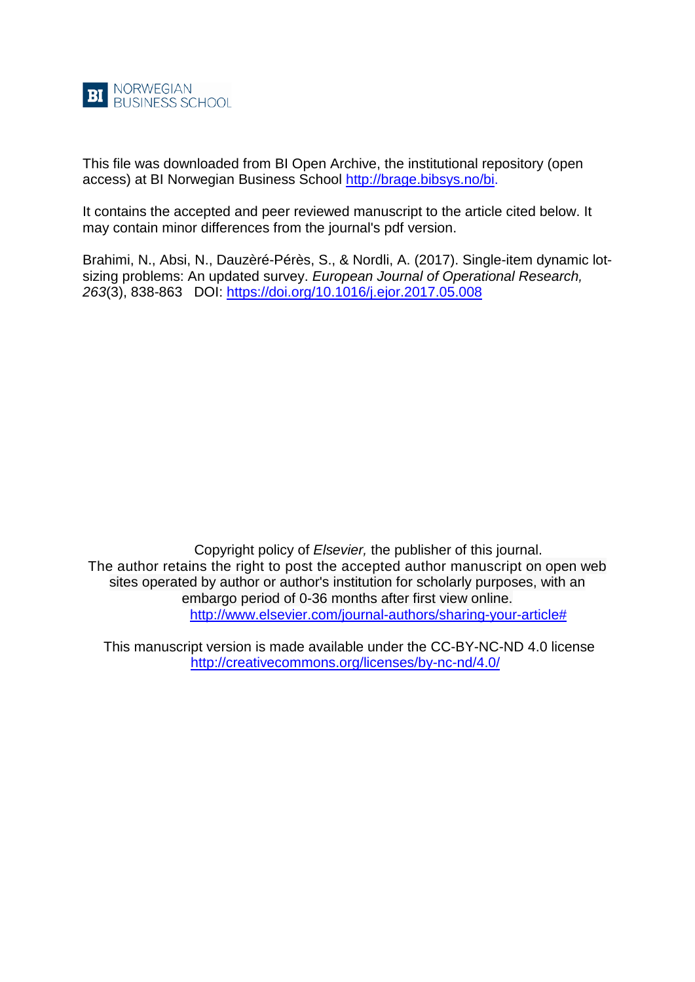

This file was downloaded from BI Open Archive, the institutional repository (open access) at BI Norwegian Business School [http://brage.bibsys.no/bi.](http://brage.bibsys.no/bi)

It contains the accepted and peer reviewed manuscript to the article cited below. It may contain minor differences from the journal's pdf version.

Brahimi, N., Absi, N., Dauzèré-Pérès, S., & Nordli, A. (2017). Single-item dynamic lotsizing problems: An updated survey. *European Journal of Operational Research, 263*(3), 838-863 DOI:<https://doi.org/10.1016/j.ejor.2017.05.008>

Copyright policy of *Elsevier,* the publisher of this journal. The author retains the right to post the accepted author manuscript on open web sites operated by author or author's institution for scholarly purposes, with an embargo period of 0-36 months after first view online. [http://www.elsevier.com/journal-authors/sharing-your-article#](http://www.elsevier.com/journal-authors/sharing-your-article)

This manuscript version is made available under the CC-BY-NC-ND 4.0 license <http://creativecommons.org/licenses/by-nc-nd/4.0/>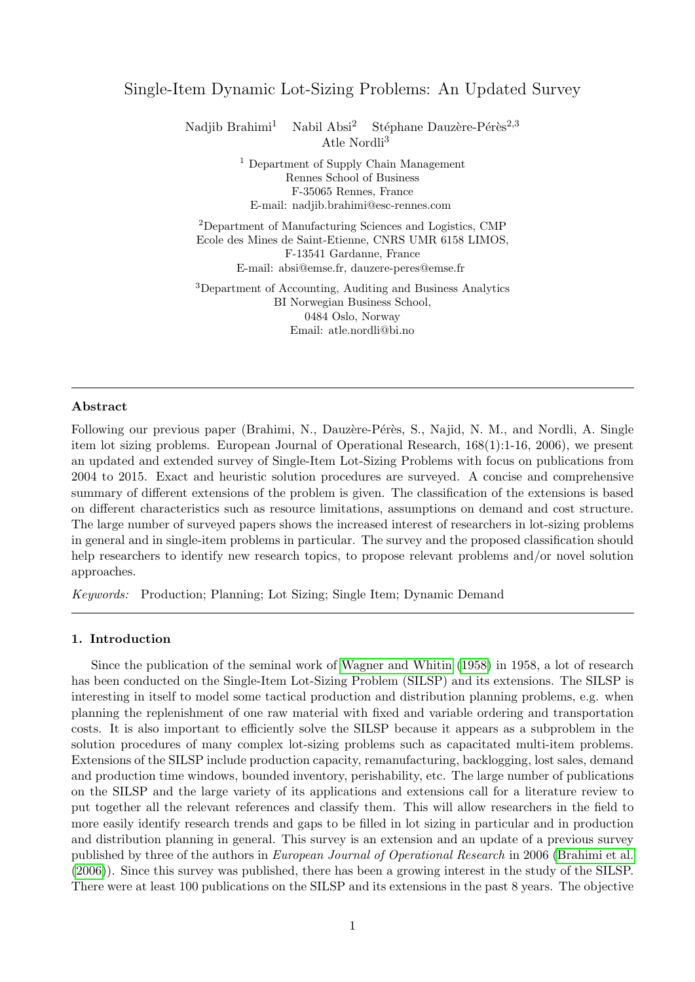# Single-Item Dynamic Lot-Sizing Problems: An Updated Survey

Nadjib Brahimi<sup>1</sup> Nabil Absi<sup>2</sup> Stéphane Dauzère-Pérès<sup>2,3</sup> Atle Nordli<sup>3</sup>

> <sup>1</sup> Department of Supply Chain Management Rennes School of Business F-35065 Rennes, France E-mail: nadjib.brahimi@esc-rennes.com

<sup>2</sup>Department of Manufacturing Sciences and Logistics, CMP Ecole des Mines de Saint-Etienne, CNRS UMR 6158 LIMOS, F-13541 Gardanne, France E-mail: absi@emse.fr, dauzere-peres@emse.fr

<sup>3</sup>Department of Accounting, Auditing and Business Analytics BI Norwegian Business School, 0484 Oslo, Norway Email: atle.nordli@bi.no

## Abstract

Following our previous paper (Brahimi, N., Dauzère-Pérès, S., Najid, N. M., and Nordli, A. Single item lot sizing problems. European Journal of Operational Research, 168(1):1-16, 2006), we present an updated and extended survey of Single-Item Lot-Sizing Problems with focus on publications from 2004 to 2015. Exact and heuristic solution procedures are surveyed. A concise and comprehensive summary of different extensions of the problem is given. The classification of the extensions is based on different characteristics such as resource limitations, assumptions on demand and cost structure. The large number of surveyed papers shows the increased interest of researchers in lot-sizing problems in general and in single-item problems in particular. The survey and the proposed classification should help researchers to identify new research topics, to propose relevant problems and/or novel solution approaches.

Keywords: Production; Planning; Lot Sizing; Single Item; Dynamic Demand

### 1. Introduction

Since the publication of the seminal work of [Wagner and Whitin](#page-44-0) [\(1958\)](#page-44-0) in 1958, a lot of research has been conducted on the Single-Item Lot-Sizing Problem (SILSP) and its extensions. The SILSP is interesting in itself to model some tactical production and distribution planning problems, e.g. when planning the replenishment of one raw material with fixed and variable ordering and transportation costs. It is also important to efficiently solve the SILSP because it appears as a subproblem in the solution procedures of many complex lot-sizing problems such as capacitated multi-item problems. Extensions of the SILSP include production capacity, remanufacturing, backlogging, lost sales, demand and production time windows, bounded inventory, perishability, etc. The large number of publications on the SILSP and the large variety of its applications and extensions call for a literature review to put together all the relevant references and classify them. This will allow researchers in the field to more easily identify research trends and gaps to be filled in lot sizing in particular and in production and distribution planning in general. This survey is an extension and an update of a previous survey published by three of the authors in European Journal of Operational Research in 2006 [\(Brahimi et al.](#page-32-0) [\(2006\)](#page-32-0)). Since this survey was published, there has been a growing interest in the study of the SILSP. There were at least 100 publications on the SILSP and its extensions in the past 8 years. The objective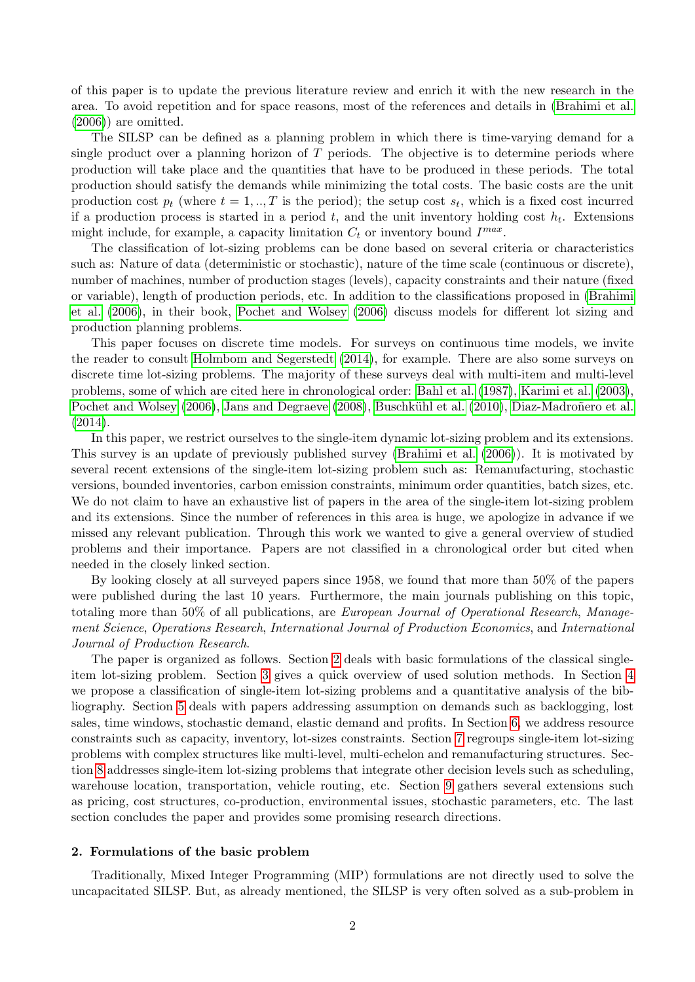of this paper is to update the previous literature review and enrich it with the new research in the area. To avoid repetition and for space reasons, most of the references and details in [\(Brahimi et al.](#page-32-0)  $(2006)$  are omitted.

The SILSP can be defined as a planning problem in which there is time-varying demand for a single product over a planning horizon of  $T$  periods. The objective is to determine periods where production will take place and the quantities that have to be produced in these periods. The total production should satisfy the demands while minimizing the total costs. The basic costs are the unit production cost  $p_t$  (where  $t = 1, ..., T$  is the period); the setup cost  $s_t$ , which is a fixed cost incurred if a production process is started in a period t, and the unit inventory holding cost  $h_t$ . Extensions might include, for example, a capacity limitation  $C_t$  or inventory bound  $I^{max}$ .

The classification of lot-sizing problems can be done based on several criteria or characteristics such as: Nature of data (deterministic or stochastic), nature of the time scale (continuous or discrete), number of machines, number of production stages (levels), capacity constraints and their nature (fixed or variable), length of production periods, etc. In addition to the classifications proposed in [\(Brahimi](#page-32-0) [et al.](#page-32-0) [\(2006\)](#page-32-0), in their book, [Pochet and Wolsey](#page-40-0) [\(2006\)](#page-40-0) discuss models for different lot sizing and production planning problems.

This paper focuses on discrete time models. For surveys on continuous time models, we invite the reader to consult [Holmbom and Segerstedt](#page-36-0) [\(2014\)](#page-36-0), for example. There are also some surveys on discrete time lot-sizing problems. The majority of these surveys deal with multi-item and multi-level problems, some of which are cited here in chronological order: [Bahl et al.](#page-31-0) [\(1987\)](#page-31-0), [Karimi et al.](#page-37-0) [\(2003\)](#page-37-0), [Pochet and Wolsey](#page-40-0) [\(2006\)](#page-40-0), [Jans and Degraeve](#page-37-1) [\(2008\)](#page-37-1), Buschkühl et al. [\(2010\)](#page-32-1), Diaz-Madroñero et al. [\(2014\)](#page-34-0).

In this paper, we restrict ourselves to the single-item dynamic lot-sizing problem and its extensions. This survey is an update of previously published survey [\(Brahimi et al.](#page-32-0) [\(2006\)](#page-32-0)). It is motivated by several recent extensions of the single-item lot-sizing problem such as: Remanufacturing, stochastic versions, bounded inventories, carbon emission constraints, minimum order quantities, batch sizes, etc. We do not claim to have an exhaustive list of papers in the area of the single-item lot-sizing problem and its extensions. Since the number of references in this area is huge, we apologize in advance if we missed any relevant publication. Through this work we wanted to give a general overview of studied problems and their importance. Papers are not classified in a chronological order but cited when needed in the closely linked section.

By looking closely at all surveyed papers since 1958, we found that more than 50% of the papers were published during the last 10 years. Furthermore, the main journals publishing on this topic, totaling more than 50% of all publications, are European Journal of Operational Research, Management Science, Operations Research, International Journal of Production Economics, and International Journal of Production Research.

The paper is organized as follows. Section [2](#page-2-0) deals with basic formulations of the classical singleitem lot-sizing problem. Section [3](#page-4-0) gives a quick overview of used solution methods. In Section [4](#page-7-0) we propose a classification of single-item lot-sizing problems and a quantitative analysis of the bibliography. Section [5](#page-8-0) deals with papers addressing assumption on demands such as backlogging, lost sales, time windows, stochastic demand, elastic demand and profits. In Section [6,](#page-10-0) we address resource constraints such as capacity, inventory, lot-sizes constraints. Section [7](#page-15-0) regroups single-item lot-sizing problems with complex structures like multi-level, multi-echelon and remanufacturing structures. Section [8](#page-17-0) addresses single-item lot-sizing problems that integrate other decision levels such as scheduling, warehouse location, transportation, vehicle routing, etc. Section [9](#page-19-0) gathers several extensions such as pricing, cost structures, co-production, environmental issues, stochastic parameters, etc. The last section concludes the paper and provides some promising research directions.

### <span id="page-2-0"></span>2. Formulations of the basic problem

Traditionally, Mixed Integer Programming (MIP) formulations are not directly used to solve the uncapacitated SILSP. But, as already mentioned, the SILSP is very often solved as a sub-problem in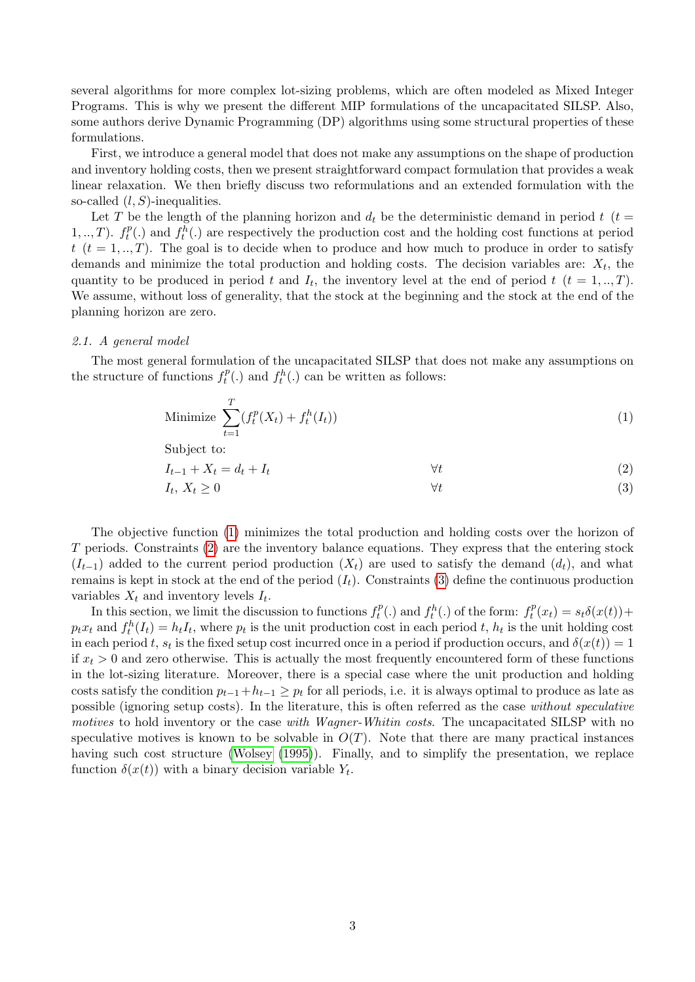several algorithms for more complex lot-sizing problems, which are often modeled as Mixed Integer Programs. This is why we present the different MIP formulations of the uncapacitated SILSP. Also, some authors derive Dynamic Programming (DP) algorithms using some structural properties of these formulations.

First, we introduce a general model that does not make any assumptions on the shape of production and inventory holding costs, then we present straightforward compact formulation that provides a weak linear relaxation. We then briefly discuss two reformulations and an extended formulation with the so-called  $(l, S)$ -inequalities.

Let T be the length of the planning horizon and  $d_t$  be the deterministic demand in period t (t =  $1, ..., T$ ).  $f_t^p$  $t_t^{p}(.)$  and  $f_t^h(.)$  are respectively the production cost and the holding cost functions at period  $t (t = 1, ..., T)$ . The goal is to decide when to produce and how much to produce in order to satisfy demands and minimize the total production and holding costs. The decision variables are:  $X_t$ , the quantity to be produced in period t and  $I_t$ , the inventory level at the end of period t  $(t = 1, ..., T)$ . We assume, without loss of generality, that the stock at the beginning and the stock at the end of the planning horizon are zero.

### <span id="page-3-3"></span>2.1. A general model

The most general formulation of the uncapacitated SILSP that does not make any assumptions on the structure of functions  $f_t^p$  $t_t^p(.)$  and  $f_t^h(.)$  can be written as follows:

<span id="page-3-0"></span>Minimize 
$$
\sum_{t=1}^{T} (f_t^p(X_t) + f_t^h(I_t))
$$
 (1)

Subject to:

<span id="page-3-2"></span><span id="page-3-1"></span>
$$
I_{t-1} + X_t = d_t + I_t \qquad \qquad \forall t
$$
  
\n
$$
I_t, X_t \ge 0 \qquad \qquad \forall t
$$
  
\n(2)

The objective function [\(1\)](#page-3-0) minimizes the total production and holding costs over the horizon of T periods. Constraints [\(2\)](#page-3-1) are the inventory balance equations. They express that the entering stock  $(I_{t-1})$  added to the current period production  $(X_t)$  are used to satisfy the demand  $(d_t)$ , and what remains is kept in stock at the end of the period  $(I_t)$ . Constraints [\(3\)](#page-3-2) define the continuous production variables  $X_t$  and inventory levels  $I_t$ .

In this section, we limit the discussion to functions  $f_t^p$  $f_t^p(.)$  and  $f_t^h(.)$  of the form:  $f_t^p$  $t_t^p(x_t) = s_t \delta(x(t)) +$  $p_t x_t$  and  $f_t^h(I_t) = h_t I_t$ , where  $p_t$  is the unit production cost in each period t,  $h_t$  is the unit holding cost in each period t,  $s_t$  is the fixed setup cost incurred once in a period if production occurs, and  $\delta(x(t)) = 1$ if  $x_t > 0$  and zero otherwise. This is actually the most frequently encountered form of these functions in the lot-sizing literature. Moreover, there is a special case where the unit production and holding costs satisfy the condition  $p_{t-1}+h_{t-1} \geq p_t$  for all periods, i.e. it is always optimal to produce as late as possible (ignoring setup costs). In the literature, this is often referred as the case without speculative motives to hold inventory or the case with Wagner-Whitin costs. The uncapacitated SILSP with no speculative motives is known to be solvable in  $O(T)$ . Note that there are many practical instances having such cost structure [\(Wolsey](#page-44-1) [\(1995\)](#page-44-1)). Finally, and to simplify the presentation, we replace function  $\delta(x(t))$  with a binary decision variable  $Y_t$ .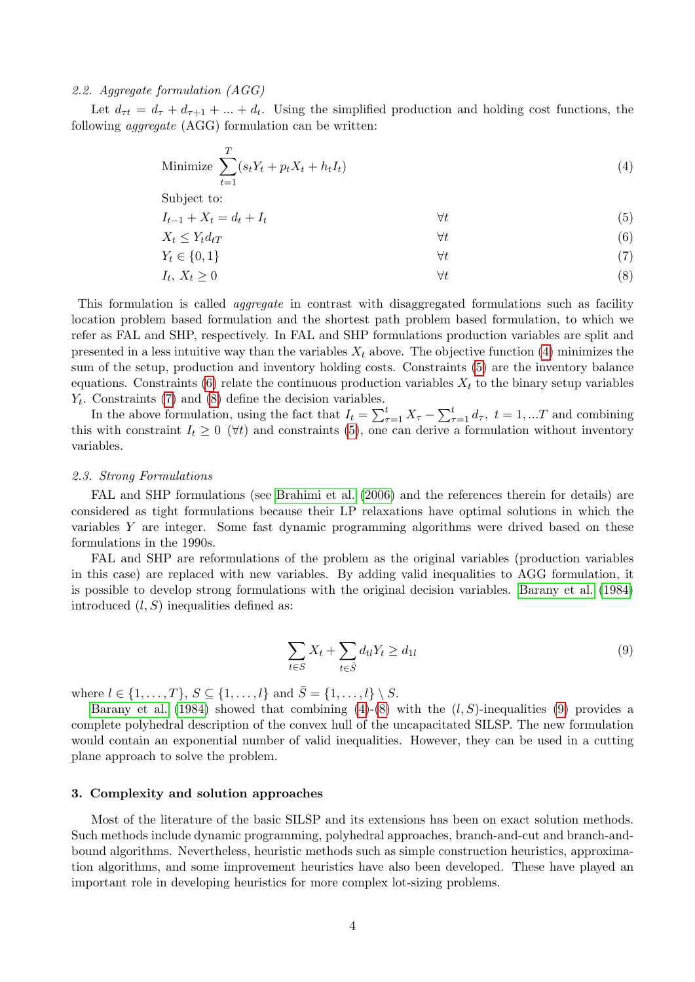# <span id="page-4-7"></span>2.2. Aggregate formulation (AGG)

Let  $d_{\tau t} = d_{\tau} + d_{\tau+1} + ... + d_t$ . Using the simplified production and holding cost functions, the following aggregate (AGG) formulation can be written:

<span id="page-4-1"></span>Minimize 
$$
\sum_{t=1}^{T} (s_t Y_t + p_t X_t + h_t I_t)
$$
 (4)

Subject to:

 $I_{t-1} + X_t = d_t + I_t$   $\forall t$  (5)

<span id="page-4-3"></span><span id="page-4-2"></span>
$$
X_t \le Y_t d_{tT} \tag{6}
$$

<span id="page-4-5"></span><span id="page-4-4"></span>
$$
Y_t \in \{0, 1\} \qquad \qquad \forall t \tag{7}
$$

$$
I_t, X_t \ge 0 \qquad \qquad \forall t \tag{8}
$$

This formulation is called *aggregate* in contrast with disaggregated formulations such as facility location problem based formulation and the shortest path problem based formulation, to which we refer as FAL and SHP, respectively. In FAL and SHP formulations production variables are split and presented in a less intuitive way than the variables  $X_t$  above. The objective function [\(4\)](#page-4-1) minimizes the sum of the setup, production and inventory holding costs. Constraints [\(5\)](#page-4-2) are the inventory balance equations. Constraints [\(6\)](#page-4-3) relate the continuous production variables  $X_t$  to the binary setup variables  $Y_t$ . Constraints [\(7\)](#page-4-4) and [\(8\)](#page-4-5) define the decision variables.

In the above formulation, using the fact that  $I_t = \sum_{\tau=1}^t X_\tau - \sum_{\tau=1}^t d_\tau$ ,  $t = 1, ...T$  and combining this with constraint  $I_t \geq 0$  ( $\forall t$ ) and constraints [\(5\)](#page-4-2), one can derive a formulation without inventory variables.

### 2.3. Strong Formulations

FAL and SHP formulations (see [Brahimi et al.](#page-32-0) [\(2006\)](#page-32-0) and the references therein for details) are considered as tight formulations because their LP relaxations have optimal solutions in which the variables Y are integer. Some fast dynamic programming algorithms were drived based on these formulations in the 1990s.

FAL and SHP are reformulations of the problem as the original variables (production variables in this case) are replaced with new variables. By adding valid inequalities to AGG formulation, it is possible to develop strong formulations with the original decision variables. [Barany et al.](#page-31-1) [\(1984\)](#page-31-1) introduced  $(l, S)$  inequalities defined as:

<span id="page-4-6"></span>
$$
\sum_{t \in S} X_t + \sum_{t \in \bar{S}} d_{tl} Y_t \ge d_{1l} \tag{9}
$$

where  $l \in \{1, ..., T\}, S \subseteq \{1, ..., l\}$  and  $\bar{S} = \{1, ..., l\} \setminus S$ .

[Barany et al.](#page-31-1) [\(1984\)](#page-31-1) showed that combining  $(4)-(8)$  $(4)-(8)$  $(4)-(8)$  with the  $(l, S)$ -inequalities [\(9\)](#page-4-6) provides a complete polyhedral description of the convex hull of the uncapacitated SILSP. The new formulation would contain an exponential number of valid inequalities. However, they can be used in a cutting plane approach to solve the problem.

#### <span id="page-4-0"></span>3. Complexity and solution approaches

Most of the literature of the basic SILSP and its extensions has been on exact solution methods. Such methods include dynamic programming, polyhedral approaches, branch-and-cut and branch-andbound algorithms. Nevertheless, heuristic methods such as simple construction heuristics, approximation algorithms, and some improvement heuristics have also been developed. These have played an important role in developing heuristics for more complex lot-sizing problems.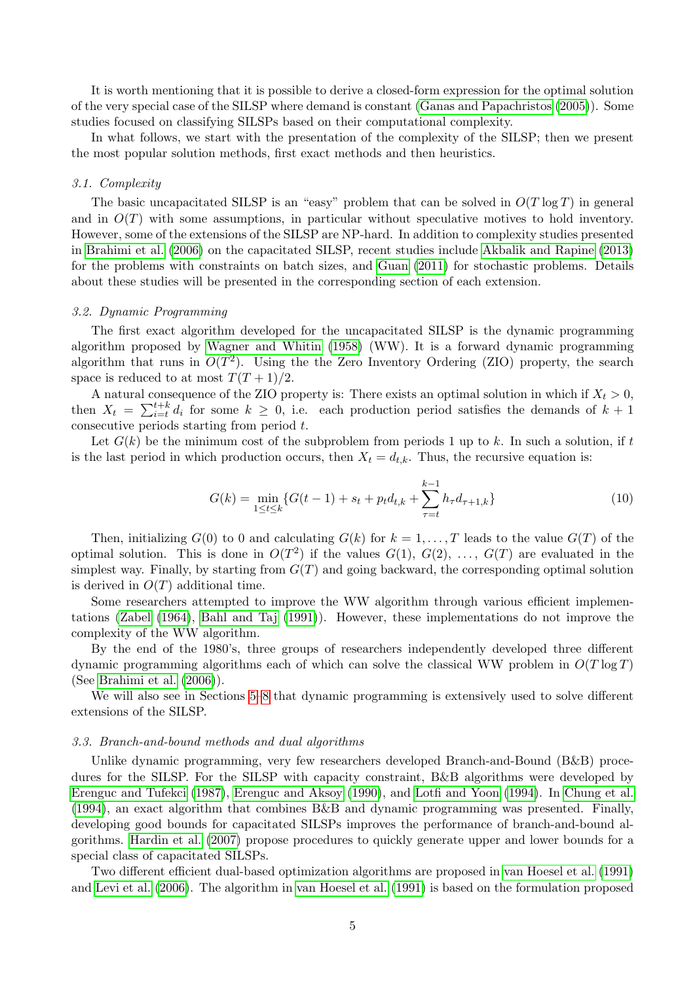It is worth mentioning that it is possible to derive a closed-form expression for the optimal solution of the very special case of the SILSP where demand is constant [\(Ganas and Papachristos](#page-35-0) [\(2005\)](#page-35-0)). Some studies focused on classifying SILSPs based on their computational complexity.

In what follows, we start with the presentation of the complexity of the SILSP; then we present the most popular solution methods, first exact methods and then heuristics.

### 3.1. Complexity

The basic uncapacitated SILSP is an "easy" problem that can be solved in  $O(T \log T)$  in general and in  $O(T)$  with some assumptions, in particular without speculative motives to hold inventory. However, some of the extensions of the SILSP are NP-hard. In addition to complexity studies presented in [Brahimi et al.](#page-32-0) [\(2006\)](#page-32-0) on the capacitated SILSP, recent studies include [Akbalik and Rapine](#page-30-0) [\(2013\)](#page-30-0) for the problems with constraints on batch sizes, and [Guan](#page-35-1) [\(2011\)](#page-35-1) for stochastic problems. Details about these studies will be presented in the corresponding section of each extension.

# 3.2. Dynamic Programming

The first exact algorithm developed for the uncapacitated SILSP is the dynamic programming algorithm proposed by [Wagner and Whitin](#page-44-0) [\(1958\)](#page-44-0) (WW). It is a forward dynamic programming algorithm that runs in  $O(T^2)$ . Using the the Zero Inventory Ordering (ZIO) property, the search space is reduced to at most  $T(T + 1)/2$ .

A natural consequence of the ZIO property is: There exists an optimal solution in which if  $X_t > 0$ , then  $X_t = \sum_{i=t}^{t+k} d_i$  for some  $k \geq 0$ , i.e. each production period satisfies the demands of  $k+1$ consecutive periods starting from period t.

Let  $G(k)$  be the minimum cost of the subproblem from periods 1 up to k. In such a solution, if t is the last period in which production occurs, then  $X_t = d_{t,k}$ . Thus, the recursive equation is:

$$
G(k) = \min_{1 \le t \le k} \{ G(t-1) + s_t + p_t d_{t,k} + \sum_{\tau=t}^{k-1} h_{\tau} d_{\tau+1,k} \}
$$
(10)

Then, initializing  $G(0)$  to 0 and calculating  $G(k)$  for  $k = 1, \ldots, T$  leads to the value  $G(T)$  of the optimal solution. This is done in  $O(T^2)$  if the values  $G(1), G(2), \ldots, G(T)$  are evaluated in the simplest way. Finally, by starting from  $G(T)$  and going backward, the corresponding optimal solution is derived in  $O(T)$  additional time.

Some researchers attempted to improve the WW algorithm through various efficient implementations [\(Zabel](#page-45-0) [\(1964\)](#page-45-0), [Bahl and Taj](#page-31-2) [\(1991\)](#page-31-2)). However, these implementations do not improve the complexity of the WW algorithm.

By the end of the 1980's, three groups of researchers independently developed three different dynamic programming algorithms each of which can solve the classical WW problem in  $O(T \log T)$ (See [Brahimi et al.](#page-32-0) [\(2006\)](#page-32-0)).

We will also see in Sections [5–](#page-8-0)[8](#page-17-0) that dynamic programming is extensively used to solve different extensions of the SILSP.

#### 3.3. Branch-and-bound methods and dual algorithms

Unlike dynamic programming, very few researchers developed Branch-and-Bound (B&B) procedures for the SILSP. For the SILSP with capacity constraint, B&B algorithms were developed by [Erenguc and Tufekci](#page-34-1) [\(1987\)](#page-34-1), [Erenguc and Aksoy](#page-34-2) [\(1990\)](#page-34-2), and [Lotfi and Yoon](#page-39-0) [\(1994\)](#page-39-0). In [Chung et al.](#page-33-0) [\(1994\)](#page-33-0), an exact algorithm that combines B&B and dynamic programming was presented. Finally, developing good bounds for capacitated SILSPs improves the performance of branch-and-bound algorithms. [Hardin et al.](#page-36-1) [\(2007\)](#page-36-1) propose procedures to quickly generate upper and lower bounds for a special class of capacitated SILSPs.

Two different efficient dual-based optimization algorithms are proposed in [van Hoesel et al.](#page-43-0) [\(1991\)](#page-43-0) and [Levi et al.](#page-38-0) [\(2006\)](#page-38-0). The algorithm in [van Hoesel et al.](#page-43-0) [\(1991\)](#page-43-0) is based on the formulation proposed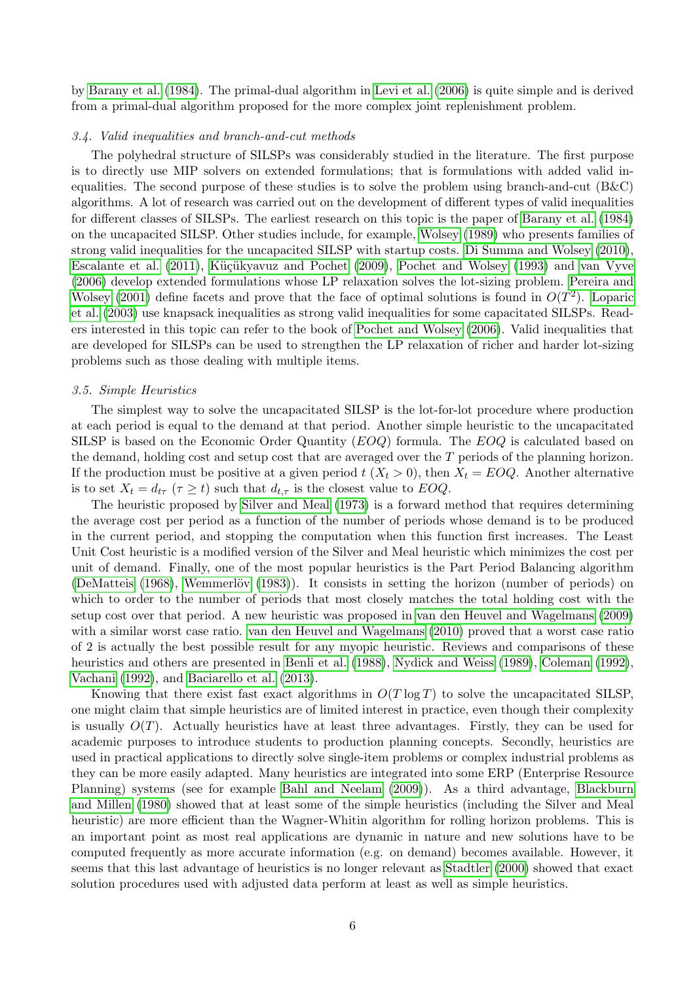by [Barany et al.](#page-31-1) [\(1984\)](#page-31-1). The primal-dual algorithm in [Levi et al.](#page-38-0) [\(2006\)](#page-38-0) is quite simple and is derived from a primal-dual algorithm proposed for the more complex joint replenishment problem.

### 3.4. Valid inequalities and branch-and-cut methods

The polyhedral structure of SILSPs was considerably studied in the literature. The first purpose is to directly use MIP solvers on extended formulations; that is formulations with added valid inequalities. The second purpose of these studies is to solve the problem using branch-and-cut (B&C) algorithms. A lot of research was carried out on the development of different types of valid inequalities for different classes of SILSPs. The earliest research on this topic is the paper of [Barany et al.](#page-31-1) [\(1984\)](#page-31-1) on the uncapacited SILSP. Other studies include, for example, [Wolsey](#page-44-2) [\(1989\)](#page-44-2) who presents families of strong valid inequalities for the uncapacited SILSP with startup costs. [Di Summa and Wolsey](#page-34-3) [\(2010\)](#page-34-3), [Escalante et al.](#page-34-4) [\(2011\)](#page-34-4), Küçükyavuz and Pochet [\(2009\)](#page-38-1), [Pochet and Wolsey](#page-40-1) [\(1993\)](#page-40-1) and [van Vyve](#page-43-1) [\(2006\)](#page-43-1) develop extended formulations whose LP relaxation solves the lot-sizing problem. [Pereira and](#page-40-2) [Wolsey](#page-40-2) [\(2001\)](#page-40-2) define facets and prove that the face of optimal solutions is found in  $O(T^2)$ . [Loparic](#page-39-1) [et al.](#page-39-1) [\(2003\)](#page-39-1) use knapsack inequalities as strong valid inequalities for some capacitated SILSPs. Readers interested in this topic can refer to the book of [Pochet and Wolsey](#page-40-0) [\(2006\)](#page-40-0). Valid inequalities that are developed for SILSPs can be used to strengthen the LP relaxation of richer and harder lot-sizing problems such as those dealing with multiple items.

# <span id="page-6-0"></span>3.5. Simple Heuristics

The simplest way to solve the uncapacitated SILSP is the lot-for-lot procedure where production at each period is equal to the demand at that period. Another simple heuristic to the uncapacitated SILSP is based on the Economic Order Quantity (EOQ) formula. The EOQ is calculated based on the demand, holding cost and setup cost that are averaged over the T periods of the planning horizon. If the production must be positive at a given period  $t$   $(X_t > 0)$ , then  $X_t = EOQ$ . Another alternative is to set  $X_t = d_{t\tau}$  ( $\tau \geq t$ ) such that  $d_{t,\tau}$  is the closest value to EOQ.

The heuristic proposed by [Silver and Meal](#page-41-0) [\(1973\)](#page-41-0) is a forward method that requires determining the average cost per period as a function of the number of periods whose demand is to be produced in the current period, and stopping the computation when this function first increases. The Least Unit Cost heuristic is a modified version of the Silver and Meal heuristic which minimizes the cost per unit of demand. Finally, one of the most popular heuristics is the Part Period Balancing algorithm [\(DeMatteis](#page-34-5) [\(1968\)](#page-34-5), Wemmerlöv [\(1983\)](#page-44-3)). It consists in setting the horizon (number of periods) on which to order to the number of periods that most closely matches the total holding cost with the setup cost over that period. A new heuristic was proposed in [van den Heuvel and Wagelmans](#page-43-2) [\(2009\)](#page-43-2) with a similar worst case ratio. [van den Heuvel and Wagelmans](#page-43-3) [\(2010\)](#page-43-3) proved that a worst case ratio of 2 is actually the best possible result for any myopic heuristic. Reviews and comparisons of these heuristics and others are presented in [Benli et al.](#page-31-3) [\(1988\)](#page-31-3), [Nydick and Weiss](#page-39-2) [\(1989\)](#page-39-2), [Coleman](#page-33-1) [\(1992\)](#page-33-1), [Vachani](#page-43-4) [\(1992\)](#page-43-4), and [Baciarello et al.](#page-31-4) [\(2013\)](#page-31-4).

Knowing that there exist fast exact algorithms in  $O(T \log T)$  to solve the uncapacitated SILSP, one might claim that simple heuristics are of limited interest in practice, even though their complexity is usually  $O(T)$ . Actually heuristics have at least three advantages. Firstly, they can be used for academic purposes to introduce students to production planning concepts. Secondly, heuristics are used in practical applications to directly solve single-item problems or complex industrial problems as they can be more easily adapted. Many heuristics are integrated into some ERP (Enterprise Resource Planning) systems (see for example [Bahl and Neelam](#page-31-5) [\(2009\)](#page-31-5)). As a third advantage, [Blackburn](#page-31-6) [and Millen](#page-31-6) [\(1980\)](#page-31-6) showed that at least some of the simple heuristics (including the Silver and Meal heuristic) are more efficient than the Wagner-Whitin algorithm for rolling horizon problems. This is an important point as most real applications are dynamic in nature and new solutions have to be computed frequently as more accurate information (e.g. on demand) becomes available. However, it seems that this last advantage of heuristics is no longer relevant as [Stadtler](#page-42-0) [\(2000\)](#page-42-0) showed that exact solution procedures used with adjusted data perform at least as well as simple heuristics.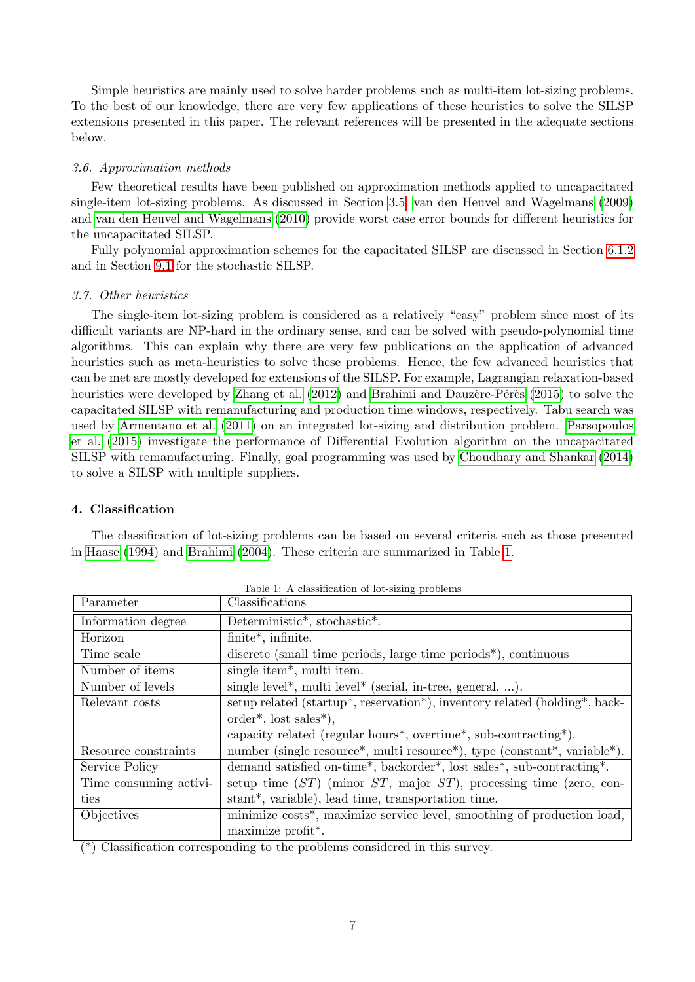Simple heuristics are mainly used to solve harder problems such as multi-item lot-sizing problems. To the best of our knowledge, there are very few applications of these heuristics to solve the SILSP extensions presented in this paper. The relevant references will be presented in the adequate sections below.

# 3.6. Approximation methods

Few theoretical results have been published on approximation methods applied to uncapacitated single-item lot-sizing problems. As discussed in Section [3.5,](#page-6-0) [van den Heuvel and Wagelmans](#page-43-2) [\(2009\)](#page-43-2) and [van den Heuvel and Wagelmans](#page-43-3) [\(2010\)](#page-43-3) provide worst case error bounds for different heuristics for the uncapacitated SILSP.

Fully polynomial approximation schemes for the capacitated SILSP are discussed in Section [6.1.2](#page-11-0) and in Section [9.1](#page-19-1) for the stochastic SILSP.

# 3.7. Other heuristics

The single-item lot-sizing problem is considered as a relatively "easy" problem since most of its difficult variants are NP-hard in the ordinary sense, and can be solved with pseudo-polynomial time algorithms. This can explain why there are very few publications on the application of advanced heuristics such as meta-heuristics to solve these problems. Hence, the few advanced heuristics that can be met are mostly developed for extensions of the SILSP. For example, Lagrangian relaxation-based heuristics were developed by [Zhang et al.](#page-45-1) [\(2012\)](#page-45-1) and Brahimi and Dauzère-Pérès [\(2015\)](#page-32-2) to solve the capacitated SILSP with remanufacturing and production time windows, respectively. Tabu search was used by [Armentano et al.](#page-30-1) [\(2011\)](#page-30-1) on an integrated lot-sizing and distribution problem. [Parsopoulos](#page-40-3) [et al.](#page-40-3) [\(2015\)](#page-40-3) investigate the performance of Differential Evolution algorithm on the uncapacitated SILSP with remanufacturing. Finally, goal programming was used by [Choudhary and Shankar](#page-33-2) [\(2014\)](#page-33-2) to solve a SILSP with multiple suppliers.

# <span id="page-7-0"></span>4. Classification

The classification of lot-sizing problems can be based on several criteria such as those presented in [Haase](#page-36-2) [\(1994\)](#page-36-2) and [Brahimi](#page-32-3) [\(2004\)](#page-32-3). These criteria are summarized in Table [1.](#page-7-1)

| Parameter              | Classifications                                                                                        |
|------------------------|--------------------------------------------------------------------------------------------------------|
| Information degree     | Deterministic*, stochastic*.                                                                           |
| Horizon                | finite*, infinite.                                                                                     |
| Time scale             | discrete (small time periods, large time periods <sup>*</sup> ), continuous                            |
| Number of items        | single item*, multi item.                                                                              |
| Number of levels       | single level*, multi level* (serial, in-tree, general, ).                                              |
| Relevant costs         | setup related (startup*, reservation*), inventory related (holding*, back-                             |
|                        | $order^*,$ lost sales <sup>*</sup> ),                                                                  |
|                        | capacity related (regular hours <sup>*</sup> , overtime <sup>*</sup> , sub-contracting <sup>*</sup> ). |
| Resource constraints   | number (single resource*, multi resource*), type (constant*, variable*).                               |
| Service Policy         | demand satisfied on-time*, backorder*, lost sales*, sub-contracting*.                                  |
| Time consuming activi- | setup time $(ST)$ (minor $ST$ , major $ST$ ), processing time (zero, con-                              |
| ties                   | stant*, variable), lead time, transportation time.                                                     |
| Objectives             | minimize costs*, maximize service level, smoothing of production load,                                 |
|                        | maximize profit*.                                                                                      |

<span id="page-7-1"></span>Table 1: A classification of lot-sizing problems

(\*) Classification corresponding to the problems considered in this survey.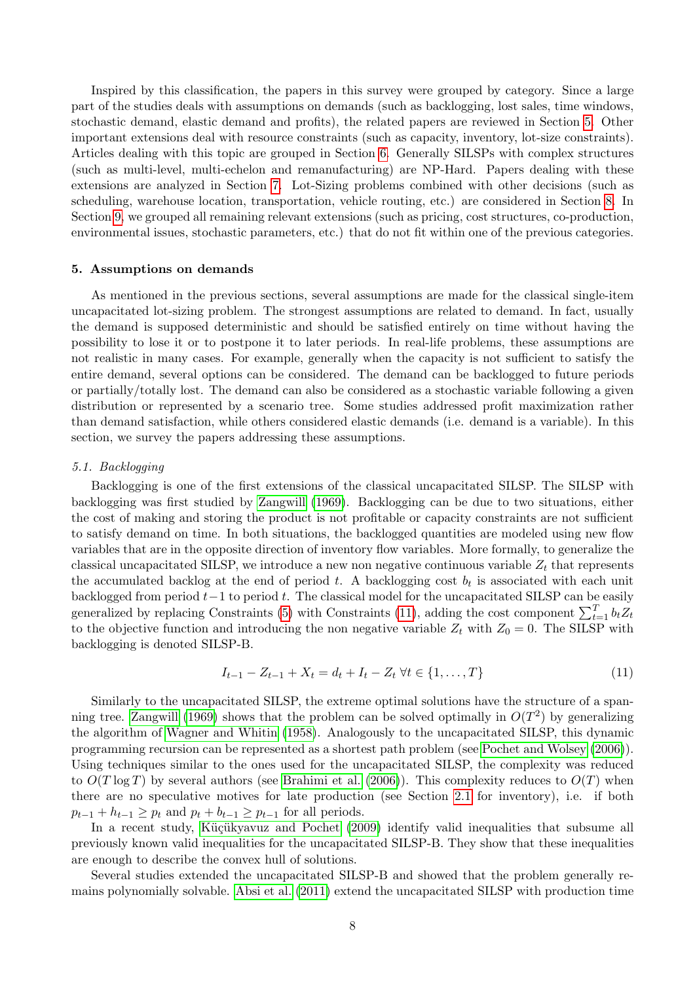Inspired by this classification, the papers in this survey were grouped by category. Since a large part of the studies deals with assumptions on demands (such as backlogging, lost sales, time windows, stochastic demand, elastic demand and profits), the related papers are reviewed in Section [5.](#page-8-0) Other important extensions deal with resource constraints (such as capacity, inventory, lot-size constraints). Articles dealing with this topic are grouped in Section [6.](#page-10-0) Generally SILSPs with complex structures (such as multi-level, multi-echelon and remanufacturing) are NP-Hard. Papers dealing with these extensions are analyzed in Section [7.](#page-15-0) Lot-Sizing problems combined with other decisions (such as scheduling, warehouse location, transportation, vehicle routing, etc.) are considered in Section [8.](#page-17-0) In Section [9,](#page-19-0) we grouped all remaining relevant extensions (such as pricing, cost structures, co-production, environmental issues, stochastic parameters, etc.) that do not fit within one of the previous categories.

### <span id="page-8-0"></span>5. Assumptions on demands

As mentioned in the previous sections, several assumptions are made for the classical single-item uncapacitated lot-sizing problem. The strongest assumptions are related to demand. In fact, usually the demand is supposed deterministic and should be satisfied entirely on time without having the possibility to lose it or to postpone it to later periods. In real-life problems, these assumptions are not realistic in many cases. For example, generally when the capacity is not sufficient to satisfy the entire demand, several options can be considered. The demand can be backlogged to future periods or partially/totally lost. The demand can also be considered as a stochastic variable following a given distribution or represented by a scenario tree. Some studies addressed profit maximization rather than demand satisfaction, while others considered elastic demands (i.e. demand is a variable). In this section, we survey the papers addressing these assumptions.

### <span id="page-8-2"></span>5.1. Backlogging

Backlogging is one of the first extensions of the classical uncapacitated SILSP. The SILSP with backlogging was first studied by [Zangwill](#page-45-2) [\(1969\)](#page-45-2). Backlogging can be due to two situations, either the cost of making and storing the product is not profitable or capacity constraints are not sufficient to satisfy demand on time. In both situations, the backlogged quantities are modeled using new flow variables that are in the opposite direction of inventory flow variables. More formally, to generalize the classical uncapacitated SILSP, we introduce a new non negative continuous variable  $Z_t$  that represents the accumulated backlog at the end of period t. A backlogging cost  $b_t$  is associated with each unit backlogged from period  $t-1$  to period t. The classical model for the uncapacitated SILSP can be easily generalized by replacing Constraints [\(5\)](#page-4-2) with Constraints [\(11\)](#page-8-1), adding the cost component  $\sum_{t=1}^{T} b_t Z_t$ to the objective function and introducing the non negative variable  $Z_t$  with  $Z_0 = 0$ . The SILSP with backlogging is denoted SILSP-B.

<span id="page-8-1"></span>
$$
I_{t-1} - Z_{t-1} + X_t = d_t + I_t - Z_t \,\forall t \in \{1, ..., T\}
$$
\n
$$
(11)
$$

Similarly to the uncapacitated SILSP, the extreme optimal solutions have the structure of a span-ning tree. [Zangwill](#page-45-2) [\(1969\)](#page-45-2) shows that the problem can be solved optimally in  $O(T^2)$  by generalizing the algorithm of [Wagner and Whitin](#page-44-0) [\(1958\)](#page-44-0). Analogously to the uncapacitated SILSP, this dynamic programming recursion can be represented as a shortest path problem (see [Pochet and Wolsey](#page-40-0) [\(2006\)](#page-40-0)). Using techniques similar to the ones used for the uncapacitated SILSP, the complexity was reduced to  $O(T \log T)$  by several authors (see [Brahimi et al.](#page-32-0) [\(2006\)](#page-32-0)). This complexity reduces to  $O(T)$  when there are no speculative motives for late production (see Section [2.1](#page-3-3) for inventory), i.e. if both  $p_{t-1} + h_{t-1} \geq p_t$  and  $p_t + b_{t-1} \geq p_{t-1}$  for all periods.

In a recent study, Küçükyavuz and Pochet [\(2009\)](#page-38-1) identify valid inequalities that subsume all previously known valid inequalities for the uncapacitated SILSP-B. They show that these inequalities are enough to describe the convex hull of solutions.

Several studies extended the uncapacitated SILSP-B and showed that the problem generally remains polynomially solvable. [Absi et al.](#page-29-0) [\(2011\)](#page-29-0) extend the uncapacitated SILSP with production time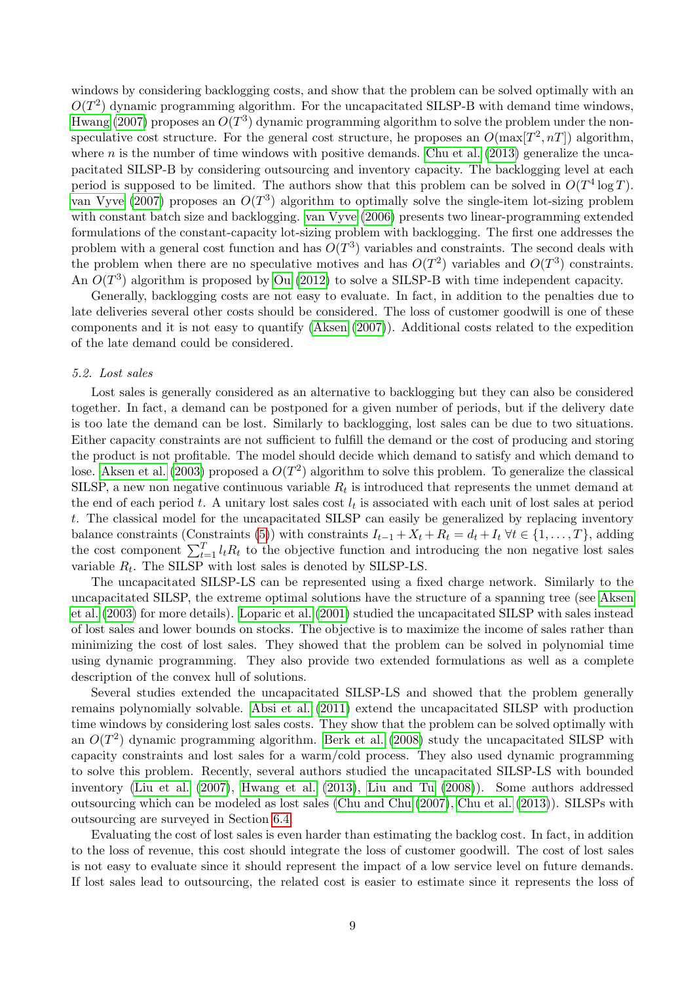windows by considering backlogging costs, and show that the problem can be solved optimally with an  $O(T^2)$  dynamic programming algorithm. For the uncapacitated SILSP-B with demand time windows, [Hwang](#page-37-2) [\(2007\)](#page-37-2) proposes an  $O(T^3)$  dynamic programming algorithm to solve the problem under the nonspeculative cost structure. For the general cost structure, he proposes an  $O(\max[T^2, nT])$  algorithm, where n is the number of time windows with positive demands. [Chu et al.](#page-33-3)  $(2013)$  generalize the uncapacitated SILSP-B by considering outsourcing and inventory capacity. The backlogging level at each period is supposed to be limited. The authors show that this problem can be solved in  $O(T^4 \log T)$ . [van Vyve](#page-43-5) [\(2007\)](#page-43-5) proposes an  $O(T^3)$  algorithm to optimally solve the single-item lot-sizing problem with constant batch size and backlogging. [van Vyve](#page-43-1) [\(2006\)](#page-43-1) presents two linear-programming extended formulations of the constant-capacity lot-sizing problem with backlogging. The first one addresses the problem with a general cost function and has  $O(T^3)$  variables and constraints. The second deals with the problem when there are no speculative motives and has  $O(T^2)$  variables and  $O(T^3)$  constraints. An  $O(T^3)$  algorithm is proposed by [Ou](#page-40-4) [\(2012\)](#page-40-4) to solve a SILSP-B with time independent capacity.

Generally, backlogging costs are not easy to evaluate. In fact, in addition to the penalties due to late deliveries several other costs should be considered. The loss of customer goodwill is one of these components and it is not easy to quantify [\(Aksen](#page-30-2) [\(2007\)](#page-30-2)). Additional costs related to the expedition of the late demand could be considered.

### 5.2. Lost sales

Lost sales is generally considered as an alternative to backlogging but they can also be considered together. In fact, a demand can be postponed for a given number of periods, but if the delivery date is too late the demand can be lost. Similarly to backlogging, lost sales can be due to two situations. Either capacity constraints are not sufficient to fulfill the demand or the cost of producing and storing the product is not profitable. The model should decide which demand to satisfy and which demand to lose. [Aksen et al.](#page-30-3) [\(2003\)](#page-30-3) proposed a  $O(T^2)$  algorithm to solve this problem. To generalize the classical SILSP, a new non negative continuous variable  $R_t$  is introduced that represents the unmet demand at the end of each period t. A unitary lost sales cost  $l_t$  is associated with each unit of lost sales at period t. The classical model for the uncapacitated SILSP can easily be generalized by replacing inventory balance constraints (Constraints [\(5\)](#page-4-2)) with constraints  $I_{t-1} + X_t + R_t = d_t + I_t \ \forall t \in \{1, ..., T\}$ , adding the cost component  $\sum_{t=1}^{T} l_t R_t$  to the objective function and introducing the non negative lost sales variable  $R_t$ . The SILSP with lost sales is denoted by SILSP-LS.

The uncapacitated SILSP-LS can be represented using a fixed charge network. Similarly to the uncapacitated SILSP, the extreme optimal solutions have the structure of a spanning tree (see [Aksen](#page-30-3) [et al.](#page-30-3) [\(2003\)](#page-30-3) for more details). [Loparic et al.](#page-39-3) [\(2001\)](#page-39-3) studied the uncapacitated SILSP with sales instead of lost sales and lower bounds on stocks. The objective is to maximize the income of sales rather than minimizing the cost of lost sales. They showed that the problem can be solved in polynomial time using dynamic programming. They also provide two extended formulations as well as a complete description of the convex hull of solutions.

Several studies extended the uncapacitated SILSP-LS and showed that the problem generally remains polynomially solvable. [Absi et al.](#page-29-0) [\(2011\)](#page-29-0) extend the uncapacitated SILSP with production time windows by considering lost sales costs. They show that the problem can be solved optimally with an  $O(T^2)$  dynamic programming algorithm. [Berk et al.](#page-31-7) [\(2008\)](#page-31-7) study the uncapacitated SILSP with capacity constraints and lost sales for a warm/cold process. They also used dynamic programming to solve this problem. Recently, several authors studied the uncapacitated SILSP-LS with bounded inventory [\(Liu et al.](#page-39-4) [\(2007\)](#page-39-4), [Hwang et al.](#page-37-3) [\(2013\)](#page-37-3), [Liu and Tu](#page-39-5) [\(2008\)](#page-39-5)). Some authors addressed outsourcing which can be modeled as lost sales [\(Chu and Chu](#page-33-4) [\(2007\)](#page-33-4), [Chu et al.](#page-33-3) [\(2013\)](#page-33-3)). SILSPs with outsourcing are surveyed in Section [6.4.](#page-14-0)

Evaluating the cost of lost sales is even harder than estimating the backlog cost. In fact, in addition to the loss of revenue, this cost should integrate the loss of customer goodwill. The cost of lost sales is not easy to evaluate since it should represent the impact of a low service level on future demands. If lost sales lead to outsourcing, the related cost is easier to estimate since it represents the loss of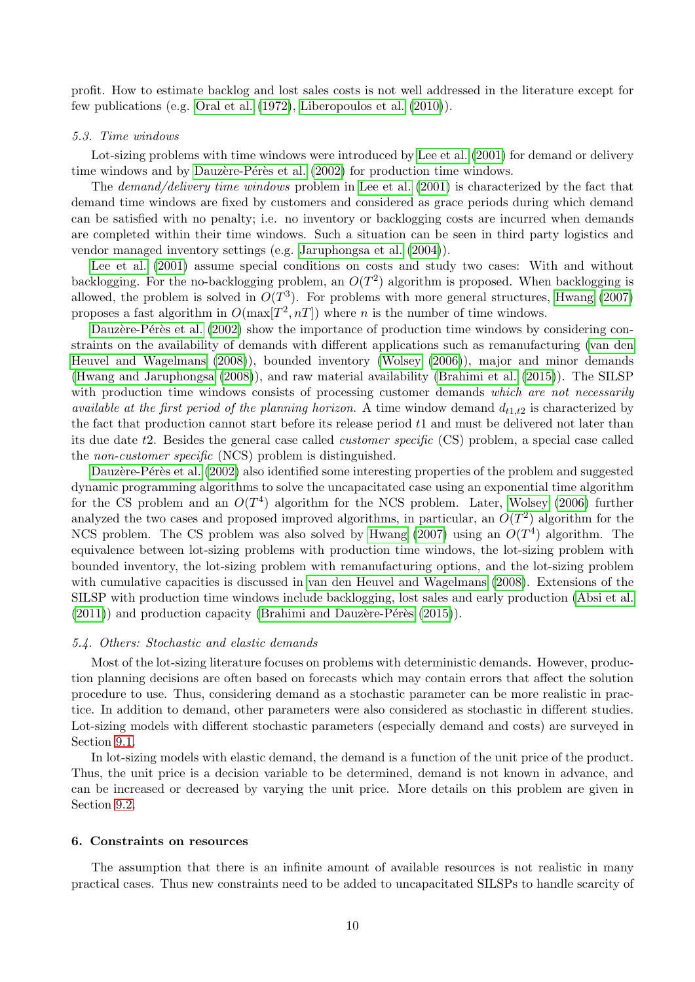profit. How to estimate backlog and lost sales costs is not well addressed in the literature except for few publications (e.g. [Oral et al.](#page-40-5) [\(1972\)](#page-40-5), [Liberopoulos et al.](#page-39-6) [\(2010\)](#page-39-6)).

#### 5.3. Time windows

Lot-sizing problems with time windows were introduced by [Lee et al.](#page-38-2) [\(2001\)](#page-38-2) for demand or delivery time windows and by Dauzère-Pérès et al.  $(2002)$  for production time windows.

The demand/delivery time windows problem in [Lee et al.](#page-38-2) [\(2001\)](#page-38-2) is characterized by the fact that demand time windows are fixed by customers and considered as grace periods during which demand can be satisfied with no penalty; i.e. no inventory or backlogging costs are incurred when demands are completed within their time windows. Such a situation can be seen in third party logistics and vendor managed inventory settings (e.g. [Jaruphongsa et al.](#page-37-4) [\(2004\)](#page-37-4)).

[Lee et al.](#page-38-2) [\(2001\)](#page-38-2) assume special conditions on costs and study two cases: With and without backlogging. For the no-backlogging problem, an  $O(T^2)$  algorithm is proposed. When backlogging is allowed, the problem is solved in  $O(T^3)$ . For problems with more general structures, [Hwang](#page-37-2) [\(2007\)](#page-37-2) proposes a fast algorithm in  $O(\max[T^2, nT])$  where *n* is the number of time windows.

Dauzère-Pérès et al. [\(2002\)](#page-33-5) show the importance of production time windows by considering constraints on the availability of demands with different applications such as remanufacturing [\(van den](#page-43-6) [Heuvel and Wagelmans](#page-43-6) [\(2008\)](#page-43-6)), bounded inventory [\(Wolsey](#page-44-4) [\(2006\)](#page-44-4)), major and minor demands [\(Hwang and Jaruphongsa](#page-37-5) [\(2008\)](#page-37-5)), and raw material availability [\(Brahimi et al.](#page-32-4) [\(2015\)](#page-32-4)). The SILSP with production time windows consists of processing customer demands which are not necessarily available at the first period of the planning horizon. A time window demand  $d_{t1,t2}$  is characterized by the fact that production cannot start before its release period t1 and must be delivered not later than its due date t2. Besides the general case called customer specific (CS) problem, a special case called the non-customer specific (NCS) problem is distinguished.

Dauzère-Pérès et al. [\(2002\)](#page-33-5) also identified some interesting properties of the problem and suggested dynamic programming algorithms to solve the uncapacitated case using an exponential time algorithm for the CS problem and an  $O(T^4)$  algorithm for the NCS problem. Later, [Wolsey](#page-44-4) [\(2006\)](#page-44-4) further analyzed the two cases and proposed improved algorithms, in particular, an  $O(T^2)$  algorithm for the NCS problem. The CS problem was also solved by [Hwang](#page-37-6)  $(2007)$  using an  $O(T<sup>4</sup>)$  algorithm. The equivalence between lot-sizing problems with production time windows, the lot-sizing problem with bounded inventory, the lot-sizing problem with remanufacturing options, and the lot-sizing problem with cumulative capacities is discussed in [van den Heuvel and Wagelmans](#page-43-6) [\(2008\)](#page-43-6). Extensions of the SILSP with production time windows include backlogging, lost sales and early production [\(Absi et al.](#page-29-0)  $(2011)$  and production capacity (Brahimi and Dauzère-Pérès  $(2015)$ ).

### <span id="page-10-1"></span>5.4. Others: Stochastic and elastic demands

Most of the lot-sizing literature focuses on problems with deterministic demands. However, production planning decisions are often based on forecasts which may contain errors that affect the solution procedure to use. Thus, considering demand as a stochastic parameter can be more realistic in practice. In addition to demand, other parameters were also considered as stochastic in different studies. Lot-sizing models with different stochastic parameters (especially demand and costs) are surveyed in Section [9.1.](#page-19-1)

In lot-sizing models with elastic demand, the demand is a function of the unit price of the product. Thus, the unit price is a decision variable to be determined, demand is not known in advance, and can be increased or decreased by varying the unit price. More details on this problem are given in Section [9.2.](#page-21-0)

### <span id="page-10-0"></span>6. Constraints on resources

The assumption that there is an infinite amount of available resources is not realistic in many practical cases. Thus new constraints need to be added to uncapacitated SILSPs to handle scarcity of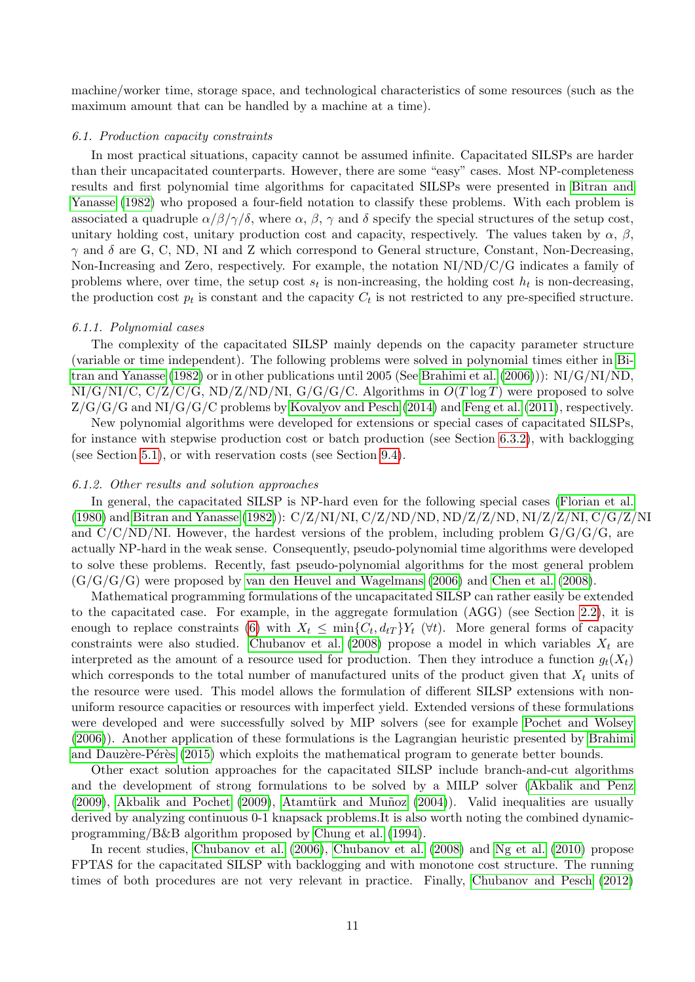machine/worker time, storage space, and technological characteristics of some resources (such as the maximum amount that can be handled by a machine at a time).

### 6.1. Production capacity constraints

In most practical situations, capacity cannot be assumed infinite. Capacitated SILSPs are harder than their uncapacitated counterparts. However, there are some "easy" cases. Most NP-completeness results and first polynomial time algorithms for capacitated SILSPs were presented in [Bitran and](#page-31-8) [Yanasse](#page-31-8) [\(1982\)](#page-31-8) who proposed a four-field notation to classify these problems. With each problem is associated a quadruple  $\alpha/\beta/\gamma/\delta$ , where  $\alpha, \beta, \gamma$  and  $\delta$  specify the special structures of the setup cost, unitary holding cost, unitary production cost and capacity, respectively. The values taken by  $\alpha$ ,  $\beta$ ,  $\gamma$  and  $\delta$  are G, C, ND, NI and Z which correspond to General structure, Constant, Non-Decreasing, Non-Increasing and Zero, respectively. For example, the notation NI/ND/C/G indicates a family of problems where, over time, the setup cost  $s_t$  is non-increasing, the holding cost  $h_t$  is non-decreasing, the production cost  $p_t$  is constant and the capacity  $C_t$  is not restricted to any pre-specified structure.

### 6.1.1. Polynomial cases

The complexity of the capacitated SILSP mainly depends on the capacity parameter structure (variable or time independent). The following problems were solved in polynomial times either in [Bi](#page-31-8)[tran and Yanasse](#page-31-8) [\(1982\)](#page-31-8) or in other publications until 2005 (See [Brahimi et al.](#page-32-0) [\(2006\)](#page-32-0))): NI/G/NI/ND,  $N I/G/N I/C$ ,  $C/Z/C/G$ ,  $N D/Z/N D/N I$ ,  $G/G/G/C$ . Algorithms in  $O(T \log T)$  were proposed to solve Z/G/G/G and NI/G/G/C problems by [Kovalyov and Pesch](#page-38-3) [\(2014\)](#page-38-3) and [Feng et al.](#page-34-6) [\(2011\)](#page-34-6), respectively.

New polynomial algorithms were developed for extensions or special cases of capacitated SILSPs, for instance with stepwise production cost or batch production (see Section [6.3.2\)](#page-13-0), with backlogging (see Section [5.1\)](#page-8-2), or with reservation costs (see Section [9.4\)](#page-25-0).

### <span id="page-11-0"></span>6.1.2. Other results and solution approaches

In general, the capacitated SILSP is NP-hard even for the following special cases [\(Florian et al.](#page-35-2) [\(1980\)](#page-35-2) and [Bitran and Yanasse](#page-31-8) [\(1982\)](#page-31-8)): C/Z/NI/NI, C/Z/ND/ND, ND/Z/Z/ND, NI/Z/Z/NI, C/G/Z/NI and  $C/C/ND/NI$ . However, the hardest versions of the problem, including problem  $G/G/G/G$ , are actually NP-hard in the weak sense. Consequently, pseudo-polynomial time algorithms were developed to solve these problems. Recently, fast pseudo-polynomial algorithms for the most general problem  $(G/G/G/G)$  were proposed by [van den Heuvel and Wagelmans](#page-43-7) [\(2006\)](#page-43-7) and [Chen et al.](#page-32-5) [\(2008\)](#page-32-5).

Mathematical programming formulations of the uncapacitated SILSP can rather easily be extended to the capacitated case. For example, in the aggregate formulation (AGG) (see Section [2.2\)](#page-4-7), it is enough to replace constraints [\(6\)](#page-4-3) with  $X_t \leq \min\{C_t, d_{tT}\} Y_t$  ( $\forall t$ ). More general forms of capacity constraints were also studied. [Chubanov et al.](#page-33-6) [\(2008\)](#page-33-6) propose a model in which variables  $X_t$  are interpreted as the amount of a resource used for production. Then they introduce a function  $g_t(X_t)$ which corresponds to the total number of manufactured units of the product given that  $X_t$  units of the resource were used. This model allows the formulation of different SILSP extensions with nonuniform resource capacities or resources with imperfect yield. Extended versions of these formulations were developed and were successfully solved by MIP solvers (see for example [Pochet and Wolsey](#page-40-0) [\(2006\)](#page-40-0)). Another application of these formulations is the Lagrangian heuristic presented by [Brahimi](#page-32-2) and Dauzère-Pérès [\(2015\)](#page-32-2) which exploits the mathematical program to generate better bounds.

Other exact solution approaches for the capacitated SILSP include branch-and-cut algorithms and the development of strong formulations to be solved by a MILP solver [\(Akbalik and Penz](#page-29-1) [\(2009\)](#page-29-2), [Akbalik and Pochet](#page-29-2) (2009), Atamtürk and Muñoz [\(2004\)](#page-30-4)). Valid inequalities are usually derived by analyzing continuous 0-1 knapsack problems.It is also worth noting the combined dynamicprogramming/B&B algorithm proposed by [Chung et al.](#page-33-0) [\(1994\)](#page-33-0).

In recent studies, [Chubanov et al.](#page-33-7) [\(2006\)](#page-33-7), [Chubanov et al.](#page-33-6) [\(2008\)](#page-33-6) and [Ng et al.](#page-39-7) [\(2010\)](#page-39-7) propose FPTAS for the capacitated SILSP with backlogging and with monotone cost structure. The running times of both procedures are not very relevant in practice. Finally, [Chubanov and Pesch](#page-33-8) [\(2012\)](#page-33-8)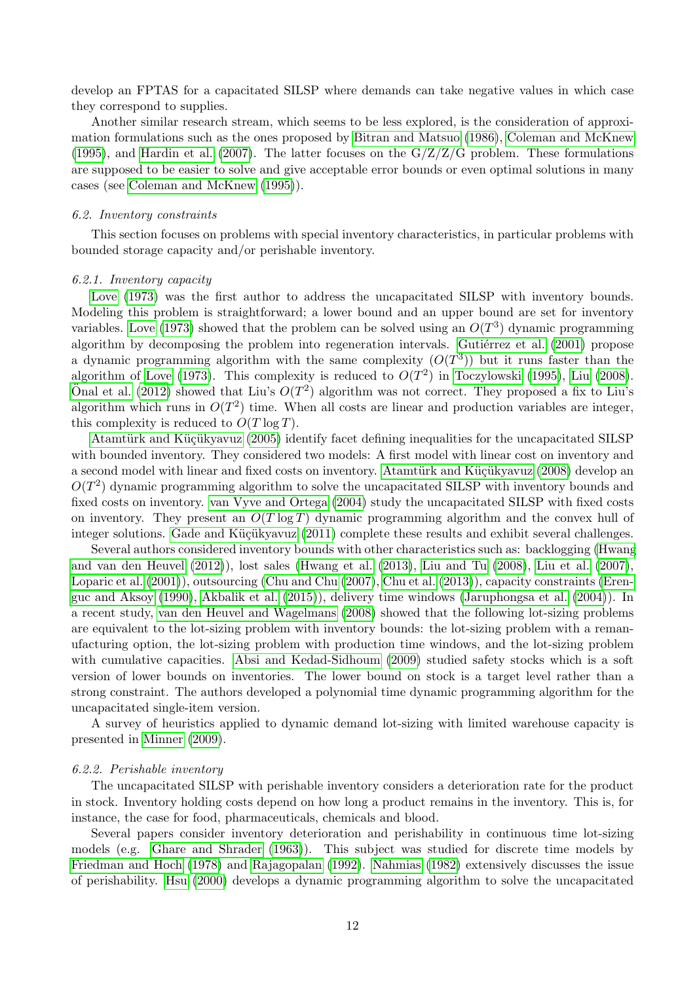develop an FPTAS for a capacitated SILSP where demands can take negative values in which case they correspond to supplies.

Another similar research stream, which seems to be less explored, is the consideration of approximation formulations such as the ones proposed by [Bitran and Matsuo](#page-31-9) [\(1986\)](#page-31-9), [Coleman and McKnew](#page-33-9) [\(1995\)](#page-33-9), and [Hardin et al.](#page-36-1) [\(2007\)](#page-36-1). The latter focuses on the  $G/Z/Z/G$  problem. These formulations are supposed to be easier to solve and give acceptable error bounds or even optimal solutions in many cases (see [Coleman and McKnew](#page-33-9) [\(1995\)](#page-33-9)).

### 6.2. Inventory constraints

This section focuses on problems with special inventory characteristics, in particular problems with bounded storage capacity and/or perishable inventory.

### 6.2.1. Inventory capacity

[Love](#page-39-8) [\(1973\)](#page-39-8) was the first author to address the uncapacitated SILSP with inventory bounds. Modeling this problem is straightforward; a lower bound and an upper bound are set for inventory variables. [Love](#page-39-8) [\(1973\)](#page-39-8) showed that the problem can be solved using an  $O(T^3)$  dynamic programming algorithm by decomposing the problem into regeneration intervals. Gutiérrez et al.  $(2001)$  propose a dynamic programming algorithm with the same complexity  $(O(T^3))$  but it runs faster than the algorithm of [Love](#page-39-8) [\(1973\)](#page-39-8). This complexity is reduced to  $O(T^2)$  in [Toczylowski](#page-42-1) [\(1995\)](#page-42-1), [Liu](#page-39-9) [\(2008\)](#page-39-9). [Onal et al.](#page-40-6) [\(2012\)](#page-40-6) showed that Liu's  $O(T^2)$  algorithm was not correct. They proposed a fix to Liu's algorithm which runs in  $O(T^2)$  time. When all costs are linear and production variables are integer, this complexity is reduced to  $O(T \log T)$ .

Atamtürk and Küçükyavuz [\(2005\)](#page-30-5) identify facet defining inequalities for the uncapacitated SILSP with bounded inventory. They considered two models: A first model with linear cost on inventory and a second model with linear and fixed costs on inventory. Atamtürk and Küçükyavuz [\(2008\)](#page-30-6) develop an  $O(T^2)$  dynamic programming algorithm to solve the uncapacitated SILSP with inventory bounds and fixed costs on inventory. [van Vyve and Ortega](#page-43-8) [\(2004\)](#page-43-8) study the uncapacitated SILSP with fixed costs on inventory. They present an  $O(T \log T)$  dynamic programming algorithm and the convex hull of integer solutions. Gade and Küçükyavuz [\(2011\)](#page-35-3) complete these results and exhibit several challenges.

Several authors considered inventory bounds with other characteristics such as: backlogging [\(Hwang](#page-37-7) [and van den Heuvel](#page-37-7) [\(2012\)](#page-37-7)), lost sales [\(Hwang et al.](#page-37-3) [\(2013\)](#page-37-3), [Liu and Tu](#page-39-5) [\(2008\)](#page-39-5), [Liu et al.](#page-39-4) [\(2007\)](#page-39-4), [Loparic et al.](#page-39-3) [\(2001\)](#page-39-3)), outsourcing [\(Chu and Chu](#page-33-4) [\(2007\)](#page-33-4), [Chu et al.](#page-33-3) [\(2013\)](#page-33-3)), capacity constraints [\(Eren](#page-34-2)[guc and Aksoy](#page-34-2) [\(1990\)](#page-34-2), [Akbalik et al.](#page-29-3) [\(2015\)](#page-29-3)), delivery time windows [\(Jaruphongsa et al.](#page-37-4) [\(2004\)](#page-37-4)). In a recent study, [van den Heuvel and Wagelmans](#page-43-6) [\(2008\)](#page-43-6) showed that the following lot-sizing problems are equivalent to the lot-sizing problem with inventory bounds: the lot-sizing problem with a remanufacturing option, the lot-sizing problem with production time windows, and the lot-sizing problem with cumulative capacities. [Absi and Kedad-Sidhoum](#page-29-4) [\(2009\)](#page-29-4) studied safety stocks which is a soft version of lower bounds on inventories. The lower bound on stock is a target level rather than a strong constraint. The authors developed a polynomial time dynamic programming algorithm for the uncapacitated single-item version.

A survey of heuristics applied to dynamic demand lot-sizing with limited warehouse capacity is presented in [Minner](#page-39-10) [\(2009\)](#page-39-10).

### 6.2.2. Perishable inventory

The uncapacitated SILSP with perishable inventory considers a deterioration rate for the product in stock. Inventory holding costs depend on how long a product remains in the inventory. This is, for instance, the case for food, pharmaceuticals, chemicals and blood.

Several papers consider inventory deterioration and perishability in continuous time lot-sizing models (e.g. [Ghare and Shrader](#page-35-4) [\(1963\)](#page-35-4)). This subject was studied for discrete time models by [Friedman and Hoch](#page-35-5) [\(1978\)](#page-35-5) and [Rajagopalan](#page-41-1) [\(1992\)](#page-41-1). [Nahmias](#page-39-11) [\(1982\)](#page-39-11) extensively discusses the issue of perishability. [Hsu](#page-36-4) [\(2000\)](#page-36-4) develops a dynamic programming algorithm to solve the uncapacitated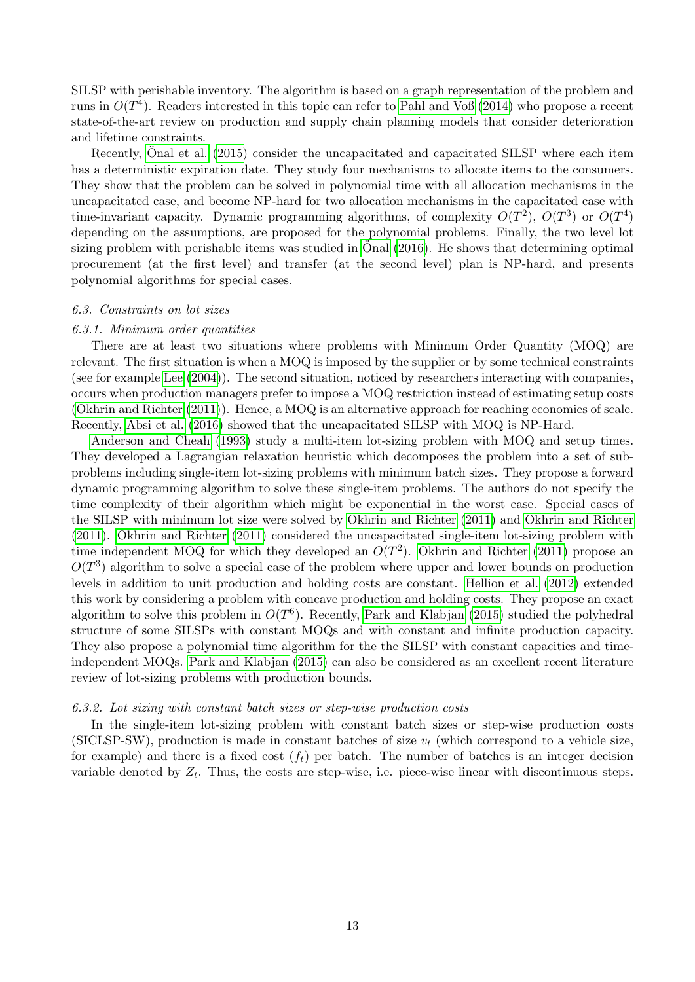SILSP with perishable inventory. The algorithm is based on a graph representation of the problem and runs in  $O(T^4)$ . Readers interested in this topic can refer to [Pahl and Voß](#page-40-7) [\(2014\)](#page-40-7) who propose a recent state-of-the-art review on production and supply chain planning models that consider deterioration and lifetime constraints.

Recently, [Onal et al.](#page-40-8) [\(2015\)](#page-40-8) consider the uncapacitated and capacitated SILSP where each item has a deterministic expiration date. They study four mechanisms to allocate items to the consumers. They show that the problem can be solved in polynomial time with all allocation mechanisms in the uncapacitated case, and become NP-hard for two allocation mechanisms in the capacitated case with time-invariant capacity. Dynamic programming algorithms, of complexity  $O(T^2)$ ,  $O(T^3)$  or  $O(T^4)$ depending on the assumptions, are proposed for the polynomial problems. Finally, the two level lot sizing problem with perishable items was studied in  $\overline{O}$ nal [\(2016\)](#page-40-9). He shows that determining optimal procurement (at the first level) and transfer (at the second level) plan is NP-hard, and presents polynomial algorithms for special cases.

### <span id="page-13-1"></span>6.3. Constraints on lot sizes

### 6.3.1. Minimum order quantities

There are at least two situations where problems with Minimum Order Quantity (MOQ) are relevant. The first situation is when a MOQ is imposed by the supplier or by some technical constraints (see for example [Lee](#page-38-4) [\(2004\)](#page-38-4)). The second situation, noticed by researchers interacting with companies, occurs when production managers prefer to impose a MOQ restriction instead of estimating setup costs [\(Okhrin and Richter](#page-40-10) [\(2011\)](#page-40-10)). Hence, a MOQ is an alternative approach for reaching economies of scale. Recently, [Absi et al.](#page-29-5) [\(2016\)](#page-29-5) showed that the uncapacitated SILSP with MOQ is NP-Hard.

[Anderson and Cheah](#page-30-7) [\(1993\)](#page-30-7) study a multi-item lot-sizing problem with MOQ and setup times. They developed a Lagrangian relaxation heuristic which decomposes the problem into a set of subproblems including single-item lot-sizing problems with minimum batch sizes. They propose a forward dynamic programming algorithm to solve these single-item problems. The authors do not specify the time complexity of their algorithm which might be exponential in the worst case. Special cases of the SILSP with minimum lot size were solved by [Okhrin and Richter](#page-40-10) [\(2011\)](#page-40-10) and [Okhrin and Richter](#page-40-11) [\(2011\)](#page-40-11). [Okhrin and Richter](#page-40-10) [\(2011\)](#page-40-10) considered the uncapacitated single-item lot-sizing problem with time independent MOQ for which they developed an  $O(T^2)$ . [Okhrin and Richter](#page-40-11) [\(2011\)](#page-40-11) propose an  $O(T^3)$  algorithm to solve a special case of the problem where upper and lower bounds on production levels in addition to unit production and holding costs are constant. [Hellion et al.](#page-36-5) [\(2012\)](#page-36-5) extended this work by considering a problem with concave production and holding costs. They propose an exact algorithm to solve this problem in  $O(T^6)$ . Recently, [Park and Klabjan](#page-40-12) [\(2015\)](#page-40-12) studied the polyhedral structure of some SILSPs with constant MOQs and with constant and infinite production capacity. They also propose a polynomial time algorithm for the the SILSP with constant capacities and timeindependent MOQs. [Park and Klabjan](#page-40-12) [\(2015\)](#page-40-12) can also be considered as an excellent recent literature review of lot-sizing problems with production bounds.

#### <span id="page-13-0"></span>6.3.2. Lot sizing with constant batch sizes or step-wise production costs

In the single-item lot-sizing problem with constant batch sizes or step-wise production costs (SICLSP-SW), production is made in constant batches of size  $v_t$  (which correspond to a vehicle size, for example) and there is a fixed cost  $(f_t)$  per batch. The number of batches is an integer decision variable denoted by  $Z_t$ . Thus, the costs are step-wise, i.e. piece-wise linear with discontinuous steps.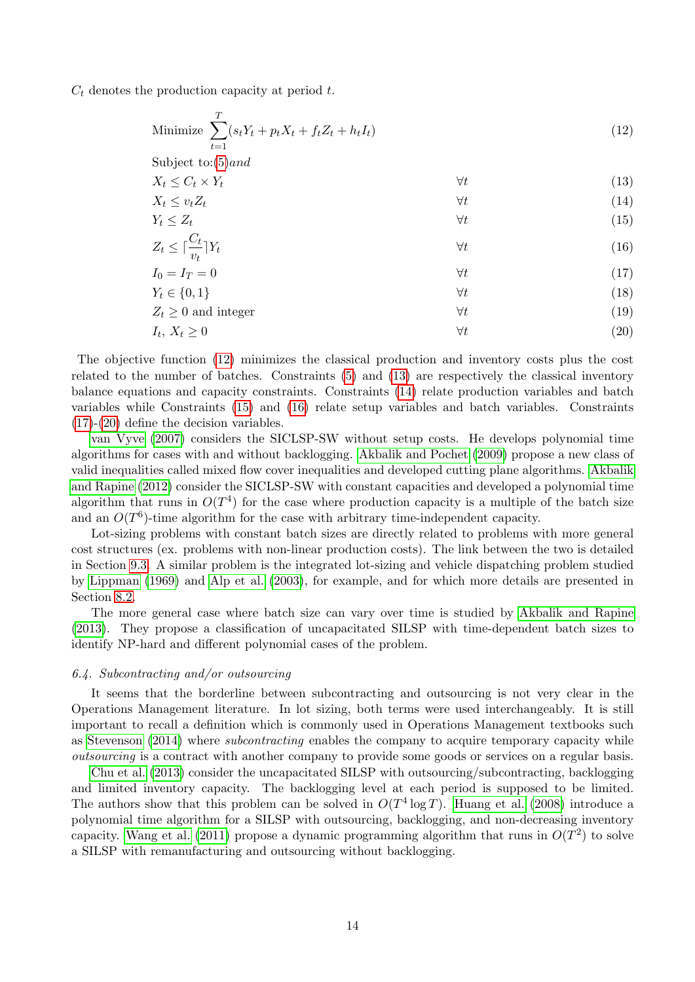$C_t$  denotes the production capacity at period t.

<span id="page-14-7"></span><span id="page-14-6"></span><span id="page-14-5"></span><span id="page-14-4"></span><span id="page-14-3"></span><span id="page-14-2"></span><span id="page-14-1"></span>Minimize 
$$
\sum_{t=1}^{T} (s_t Y_t + p_t X_t + f_t Z_t + h_t I_t)
$$
  
\nSubject to: (5) and  
\n
$$
X_t \leq C_t \times Y_t
$$
 $\forall t$   
\n
$$
X_t \leq v_t Z_t
$$
 $\forall t$   
\n
$$
Y_t \leq Z_t
$$
 $\forall t$   
\n
$$
Z_t \leq \lceil \frac{C_t}{v_t} \rceil Y_t
$$
 $\forall t$   
\n
$$
I_0 = I_T = 0
$$
 $\forall t$   
\n
$$
Y_t \in \{0, 1\}
$$
 $\forall t$   
\n
$$
Y_t \in \{0, 1\}
$$
 $\forall t$   
\n
$$
I_t, X_t \geq 0
$$
 $\forall t$  $\forall t$   
\n(13)  
\n
$$
Z_t \geq 0
$$
 and integer  
\n $\forall t$  $\forall t$   
\n(14)  
\n $\forall t$   
\n(15)  
\n $\forall t$   
\n(16)  
\n $\forall t$   
\n(19)  
\n $\forall t$   
\n(19)

The objective function [\(12\)](#page-14-1) minimizes the classical production and inventory costs plus the cost related to the number of batches. Constraints [\(5\)](#page-4-2) and [\(13\)](#page-14-2) are respectively the classical inventory balance equations and capacity constraints. Constraints [\(14\)](#page-14-3) relate production variables and batch variables while Constraints [\(15\)](#page-14-4) and [\(16\)](#page-14-5) relate setup variables and batch variables. Constraints [\(17\)](#page-14-6)-[\(20\)](#page-14-7) define the decision variables.

[van Vyve](#page-43-5) [\(2007\)](#page-43-5) considers the SICLSP-SW without setup costs. He develops polynomial time algorithms for cases with and without backlogging. [Akbalik and Pochet](#page-29-2) [\(2009\)](#page-29-2) propose a new class of valid inequalities called mixed flow cover inequalities and developed cutting plane algorithms. [Akbalik](#page-29-6) [and Rapine](#page-29-6) [\(2012\)](#page-29-6) consider the SICLSP-SW with constant capacities and developed a polynomial time algorithm that runs in  $O(T^4)$  for the case where production capacity is a multiple of the batch size and an  $O(T^6)$ -time algorithm for the case with arbitrary time-independent capacity.

Lot-sizing problems with constant batch sizes are directly related to problems with more general cost structures (ex. problems with non-linear production costs). The link between the two is detailed in Section [9.3.](#page-23-0) A similar problem is the integrated lot-sizing and vehicle dispatching problem studied by [Lippman](#page-39-12) [\(1969\)](#page-39-12) and [Alp et al.](#page-30-8) [\(2003\)](#page-30-8), for example, and for which more details are presented in Section [8.2.](#page-18-0)

The more general case where batch size can vary over time is studied by [Akbalik and Rapine](#page-30-0) [\(2013\)](#page-30-0). They propose a classification of uncapacitated SILSP with time-dependent batch sizes to identify NP-hard and different polynomial cases of the problem.

### <span id="page-14-0"></span>6.4. Subcontracting and/or outsourcing

It seems that the borderline between subcontracting and outsourcing is not very clear in the Operations Management literature. In lot sizing, both terms were used interchangeably. It is still important to recall a definition which is commonly used in Operations Management textbooks such as [Stevenson](#page-42-2) [\(2014\)](#page-42-2) where subcontracting enables the company to acquire temporary capacity while outsourcing is a contract with another company to provide some goods or services on a regular basis.

[Chu et al.](#page-33-3) [\(2013\)](#page-33-3) consider the uncapacitated SILSP with outsourcing/subcontracting, backlogging and limited inventory capacity. The backlogging level at each period is supposed to be limited. The authors show that this problem can be solved in  $O(T^4 \log T)$ . [Huang et al.](#page-37-8) [\(2008\)](#page-37-8) introduce a polynomial time algorithm for a SILSP with outsourcing, backlogging, and non-decreasing inventory capacity. [Wang et al.](#page-44-5) [\(2011\)](#page-44-5) propose a dynamic programming algorithm that runs in  $O(T^2)$  to solve a SILSP with remanufacturing and outsourcing without backlogging.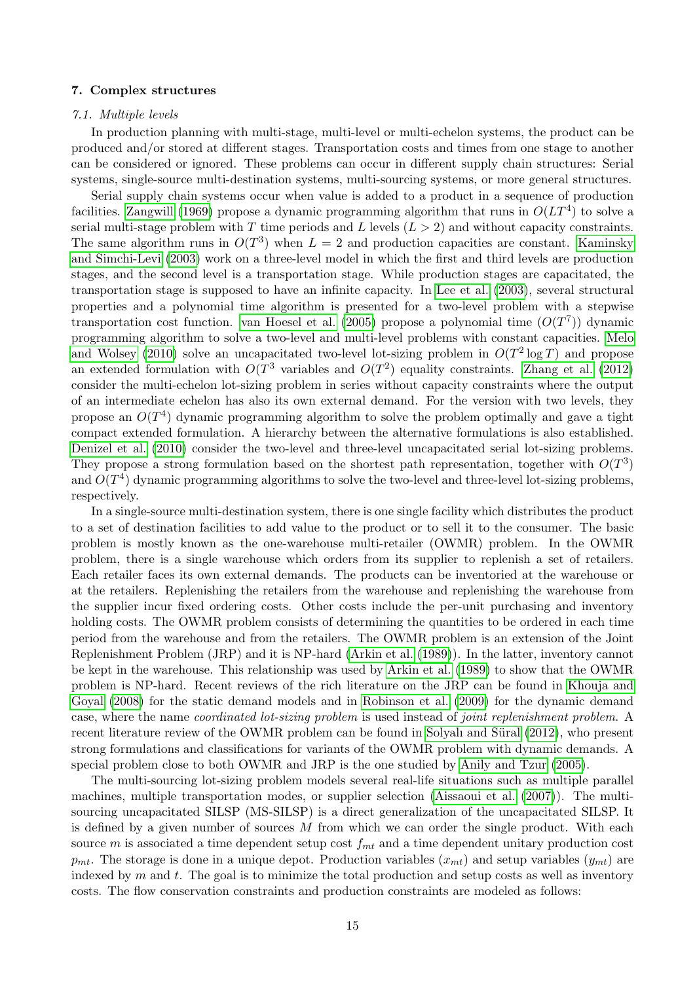### <span id="page-15-0"></span>7. Complex structures

#### <span id="page-15-1"></span>7.1. Multiple levels

In production planning with multi-stage, multi-level or multi-echelon systems, the product can be produced and/or stored at different stages. Transportation costs and times from one stage to another can be considered or ignored. These problems can occur in different supply chain structures: Serial systems, single-source multi-destination systems, multi-sourcing systems, or more general structures.

Serial supply chain systems occur when value is added to a product in a sequence of production facilities. [Zangwill](#page-45-2) [\(1969\)](#page-45-2) propose a dynamic programming algorithm that runs in  $O(LT^4)$  to solve a serial multi-stage problem with T time periods and L levels  $(L > 2)$  and without capacity constraints. The same algorithm runs in  $O(T^3)$  when  $L = 2$  and production capacities are constant. [Kaminsky](#page-37-9) [and Simchi-Levi](#page-37-9) [\(2003\)](#page-37-9) work on a three-level model in which the first and third levels are production stages, and the second level is a transportation stage. While production stages are capacitated, the transportation stage is supposed to have an infinite capacity. In [Lee et al.](#page-38-5) [\(2003\)](#page-38-5), several structural properties and a polynomial time algorithm is presented for a two-level problem with a stepwise transportation cost function. [van Hoesel et al.](#page-43-9) [\(2005\)](#page-43-9) propose a polynomial time  $(O(T^7))$  dynamic programming algorithm to solve a two-level and multi-level problems with constant capacities. [Melo](#page-39-13) [and Wolsey](#page-39-13) [\(2010\)](#page-39-13) solve an uncapacitated two-level lot-sizing problem in  $O(T^2 \log T)$  and propose an extended formulation with  $O(T^3$  variables and  $O(T^2)$  equality constraints. [Zhang et al.](#page-45-3) [\(2012\)](#page-45-3) consider the multi-echelon lot-sizing problem in series without capacity constraints where the output of an intermediate echelon has also its own external demand. For the version with two levels, they propose an  $O(T^4)$  dynamic programming algorithm to solve the problem optimally and gave a tight compact extended formulation. A hierarchy between the alternative formulations is also established. [Denizel et al.](#page-34-7) [\(2010\)](#page-34-7) consider the two-level and three-level uncapacitated serial lot-sizing problems. They propose a strong formulation based on the shortest path representation, together with  $O(T^3)$ and  $O(T^4)$  dynamic programming algorithms to solve the two-level and three-level lot-sizing problems, respectively.

In a single-source multi-destination system, there is one single facility which distributes the product to a set of destination facilities to add value to the product or to sell it to the consumer. The basic problem is mostly known as the one-warehouse multi-retailer (OWMR) problem. In the OWMR problem, there is a single warehouse which orders from its supplier to replenish a set of retailers. Each retailer faces its own external demands. The products can be inventoried at the warehouse or at the retailers. Replenishing the retailers from the warehouse and replenishing the warehouse from the supplier incur fixed ordering costs. Other costs include the per-unit purchasing and inventory holding costs. The OWMR problem consists of determining the quantities to be ordered in each time period from the warehouse and from the retailers. The OWMR problem is an extension of the Joint Replenishment Problem (JRP) and it is NP-hard [\(Arkin et al.](#page-30-9) [\(1989\)](#page-30-9)). In the latter, inventory cannot be kept in the warehouse. This relationship was used by [Arkin et al.](#page-30-9) [\(1989\)](#page-30-9) to show that the OWMR problem is NP-hard. Recent reviews of the rich literature on the JRP can be found in [Khouja and](#page-37-10) [Goyal](#page-37-10) [\(2008\)](#page-37-10) for the static demand models and in [Robinson et al.](#page-41-2) [\(2009\)](#page-41-2) for the dynamic demand case, where the name coordinated lot-sizing problem is used instead of joint replenishment problem. A recent literature review of the OWMR problem can be found in Solyalı and Süral [\(2012\)](#page-42-3), who present strong formulations and classifications for variants of the OWMR problem with dynamic demands. A special problem close to both OWMR and JRP is the one studied by [Anily and Tzur](#page-30-10) [\(2005\)](#page-30-10).

The multi-sourcing lot-sizing problem models several real-life situations such as multiple parallel machines, multiple transportation modes, or supplier selection [\(Aissaoui et al.](#page-29-7) [\(2007\)](#page-29-7)). The multisourcing uncapacitated SILSP (MS-SILSP) is a direct generalization of the uncapacitated SILSP. It is defined by a given number of sources  $M$  from which we can order the single product. With each source m is associated a time dependent setup cost  $f_{mt}$  and a time dependent unitary production cost  $p_{mt}$ . The storage is done in a unique depot. Production variables  $(x_{mt})$  and setup variables  $(y_{mt})$  are indexed by  $m$  and  $t$ . The goal is to minimize the total production and setup costs as well as inventory costs. The flow conservation constraints and production constraints are modeled as follows: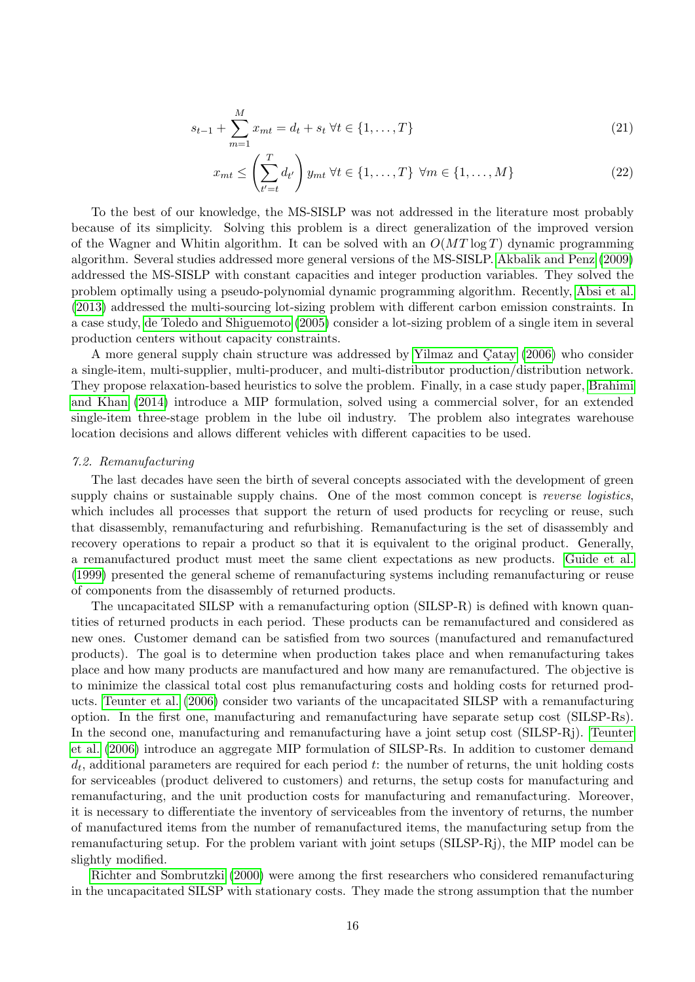$$
s_{t-1} + \sum_{m=1}^{M} x_{mt} = d_t + s_t \ \forall t \in \{1, ..., T\}
$$
 (21)

$$
x_{mt} \leq \left(\sum_{t'=t}^{T} d_{t'}\right) y_{mt} \ \forall t \in \{1, \dots, T\} \ \forall m \in \{1, \dots, M\}
$$
 (22)

To the best of our knowledge, the MS-SISLP was not addressed in the literature most probably because of its simplicity. Solving this problem is a direct generalization of the improved version of the Wagner and Whitin algorithm. It can be solved with an  $O(MT \log T)$  dynamic programming algorithm. Several studies addressed more general versions of the MS-SISLP. [Akbalik and Penz](#page-29-1) [\(2009\)](#page-29-1) addressed the MS-SISLP with constant capacities and integer production variables. They solved the problem optimally using a pseudo-polynomial dynamic programming algorithm. Recently, [Absi et al.](#page-29-8) [\(2013\)](#page-29-8) addressed the multi-sourcing lot-sizing problem with different carbon emission constraints. In a case study, [de Toledo and Shiguemoto](#page-33-10) [\(2005\)](#page-33-10) consider a lot-sizing problem of a single item in several production centers without capacity constraints.

A more general supply chain structure was addressed by Yilmaz and Catay [\(2006\)](#page-44-6) who consider a single-item, multi-supplier, multi-producer, and multi-distributor production/distribution network. They propose relaxation-based heuristics to solve the problem. Finally, in a case study paper, [Brahimi](#page-32-6) [and Khan](#page-32-6) [\(2014\)](#page-32-6) introduce a MIP formulation, solved using a commercial solver, for an extended single-item three-stage problem in the lube oil industry. The problem also integrates warehouse location decisions and allows different vehicles with different capacities to be used.

### <span id="page-16-0"></span>7.2. Remanufacturing

The last decades have seen the birth of several concepts associated with the development of green supply chains or sustainable supply chains. One of the most common concept is *reverse logistics*. which includes all processes that support the return of used products for recycling or reuse, such that disassembly, remanufacturing and refurbishing. Remanufacturing is the set of disassembly and recovery operations to repair a product so that it is equivalent to the original product. Generally, a remanufactured product must meet the same client expectations as new products. [Guide et al.](#page-36-6) [\(1999\)](#page-36-6) presented the general scheme of remanufacturing systems including remanufacturing or reuse of components from the disassembly of returned products.

The uncapacitated SILSP with a remanufacturing option (SILSP-R) is defined with known quantities of returned products in each period. These products can be remanufactured and considered as new ones. Customer demand can be satisfied from two sources (manufactured and remanufactured products). The goal is to determine when production takes place and when remanufacturing takes place and how many products are manufactured and how many are remanufactured. The objective is to minimize the classical total cost plus remanufacturing costs and holding costs for returned products. [Teunter et al.](#page-42-4) [\(2006\)](#page-42-4) consider two variants of the uncapacitated SILSP with a remanufacturing option. In the first one, manufacturing and remanufacturing have separate setup cost (SILSP-Rs). In the second one, manufacturing and remanufacturing have a joint setup cost (SILSP-Rj). [Teunter](#page-42-4) [et al.](#page-42-4) [\(2006\)](#page-42-4) introduce an aggregate MIP formulation of SILSP-Rs. In addition to customer demand  $d_t$ , additional parameters are required for each period  $t$ : the number of returns, the unit holding costs for serviceables (product delivered to customers) and returns, the setup costs for manufacturing and remanufacturing, and the unit production costs for manufacturing and remanufacturing. Moreover, it is necessary to differentiate the inventory of serviceables from the inventory of returns, the number of manufactured items from the number of remanufactured items, the manufacturing setup from the remanufacturing setup. For the problem variant with joint setups (SILSP-Rj), the MIP model can be slightly modified.

[Richter and Sombrutzki](#page-41-3) [\(2000\)](#page-41-3) were among the first researchers who considered remanufacturing in the uncapacitated SILSP with stationary costs. They made the strong assumption that the number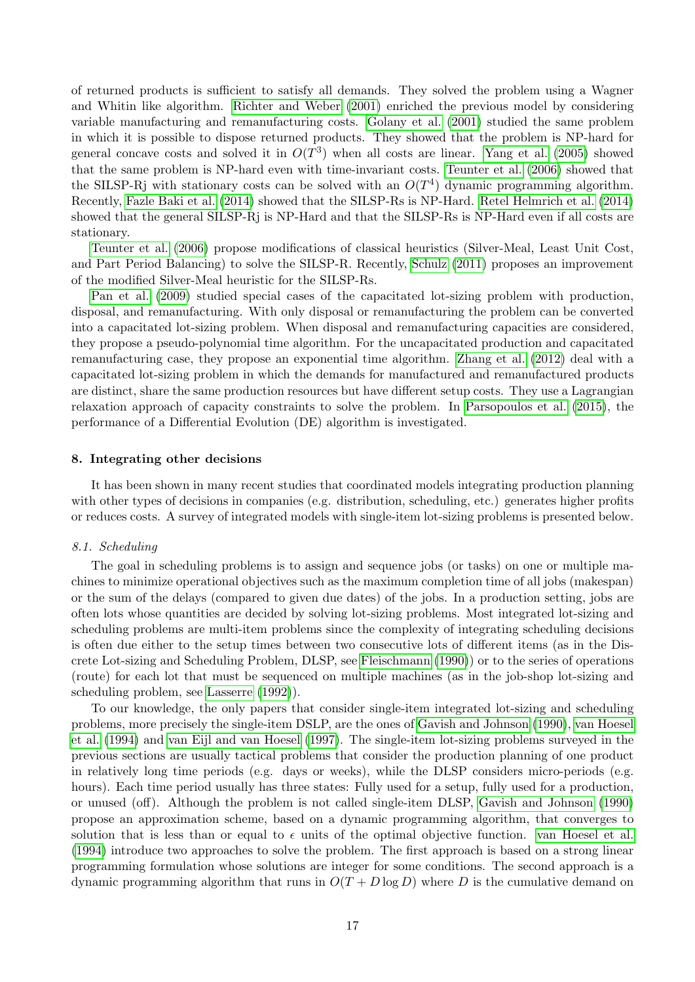of returned products is sufficient to satisfy all demands. They solved the problem using a Wagner and Whitin like algorithm. [Richter and Weber](#page-41-4) [\(2001\)](#page-41-4) enriched the previous model by considering variable manufacturing and remanufacturing costs. [Golany et al.](#page-35-6) [\(2001\)](#page-35-6) studied the same problem in which it is possible to dispose returned products. They showed that the problem is NP-hard for general concave costs and solved it in  $O(T^3)$  when all costs are linear. [Yang et al.](#page-44-7) [\(2005\)](#page-44-7) showed that the same problem is NP-hard even with time-invariant costs. [Teunter et al.](#page-42-4) [\(2006\)](#page-42-4) showed that the SILSP-Rj with stationary costs can be solved with an  $O(T<sup>4</sup>)$  dynamic programming algorithm. Recently, [Fazle Baki et al.](#page-34-8) [\(2014\)](#page-34-8) showed that the SILSP-Rs is NP-Hard. [Retel Helmrich et al.](#page-41-5) [\(2014\)](#page-41-5) showed that the general SILSP-Rj is NP-Hard and that the SILSP-Rs is NP-Hard even if all costs are stationary.

[Teunter et al.](#page-42-4) [\(2006\)](#page-42-4) propose modifications of classical heuristics (Silver-Meal, Least Unit Cost, and Part Period Balancing) to solve the SILSP-R. Recently, [Schulz](#page-41-6) [\(2011\)](#page-41-6) proposes an improvement of the modified Silver-Meal heuristic for the SILSP-Rs.

[Pan et al.](#page-40-13) [\(2009\)](#page-40-13) studied special cases of the capacitated lot-sizing problem with production, disposal, and remanufacturing. With only disposal or remanufacturing the problem can be converted into a capacitated lot-sizing problem. When disposal and remanufacturing capacities are considered, they propose a pseudo-polynomial time algorithm. For the uncapacitated production and capacitated remanufacturing case, they propose an exponential time algorithm. [Zhang et al.](#page-45-1) [\(2012\)](#page-45-1) deal with a capacitated lot-sizing problem in which the demands for manufactured and remanufactured products are distinct, share the same production resources but have different setup costs. They use a Lagrangian relaxation approach of capacity constraints to solve the problem. In [Parsopoulos et al.](#page-40-3) [\(2015\)](#page-40-3), the performance of a Differential Evolution (DE) algorithm is investigated.

### <span id="page-17-0"></span>8. Integrating other decisions

It has been shown in many recent studies that coordinated models integrating production planning with other types of decisions in companies (e.g. distribution, scheduling, etc.) generates higher profits or reduces costs. A survey of integrated models with single-item lot-sizing problems is presented below.

### 8.1. Scheduling

The goal in scheduling problems is to assign and sequence jobs (or tasks) on one or multiple machines to minimize operational objectives such as the maximum completion time of all jobs (makespan) or the sum of the delays (compared to given due dates) of the jobs. In a production setting, jobs are often lots whose quantities are decided by solving lot-sizing problems. Most integrated lot-sizing and scheduling problems are multi-item problems since the complexity of integrating scheduling decisions is often due either to the setup times between two consecutive lots of different items (as in the Discrete Lot-sizing and Scheduling Problem, DLSP, see [Fleischmann](#page-34-9) [\(1990\)](#page-34-9)) or to the series of operations (route) for each lot that must be sequenced on multiple machines (as in the job-shop lot-sizing and scheduling problem, see [Lasserre](#page-38-6) [\(1992\)](#page-38-6)).

To our knowledge, the only papers that consider single-item integrated lot-sizing and scheduling problems, more precisely the single-item DSLP, are the ones of [Gavish and Johnson](#page-35-7) [\(1990\)](#page-35-7), [van Hoesel](#page-43-10) [et al.](#page-43-10) [\(1994\)](#page-43-10) and [van Eijl and van Hoesel](#page-43-11) [\(1997\)](#page-43-11). The single-item lot-sizing problems surveyed in the previous sections are usually tactical problems that consider the production planning of one product in relatively long time periods (e.g. days or weeks), while the DLSP considers micro-periods (e.g. hours). Each time period usually has three states: Fully used for a setup, fully used for a production, or unused (off). Although the problem is not called single-item DLSP, [Gavish and Johnson](#page-35-7) [\(1990\)](#page-35-7) propose an approximation scheme, based on a dynamic programming algorithm, that converges to solution that is less than or equal to  $\epsilon$  units of the optimal objective function. [van Hoesel et al.](#page-43-10) [\(1994\)](#page-43-10) introduce two approaches to solve the problem. The first approach is based on a strong linear programming formulation whose solutions are integer for some conditions. The second approach is a dynamic programming algorithm that runs in  $O(T + D \log D)$  where D is the cumulative demand on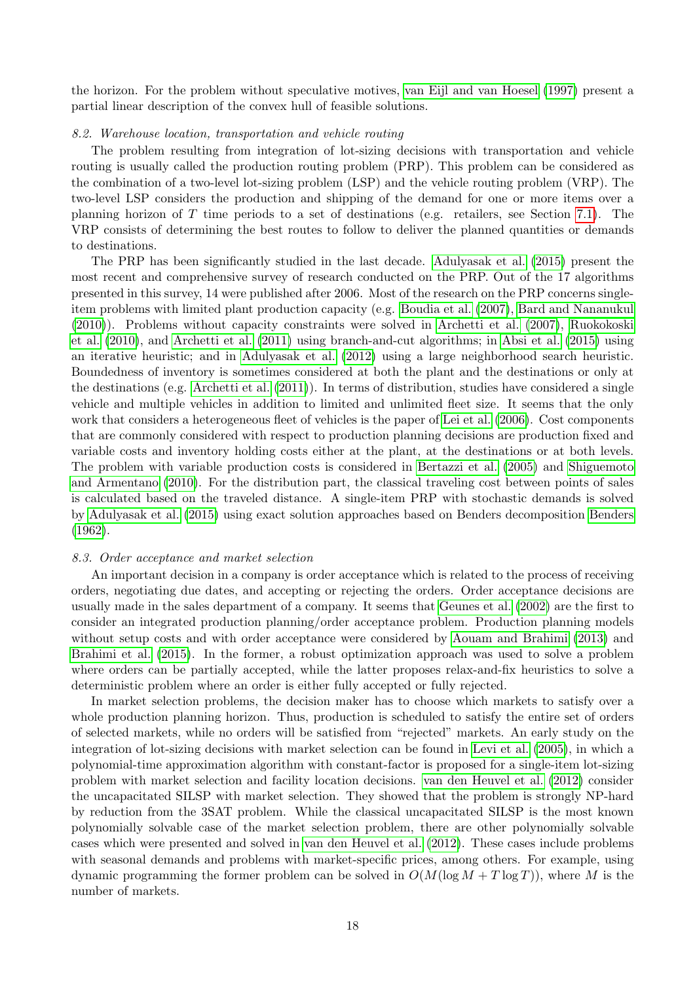the horizon. For the problem without speculative motives, [van Eijl and van Hoesel](#page-43-11) [\(1997\)](#page-43-11) present a partial linear description of the convex hull of feasible solutions.

### <span id="page-18-0"></span>8.2. Warehouse location, transportation and vehicle routing

The problem resulting from integration of lot-sizing decisions with transportation and vehicle routing is usually called the production routing problem (PRP). This problem can be considered as the combination of a two-level lot-sizing problem (LSP) and the vehicle routing problem (VRP). The two-level LSP considers the production and shipping of the demand for one or more items over a planning horizon of T time periods to a set of destinations (e.g. retailers, see Section [7.1\)](#page-15-1). The VRP consists of determining the best routes to follow to deliver the planned quantities or demands to destinations.

The PRP has been significantly studied in the last decade. [Adulyasak et al.](#page-29-9) [\(2015\)](#page-29-9) present the most recent and comprehensive survey of research conducted on the PRP. Out of the 17 algorithms presented in this survey, 14 were published after 2006. Most of the research on the PRP concerns singleitem problems with limited plant production capacity (e.g. [Boudia et al.](#page-32-7) [\(2007\)](#page-32-7), [Bard and Nananukul](#page-31-10) [\(2010\)](#page-31-10)). Problems without capacity constraints were solved in [Archetti et al.](#page-30-11) [\(2007\)](#page-30-11), [Ruokokoski](#page-41-7) [et al.](#page-41-7) [\(2010\)](#page-41-7), and [Archetti et al.](#page-30-12) [\(2011\)](#page-30-12) using branch-and-cut algorithms; in [Absi et al.](#page-29-10) [\(2015\)](#page-29-10) using an iterative heuristic; and in [Adulyasak et al.](#page-29-11) [\(2012\)](#page-29-11) using a large neighborhood search heuristic. Boundedness of inventory is sometimes considered at both the plant and the destinations or only at the destinations (e.g. [Archetti et al.](#page-30-12) [\(2011\)](#page-30-12)). In terms of distribution, studies have considered a single vehicle and multiple vehicles in addition to limited and unlimited fleet size. It seems that the only work that considers a heterogeneous fleet of vehicles is the paper of [Lei et al.](#page-38-7) [\(2006\)](#page-38-7). Cost components that are commonly considered with respect to production planning decisions are production fixed and variable costs and inventory holding costs either at the plant, at the destinations or at both levels. The problem with variable production costs is considered in [Bertazzi et al.](#page-31-11) [\(2005\)](#page-31-11) and [Shiguemoto](#page-41-8) [and Armentano](#page-41-8) [\(2010\)](#page-41-8). For the distribution part, the classical traveling cost between points of sales is calculated based on the traveled distance. A single-item PRP with stochastic demands is solved by [Adulyasak et al.](#page-29-12) [\(2015\)](#page-29-12) using exact solution approaches based on Benders decomposition [Benders](#page-31-12) [\(1962\)](#page-31-12).

### 8.3. Order acceptance and market selection

An important decision in a company is order acceptance which is related to the process of receiving orders, negotiating due dates, and accepting or rejecting the orders. Order acceptance decisions are usually made in the sales department of a company. It seems that [Geunes et al.](#page-35-8) [\(2002\)](#page-35-8) are the first to consider an integrated production planning/order acceptance problem. Production planning models without setup costs and with order acceptance were considered by [Aouam and Brahimi](#page-30-13) [\(2013\)](#page-30-13) and [Brahimi et al.](#page-32-8) [\(2015\)](#page-32-8). In the former, a robust optimization approach was used to solve a problem where orders can be partially accepted, while the latter proposes relax-and-fix heuristics to solve a deterministic problem where an order is either fully accepted or fully rejected.

In market selection problems, the decision maker has to choose which markets to satisfy over a whole production planning horizon. Thus, production is scheduled to satisfy the entire set of orders of selected markets, while no orders will be satisfied from "rejected" markets. An early study on the integration of lot-sizing decisions with market selection can be found in [Levi et al.](#page-38-8) [\(2005\)](#page-38-8), in which a polynomial-time approximation algorithm with constant-factor is proposed for a single-item lot-sizing problem with market selection and facility location decisions. [van den Heuvel et al.](#page-43-12) [\(2012\)](#page-43-12) consider the uncapacitated SILSP with market selection. They showed that the problem is strongly NP-hard by reduction from the 3SAT problem. While the classical uncapacitated SILSP is the most known polynomially solvable case of the market selection problem, there are other polynomially solvable cases which were presented and solved in [van den Heuvel et al.](#page-43-12) [\(2012\)](#page-43-12). These cases include problems with seasonal demands and problems with market-specific prices, among others. For example, using dynamic programming the former problem can be solved in  $O(M(\log M + T \log T))$ , where M is the number of markets.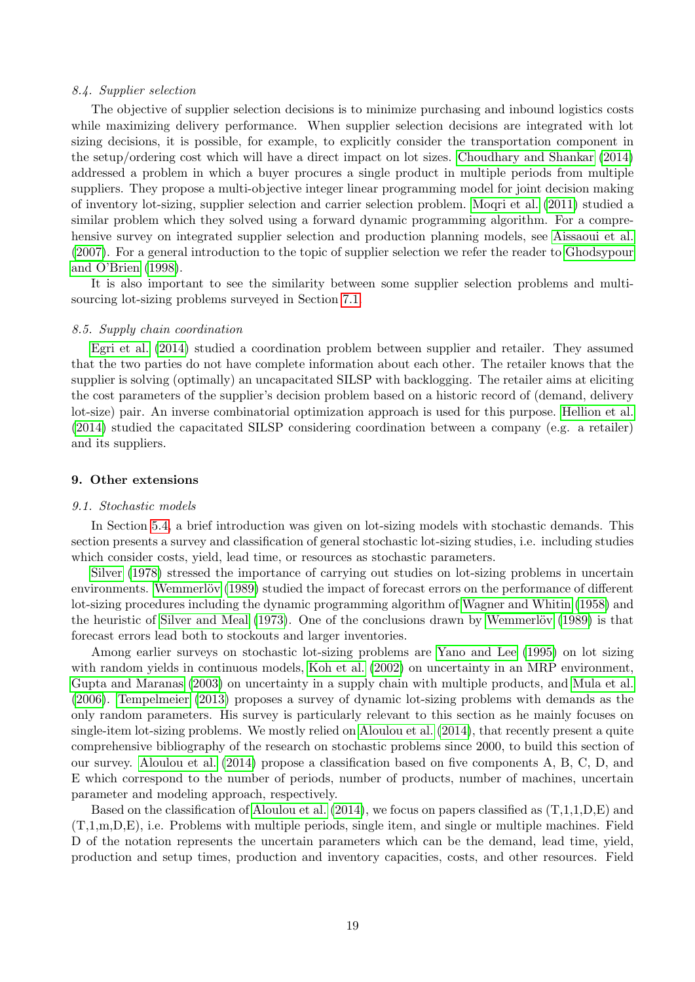### 8.4. Supplier selection

The objective of supplier selection decisions is to minimize purchasing and inbound logistics costs while maximizing delivery performance. When supplier selection decisions are integrated with lot sizing decisions, it is possible, for example, to explicitly consider the transportation component in the setup/ordering cost which will have a direct impact on lot sizes. [Choudhary and Shankar](#page-33-2) [\(2014\)](#page-33-2) addressed a problem in which a buyer procures a single product in multiple periods from multiple suppliers. They propose a multi-objective integer linear programming model for joint decision making of inventory lot-sizing, supplier selection and carrier selection problem. [Moqri et al.](#page-39-14) [\(2011\)](#page-39-14) studied a similar problem which they solved using a forward dynamic programming algorithm. For a comprehensive survey on integrated supplier selection and production planning models, see [Aissaoui et al.](#page-29-7) [\(2007\)](#page-29-7). For a general introduction to the topic of supplier selection we refer the reader to [Ghodsypour](#page-35-9) [and O'Brien](#page-35-9) [\(1998\)](#page-35-9).

It is also important to see the similarity between some supplier selection problems and multisourcing lot-sizing problems surveyed in Section [7.1.](#page-15-1)

### <span id="page-19-2"></span>8.5. Supply chain coordination

[Egri et al.](#page-34-10) [\(2014\)](#page-34-10) studied a coordination problem between supplier and retailer. They assumed that the two parties do not have complete information about each other. The retailer knows that the supplier is solving (optimally) an uncapacitated SILSP with backlogging. The retailer aims at eliciting the cost parameters of the supplier's decision problem based on a historic record of (demand, delivery lot-size) pair. An inverse combinatorial optimization approach is used for this purpose. [Hellion et al.](#page-36-7) [\(2014\)](#page-36-7) studied the capacitated SILSP considering coordination between a company (e.g. a retailer) and its suppliers.

### <span id="page-19-0"></span>9. Other extensions

#### <span id="page-19-1"></span>9.1. Stochastic models

In Section [5.4,](#page-10-1) a brief introduction was given on lot-sizing models with stochastic demands. This section presents a survey and classification of general stochastic lot-sizing studies, i.e. including studies which consider costs, yield, lead time, or resources as stochastic parameters.

[Silver](#page-41-9) [\(1978\)](#page-41-9) stressed the importance of carrying out studies on lot-sizing problems in uncertain environments. Wemmerlöv [\(1989\)](#page-44-8) studied the impact of forecast errors on the performance of different lot-sizing procedures including the dynamic programming algorithm of [Wagner and Whitin](#page-44-0) [\(1958\)](#page-44-0) and the heuristic of [Silver and Meal](#page-41-0)  $(1973)$ . One of the conclusions drawn by Wemmerlöv  $(1989)$  is that forecast errors lead both to stockouts and larger inventories.

Among earlier surveys on stochastic lot-sizing problems are [Yano and Lee](#page-44-9) [\(1995\)](#page-44-9) on lot sizing with random yields in continuous models, [Koh et al.](#page-38-9) [\(2002\)](#page-38-9) on uncertainty in an MRP environment, [Gupta and Maranas](#page-36-8) [\(2003\)](#page-36-8) on uncertainty in a supply chain with multiple products, and [Mula et al.](#page-39-15) [\(2006\)](#page-39-15). [Tempelmeier](#page-42-5) [\(2013\)](#page-42-5) proposes a survey of dynamic lot-sizing problems with demands as the only random parameters. His survey is particularly relevant to this section as he mainly focuses on single-item lot-sizing problems. We mostly relied on [Aloulou et al.](#page-30-14) [\(2014\)](#page-30-14), that recently present a quite comprehensive bibliography of the research on stochastic problems since 2000, to build this section of our survey. [Aloulou et al.](#page-30-14) [\(2014\)](#page-30-14) propose a classification based on five components A, B, C, D, and E which correspond to the number of periods, number of products, number of machines, uncertain parameter and modeling approach, respectively.

Based on the classification of [Aloulou et al.](#page-30-14)  $(2014)$ , we focus on papers classified as  $(T,1,1,D,E)$  and (T,1,m,D,E), i.e. Problems with multiple periods, single item, and single or multiple machines. Field D of the notation represents the uncertain parameters which can be the demand, lead time, yield, production and setup times, production and inventory capacities, costs, and other resources. Field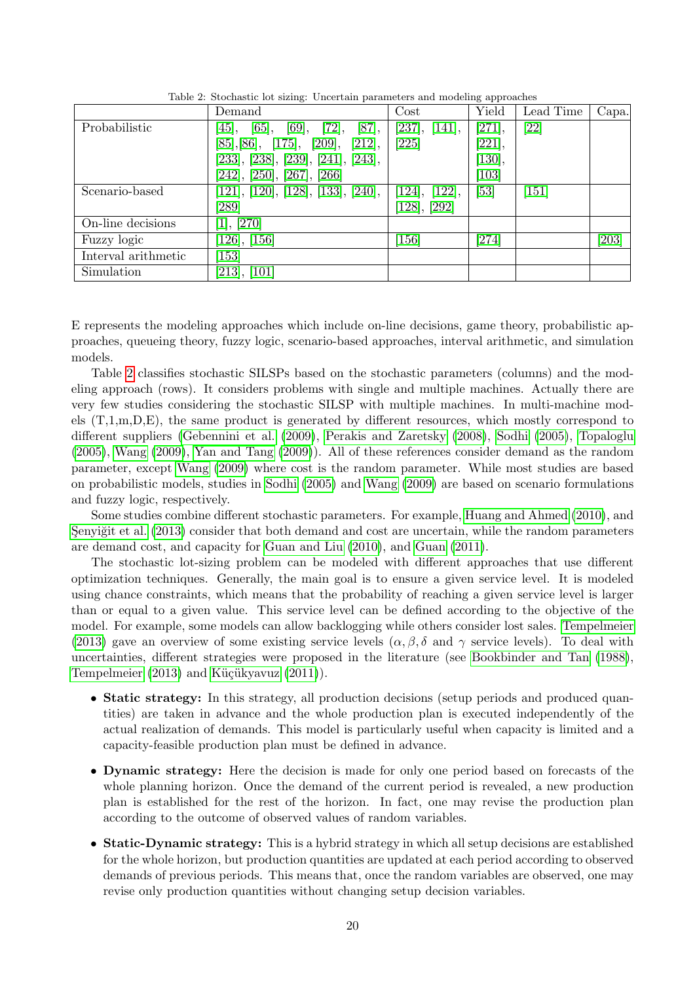|                     | Demand                                       | Cost             | Yield               | Lead Time | Capa. |
|---------------------|----------------------------------------------|------------------|---------------------|-----------|-------|
| Probabilistic       | $[65]$ ,<br>[69],<br>[72],<br>[87],<br>[45], | [237],<br>[141], | [271],              | [22]      |       |
|                     | [85], [86], [175], [209],<br>[212],          | $[225]$          | [221],              |           |       |
|                     | [233], [238], [239], [241], [243],           |                  | [130],              |           |       |
|                     | [242], [250], [267], [266]                   |                  | $\left[103\right]$  |           |       |
| Scenario-based      | [121], [120], [128], [133], [240],           | [124], [122],    | [53]                | [151]     |       |
|                     | $\left[ 289\right]$                          | [128], [292]     |                     |           |       |
| On-line decisions   | [1], [270]                                   |                  |                     |           |       |
| Fuzzy logic         | [126], [156]                                 | 156              | $\left[ 274\right]$ |           | [203] |
| Interval arithmetic | 153]                                         |                  |                     |           |       |
| Simulation          | [213], [101]                                 |                  |                     |           |       |

<span id="page-20-0"></span>Table 2: Stochastic lot sizing: Uncertain parameters and modeling approaches

E represents the modeling approaches which include on-line decisions, game theory, probabilistic approaches, queueing theory, fuzzy logic, scenario-based approaches, interval arithmetic, and simulation models.

Table [2](#page-20-0) classifies stochastic SILSPs based on the stochastic parameters (columns) and the modeling approach (rows). It considers problems with single and multiple machines. Actually there are very few studies considering the stochastic SILSP with multiple machines. In multi-machine models (T,1,m,D,E), the same product is generated by different resources, which mostly correspond to different suppliers [\(Gebennini et al.](#page-35-12) [\(2009\)](#page-35-12), [Perakis and Zaretsky](#page-40-17) [\(2008\)](#page-40-17), [Sodhi](#page-42-13) [\(2005\)](#page-42-13), [Topaloglu](#page-43-14) [\(2005\)](#page-43-14), [Wang](#page-44-15) [\(2009\)](#page-44-15), [Yan and Tang](#page-44-16) [\(2009\)](#page-44-16)). All of these references consider demand as the random parameter, except [Wang](#page-44-15) [\(2009\)](#page-44-15) where cost is the random parameter. While most studies are based on probabilistic models, studies in [Sodhi](#page-42-13) [\(2005\)](#page-42-13) and [Wang](#page-44-15) [\(2009\)](#page-44-15) are based on scenario formulations and fuzzy logic, respectively.

Some studies combine different stochastic parameters. For example, [Huang and Ahmed](#page-37-11) [\(2010\)](#page-37-11), and Senyiğit et al. [\(2013\)](#page-41-10) consider that both demand and cost are uncertain, while the random parameters are demand cost, and capacity for [Guan and Liu](#page-36-14) [\(2010\)](#page-36-14), and [Guan](#page-35-1) [\(2011\)](#page-35-1).

The stochastic lot-sizing problem can be modeled with different approaches that use different optimization techniques. Generally, the main goal is to ensure a given service level. It is modeled using chance constraints, which means that the probability of reaching a given service level is larger than or equal to a given value. This service level can be defined according to the objective of the model. For example, some models can allow backlogging while others consider lost sales. [Tempelmeier](#page-42-5) [\(2013\)](#page-42-5) gave an overview of some existing service levels  $(\alpha, \beta, \delta \text{ and } \gamma \text{ service levels})$ . To deal with uncertainties, different strategies were proposed in the literature (see [Bookbinder and Tan](#page-31-15) [\(1988\)](#page-31-15), [Tempelmeier](#page-42-5)  $(2013)$  and Küçükyavuz  $(2011)$ ).

- Static strategy: In this strategy, all production decisions (setup periods and produced quantities) are taken in advance and the whole production plan is executed independently of the actual realization of demands. This model is particularly useful when capacity is limited and a capacity-feasible production plan must be defined in advance.
- Dynamic strategy: Here the decision is made for only one period based on forecasts of the whole planning horizon. Once the demand of the current period is revealed, a new production plan is established for the rest of the horizon. In fact, one may revise the production plan according to the outcome of observed values of random variables.
- Static-Dynamic strategy: This is a hybrid strategy in which all setup decisions are established for the whole horizon, but production quantities are updated at each period according to observed demands of previous periods. This means that, once the random variables are observed, one may revise only production quantities without changing setup decision variables.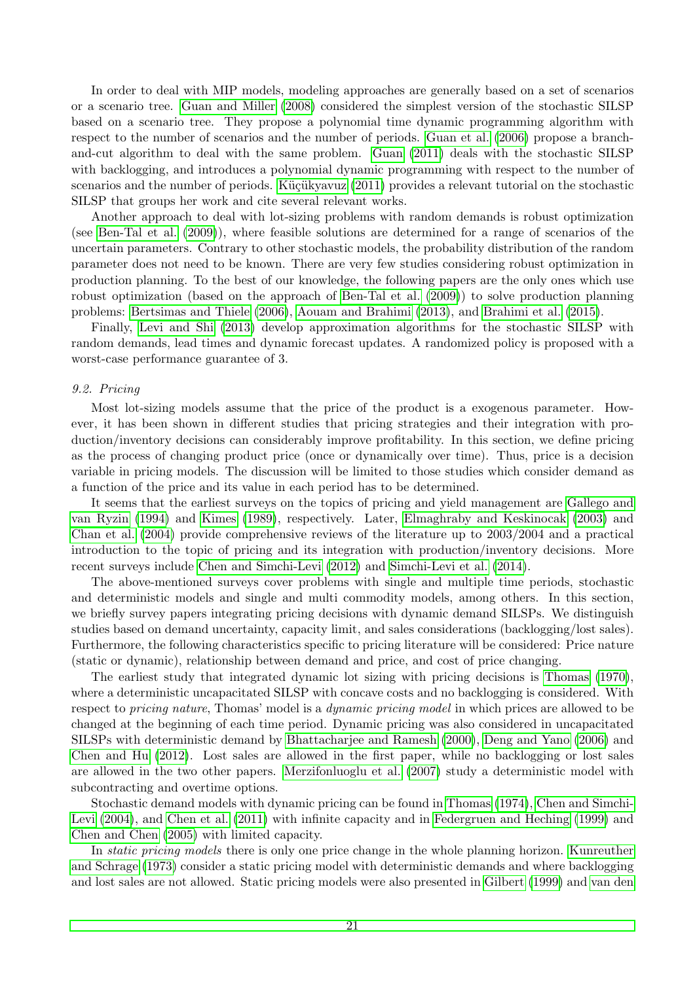In order to deal with MIP models, modeling approaches are generally based on a set of scenarios or a scenario tree. [Guan and Miller](#page-36-12) [\(2008\)](#page-36-12) considered the simplest version of the stochastic SILSP based on a scenario tree. They propose a polynomial time dynamic programming algorithm with respect to the number of scenarios and the number of periods. [Guan et al.](#page-35-11) [\(2006\)](#page-35-11) propose a branchand-cut algorithm to deal with the same problem. [Guan](#page-35-1) [\(2011\)](#page-35-1) deals with the stochastic SILSP with backlogging, and introduces a polynomial dynamic programming with respect to the number of scenarios and the number of periods. Küçükyavuz [\(2011\)](#page-38-11) provides a relevant tutorial on the stochastic SILSP that groups her work and cite several relevant works.

Another approach to deal with lot-sizing problems with random demands is robust optimization (see [Ben-Tal et al.](#page-31-16) [\(2009\)](#page-31-16)), where feasible solutions are determined for a range of scenarios of the uncertain parameters. Contrary to other stochastic models, the probability distribution of the random parameter does not need to be known. There are very few studies considering robust optimization in production planning. To the best of our knowledge, the following papers are the only ones which use robust optimization (based on the approach of [Ben-Tal et al.](#page-31-16) [\(2009\)](#page-31-16)) to solve production planning problems: [Bertsimas and Thiele](#page-31-17) [\(2006\)](#page-31-17), [Aouam and Brahimi](#page-30-13) [\(2013\)](#page-30-13), and [Brahimi et al.](#page-32-8) [\(2015\)](#page-32-8).

Finally, [Levi and Shi](#page-38-12) [\(2013\)](#page-38-12) develop approximation algorithms for the stochastic SILSP with random demands, lead times and dynamic forecast updates. A randomized policy is proposed with a worst-case performance guarantee of 3.

### <span id="page-21-0"></span>9.2. Pricing

Most lot-sizing models assume that the price of the product is a exogenous parameter. However, it has been shown in different studies that pricing strategies and their integration with production/inventory decisions can considerably improve profitability. In this section, we define pricing as the process of changing product price (once or dynamically over time). Thus, price is a decision variable in pricing models. The discussion will be limited to those studies which consider demand as a function of the price and its value in each period has to be determined.

It seems that the earliest surveys on the topics of pricing and yield management are [Gallego and](#page-35-13) [van Ryzin](#page-35-13) [\(1994\)](#page-35-13) and [Kimes](#page-38-13) [\(1989\)](#page-38-13), respectively. Later, [Elmaghraby and Keskinocak](#page-34-13) [\(2003\)](#page-34-13) and [Chan et al.](#page-32-11) [\(2004\)](#page-32-11) provide comprehensive reviews of the literature up to 2003/2004 and a practical introduction to the topic of pricing and its integration with production/inventory decisions. More recent surveys include [Chen and Simchi-Levi](#page-32-12) [\(2012\)](#page-32-12) and [Simchi-Levi et al.](#page-42-14) [\(2014\)](#page-42-14).

The above-mentioned surveys cover problems with single and multiple time periods, stochastic and deterministic models and single and multi commodity models, among others. In this section, we briefly survey papers integrating pricing decisions with dynamic demand SILSPs. We distinguish studies based on demand uncertainty, capacity limit, and sales considerations (backlogging/lost sales). Furthermore, the following characteristics specific to pricing literature will be considered: Price nature (static or dynamic), relationship between demand and price, and cost of price changing.

The earliest study that integrated dynamic lot sizing with pricing decisions is [Thomas](#page-42-15) [\(1970\)](#page-42-15), where a deterministic uncapacitated SILSP with concave costs and no backlogging is considered. With respect to *pricing nature*, Thomas' model is a *dynamic pricing model* in which prices are allowed to be changed at the beginning of each time period. Dynamic pricing was also considered in uncapacitated SILSPs with deterministic demand by [Bhattacharjee and Ramesh](#page-31-18) [\(2000\)](#page-31-18), [Deng and Yano](#page-34-14) [\(2006\)](#page-34-14) and [Chen and Hu](#page-32-13) [\(2012\)](#page-32-13). Lost sales are allowed in the first paper, while no backlogging or lost sales are allowed in the two other papers. [Merzifonluoglu et al.](#page-39-16) [\(2007\)](#page-39-16) study a deterministic model with subcontracting and overtime options.

Stochastic demand models with dynamic pricing can be found in [Thomas](#page-42-16) [\(1974\)](#page-42-16), [Chen and Simchi-](#page-32-10)[Levi](#page-32-10) [\(2004\)](#page-32-10), and [Chen et al.](#page-33-15) [\(2011\)](#page-33-15) with infinite capacity and in [Federgruen and Heching](#page-34-15) [\(1999\)](#page-34-15) and [Chen and Chen](#page-32-14) [\(2005\)](#page-32-14) with limited capacity.

In *static pricing models* there is only one price change in the whole planning horizon. [Kunreuther](#page-38-14) [and Schrage](#page-38-14) [\(1973\)](#page-38-14) consider a static pricing model with deterministic demands and where backlogging and lost sales are not allowed. Static pricing models were also presented in [Gilbert](#page-35-14) [\(1999\)](#page-35-14) and [van den](#page-43-15)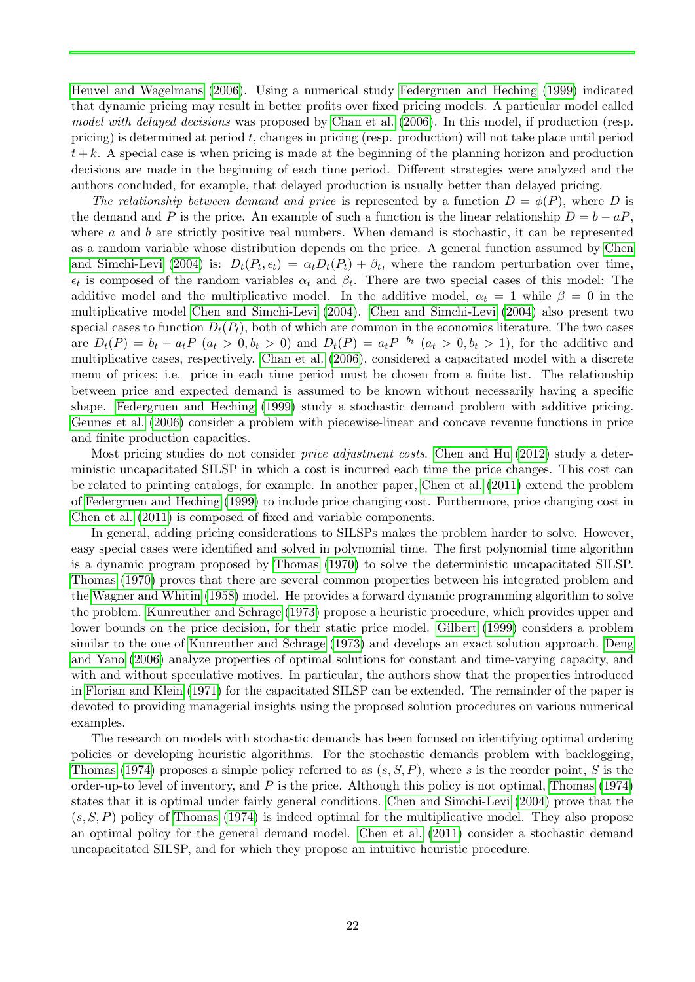[Heuvel and Wagelmans](#page-43-15) [\(2006\)](#page-43-15). Using a numerical study [Federgruen and Heching](#page-34-15) [\(1999\)](#page-34-15) indicated that dynamic pricing may result in better profits over fixed pricing models. A particular model called model with delayed decisions was proposed by [Chan et al.](#page-32-9) [\(2006\)](#page-32-9). In this model, if production (resp. pricing) is determined at period  $t$ , changes in pricing (resp. production) will not take place until period  $t + k$ . A special case is when pricing is made at the beginning of the planning horizon and production decisions are made in the beginning of each time period. Different strategies were analyzed and the authors concluded, for example, that delayed production is usually better than delayed pricing.

The relationship between demand and price is represented by a function  $D = \phi(P)$ , where D is the demand and P is the price. An example of such a function is the linear relationship  $D = b - aP$ . where  $a$  and  $b$  are strictly positive real numbers. When demand is stochastic, it can be represented as a random variable whose distribution depends on the price. A general function assumed by [Chen](#page-32-10) [and Simchi-Levi](#page-32-10) [\(2004\)](#page-32-10) is:  $D_t(P_t, \epsilon_t) = \alpha_t D_t(P_t) + \beta_t$ , where the random perturbation over time,  $\epsilon_t$  is composed of the random variables  $\alpha_t$  and  $\beta_t$ . There are two special cases of this model: The additive model and the multiplicative model. In the additive model,  $\alpha_t = 1$  while  $\beta = 0$  in the multiplicative model [Chen and Simchi-Levi](#page-32-10) [\(2004\)](#page-32-10). [Chen and Simchi-Levi](#page-32-10) [\(2004\)](#page-32-10) also present two special cases to function  $D_t(P_t)$ , both of which are common in the economics literature. The two cases are  $D_t(P) = b_t - a_t P$   $(a_t > 0, b_t > 0)$  and  $D_t(P) = a_t P^{-b_t}$   $(a_t > 0, b_t > 1)$ , for the additive and multiplicative cases, respectively. [Chan et al.](#page-32-9) [\(2006\)](#page-32-9), considered a capacitated model with a discrete menu of prices; i.e. price in each time period must be chosen from a finite list. The relationship between price and expected demand is assumed to be known without necessarily having a specific shape. [Federgruen and Heching](#page-34-15) [\(1999\)](#page-34-15) study a stochastic demand problem with additive pricing. [Geunes et al.](#page-35-15) [\(2006\)](#page-35-15) consider a problem with piecewise-linear and concave revenue functions in price and finite production capacities.

Most pricing studies do not consider *price adjustment costs*. [Chen and Hu](#page-32-13) [\(2012\)](#page-32-13) study a deterministic uncapacitated SILSP in which a cost is incurred each time the price changes. This cost can be related to printing catalogs, for example. In another paper, [Chen et al.](#page-33-15) [\(2011\)](#page-33-15) extend the problem of [Federgruen and Heching](#page-34-15) [\(1999\)](#page-34-15) to include price changing cost. Furthermore, price changing cost in [Chen et al.](#page-33-15) [\(2011\)](#page-33-15) is composed of fixed and variable components.

In general, adding pricing considerations to SILSPs makes the problem harder to solve. However, easy special cases were identified and solved in polynomial time. The first polynomial time algorithm is a dynamic program proposed by [Thomas](#page-42-15) [\(1970\)](#page-42-15) to solve the deterministic uncapacitated SILSP. [Thomas](#page-42-15) [\(1970\)](#page-42-15) proves that there are several common properties between his integrated problem and the [Wagner and Whitin](#page-44-0) [\(1958\)](#page-44-0) model. He provides a forward dynamic programming algorithm to solve the problem. [Kunreuther and Schrage](#page-38-14) [\(1973\)](#page-38-14) propose a heuristic procedure, which provides upper and lower bounds on the price decision, for their static price model. [Gilbert](#page-35-14) [\(1999\)](#page-35-14) considers a problem similar to the one of [Kunreuther and Schrage](#page-38-14) [\(1973\)](#page-38-14) and develops an exact solution approach. [Deng](#page-34-14) [and Yano](#page-34-14) [\(2006\)](#page-34-14) analyze properties of optimal solutions for constant and time-varying capacity, and with and without speculative motives. In particular, the authors show that the properties introduced in [Florian and Klein](#page-35-16) [\(1971\)](#page-35-16) for the capacitated SILSP can be extended. The remainder of the paper is devoted to providing managerial insights using the proposed solution procedures on various numerical examples.

The research on models with stochastic demands has been focused on identifying optimal ordering policies or developing heuristic algorithms. For the stochastic demands problem with backlogging, [Thomas](#page-42-16) [\(1974\)](#page-42-16) proposes a simple policy referred to as  $(s, S, P)$ , where s is the reorder point, S is the order-up-to level of inventory, and  $P$  is the price. Although this policy is not optimal, [Thomas](#page-42-16) [\(1974\)](#page-42-16) states that it is optimal under fairly general conditions. [Chen and Simchi-Levi](#page-32-10) [\(2004\)](#page-32-10) prove that the  $(s, S, P)$  policy of [Thomas](#page-42-16) [\(1974\)](#page-42-16) is indeed optimal for the multiplicative model. They also propose an optimal policy for the general demand model. [Chen et al.](#page-33-15) [\(2011\)](#page-33-15) consider a stochastic demand uncapacitated SILSP, and for which they propose an intuitive heuristic procedure.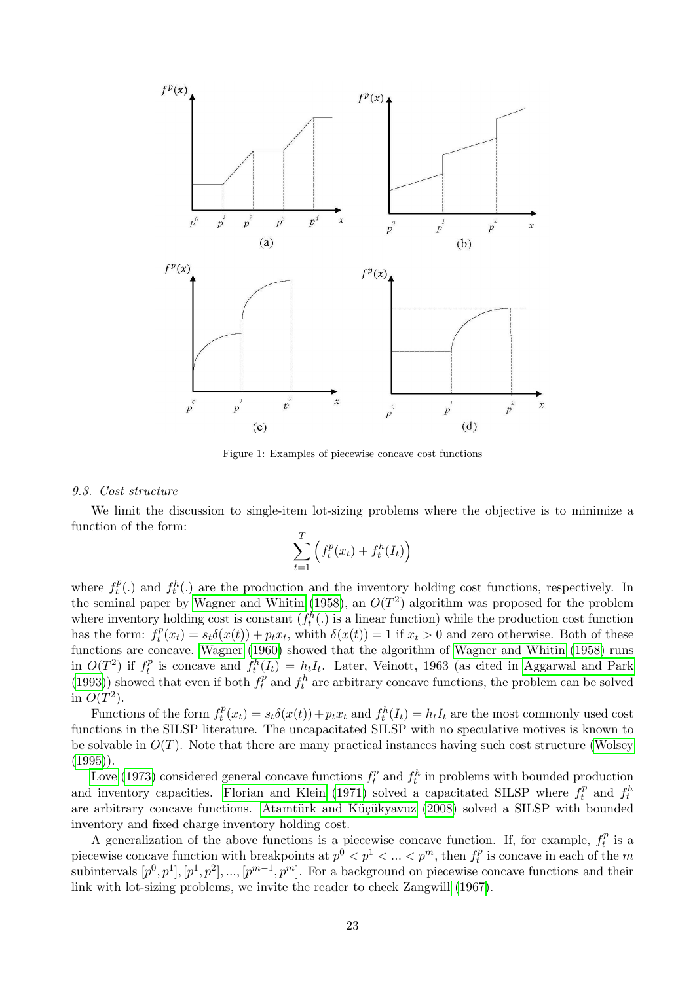

<span id="page-23-1"></span>Figure 1: Examples of piecewise concave cost functions

### <span id="page-23-0"></span>9.3. Cost structure

We limit the discussion to single-item lot-sizing problems where the objective is to minimize a function of the form:

$$
\sum_{t=1}^{T} \left( f_t^p(x_t) + f_t^h(I_t) \right)
$$

where  $f_t^p$  $t_t^{p}(.)$  and  $f_t^{h}(.)$  are the production and the inventory holding cost functions, respectively. In the seminal paper by [Wagner and Whitin](#page-44-0) [\(1958\)](#page-44-0), an  $O(T^2)$  algorithm was proposed for the problem where inventory holding cost is constant  $(f_t^h(.)$  is a linear function) while the production cost function has the form:  $f_t^p$  $t_t^p(x_t) = s_t \delta(x(t)) + p_t x_t$ , whith  $\delta(x(t)) = 1$  if  $x_t > 0$  and zero otherwise. Both of these functions are concave. [Wagner](#page-44-17) [\(1960\)](#page-44-17) showed that the algorithm of [Wagner and Whitin](#page-44-0) [\(1958\)](#page-44-0) runs in  $O(T^2)$  if  $f_t^p$  $t_t^p$  is concave and  $f_t^h(I_t) = h_t I_t$ . Later, Veinott, 1963 (as cited in [Aggarwal and Park](#page-29-14) [\(1993\)](#page-29-14)) showed that even if both  $f_t^p$  $t_t^p$  and  $f_t^h$  are arbitrary concave functions, the problem can be solved in  $O(T^2)$ .

Functions of the form  $f_t^p$  $t_t^p(x_t) = s_t \delta(x(t)) + p_t x_t$  and  $f_t^h(I_t) = h_t I_t$  are the most commonly used cost functions in the SILSP literature. The uncapacitated SILSP with no speculative motives is known to be solvable in  $O(T)$ . Note that there are many practical instances having such cost structure [\(Wolsey](#page-44-1)  $(1995)$ .

[Love](#page-39-8) [\(1973\)](#page-39-8) considered general concave functions  $f_t^p$  $t_t^p$  and  $f_t^h$  in problems with bounded production and inventory capacities. [Florian and Klein](#page-35-16) [\(1971\)](#page-35-16) solved a capacitated SILSP where  $f_t^p$  $f_t^p$  and  $f_t^h$ are arbitrary concave functions. Atamtürk and Küçükyavuz [\(2008\)](#page-30-6) solved a SILSP with bounded inventory and fixed charge inventory holding cost.

A generalization of the above functions is a piecewise concave function. If, for example,  $f_t^p$  $t^{p}$  is a piecewise concave function with breakpoints at  $p^0 < p^1 < ... < p^m$ , then  $f_t^p$  $t<sub>t</sub><sup>p</sup>$  is concave in each of the m subintervals  $[p^0, p^1], [p^1, p^2], ..., [p^{m-1}, p^m]$ . For a background on piecewise concave functions and their link with lot-sizing problems, we invite the reader to check [Zangwill](#page-45-6) [\(1967\)](#page-45-6).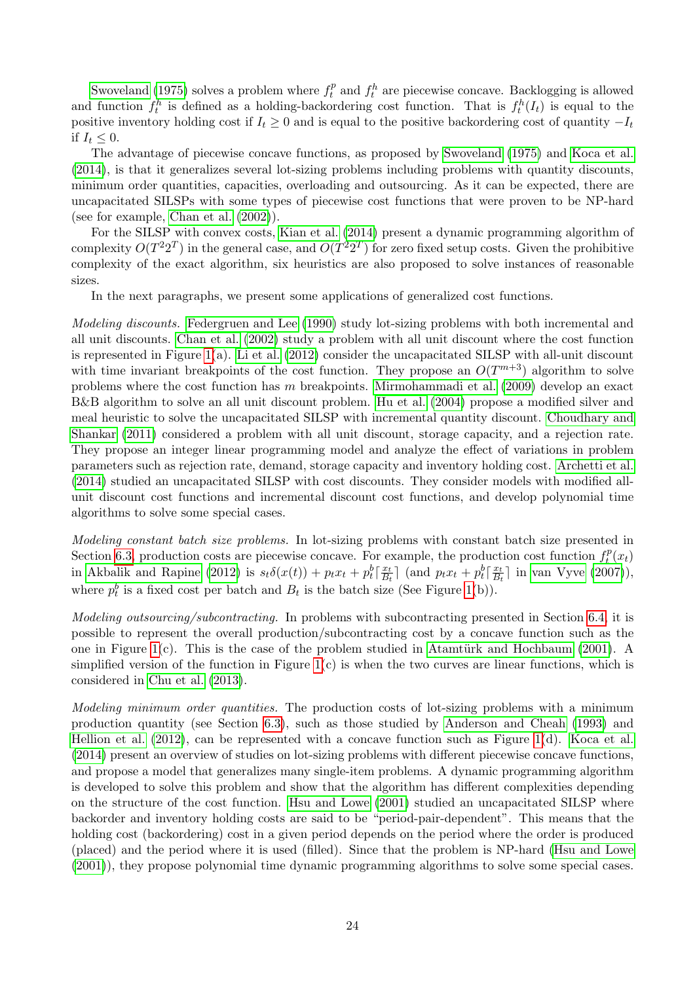[Swoveland](#page-42-17) [\(1975\)](#page-42-17) solves a problem where  $f_t^p$  $t_t^p$  and  $f_t^h$  are piecewise concave. Backlogging is allowed and function  $f_t^h$  is defined as a holding-backordering cost function. That is  $f_t^h(I_t)$  is equal to the positive inventory holding cost if  $I_t \geq 0$  and is equal to the positive backordering cost of quantity  $-I_t$ if  $I_t \leq 0$ .

The advantage of piecewise concave functions, as proposed by [Swoveland](#page-42-17) [\(1975\)](#page-42-17) and [Koca et al.](#page-38-15) [\(2014\)](#page-38-15), is that it generalizes several lot-sizing problems including problems with quantity discounts, minimum order quantities, capacities, overloading and outsourcing. As it can be expected, there are uncapacitated SILSPs with some types of piecewise cost functions that were proven to be NP-hard (see for example, [Chan et al.](#page-32-15) [\(2002\)](#page-32-15)).

For the SILSP with convex costs, [Kian et al.](#page-37-15) [\(2014\)](#page-37-15) present a dynamic programming algorithm of complexity  $O(T^22^T)$  in the general case, and  $O(T^22^T)$  for zero fixed setup costs. Given the prohibitive complexity of the exact algorithm, six heuristics are also proposed to solve instances of reasonable sizes.

In the next paragraphs, we present some applications of generalized cost functions.

Modeling discounts. [Federgruen and Lee](#page-34-16) [\(1990\)](#page-34-16) study lot-sizing problems with both incremental and all unit discounts. [Chan et al.](#page-32-15) [\(2002\)](#page-32-15) study a problem with all unit discount where the cost function is represented in Figure [1\(](#page-23-1)a). [Li et al.](#page-38-16) [\(2012\)](#page-38-16) consider the uncapacitated SILSP with all-unit discount with time invariant breakpoints of the cost function. They propose an  $O(T^{m+3})$  algorithm to solve problems where the cost function has m breakpoints. [Mirmohammadi et al.](#page-39-17) [\(2009\)](#page-39-17) develop an exact B&B algorithm to solve an all unit discount problem. [Hu et al.](#page-36-15) [\(2004\)](#page-36-15) propose a modified silver and meal heuristic to solve the uncapacitated SILSP with incremental quantity discount. [Choudhary and](#page-33-16) [Shankar](#page-33-16) [\(2011\)](#page-33-16) considered a problem with all unit discount, storage capacity, and a rejection rate. They propose an integer linear programming model and analyze the effect of variations in problem parameters such as rejection rate, demand, storage capacity and inventory holding cost. [Archetti et al.](#page-30-15) [\(2014\)](#page-30-15) studied an uncapacitated SILSP with cost discounts. They consider models with modified allunit discount cost functions and incremental discount cost functions, and develop polynomial time algorithms to solve some special cases.

Modeling constant batch size problems. In lot-sizing problems with constant batch size presented in Section [6.3,](#page-13-1) production costs are piecewise concave. For example, the production cost function  $f_t^p$  $t^p(x_t)$ in [Akbalik and Rapine](#page-29-6) [\(2012\)](#page-29-6) is  $s_t\delta(x(t)) + p_t x_t + p_t^b \left[\frac{x_t}{B_t}\right]$  $\frac{x_t}{B_t}$  and  $p_t x_t + p_t^b \left[ \frac{x_t}{B_t} \right]$  $\frac{x_t}{B_t}$  in [van Vyve](#page-43-5) [\(2007\)](#page-43-5)), where  $p_t^b$  is a fixed cost per batch and  $B_t$  is the batch size (See Figure [1\(](#page-23-1)b)).

Modeling outsourcing/subcontracting. In problems with subcontracting presented in Section [6.4,](#page-14-0) it is possible to represent the overall production/subcontracting cost by a concave function such as the one in Figure [1\(](#page-23-1)c). This is the case of the problem studied in Atamtürk and Hochbaum [\(2001\)](#page-30-16). A simplified version of the function in Figure  $1(c)$  is when the two curves are linear functions, which is considered in [Chu et al.](#page-33-3) [\(2013\)](#page-33-3).

Modeling minimum order quantities. The production costs of lot-sizing problems with a minimum production quantity (see Section [6.3\)](#page-13-1), such as those studied by [Anderson and Cheah](#page-30-7) [\(1993\)](#page-30-7) and [Hellion et al.](#page-36-5)  $(2012)$ , can be represented with a concave function such as Figure [1\(](#page-23-1)d). [Koca et al.](#page-38-15) [\(2014\)](#page-38-15) present an overview of studies on lot-sizing problems with different piecewise concave functions, and propose a model that generalizes many single-item problems. A dynamic programming algorithm is developed to solve this problem and show that the algorithm has different complexities depending on the structure of the cost function. [Hsu and Lowe](#page-36-16) [\(2001\)](#page-36-16) studied an uncapacitated SILSP where backorder and inventory holding costs are said to be "period-pair-dependent". This means that the holding cost (backordering) cost in a given period depends on the period where the order is produced (placed) and the period where it is used (filled). Since that the problem is NP-hard [\(Hsu and Lowe](#page-36-16) [\(2001\)](#page-36-16)), they propose polynomial time dynamic programming algorithms to solve some special cases.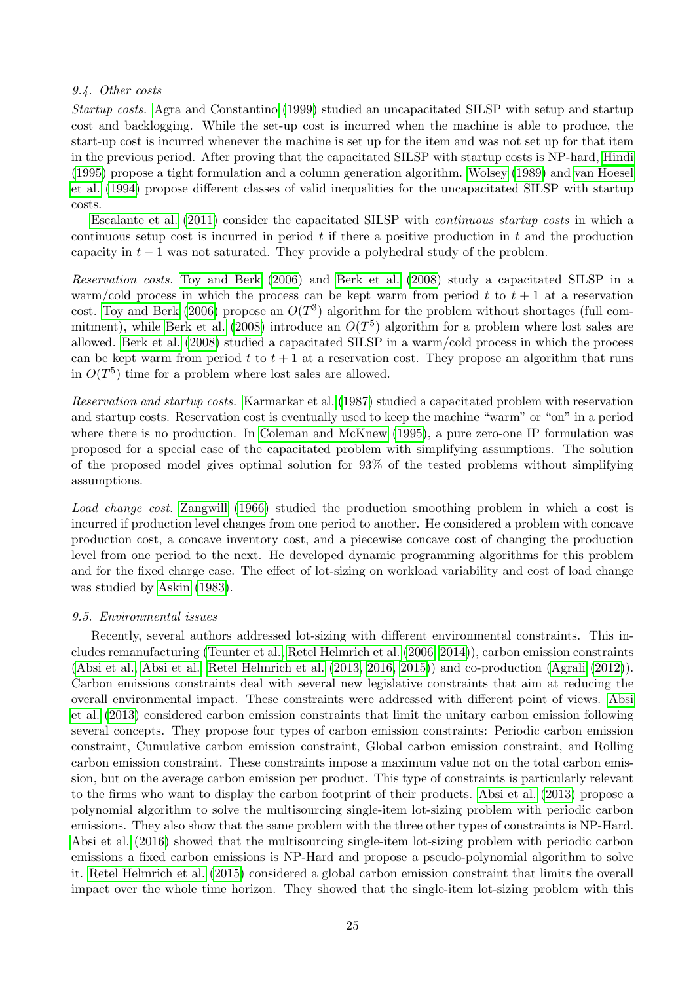### <span id="page-25-0"></span>9.4. Other costs

Startup costs. [Agra and Constantino](#page-29-15) [\(1999\)](#page-29-15) studied an uncapacitated SILSP with setup and startup cost and backlogging. While the set-up cost is incurred when the machine is able to produce, the start-up cost is incurred whenever the machine is set up for the item and was not set up for that item in the previous period. After proving that the capacitated SILSP with startup costs is NP-hard, [Hindi](#page-36-17) [\(1995\)](#page-36-17) propose a tight formulation and a column generation algorithm. [Wolsey](#page-44-2) [\(1989\)](#page-44-2) and [van Hoesel](#page-43-16) [et al.](#page-43-16) [\(1994\)](#page-43-16) propose different classes of valid inequalities for the uncapacitated SILSP with startup costs.

[Escalante et al.](#page-34-4) [\(2011\)](#page-34-4) consider the capacitated SILSP with continuous startup costs in which a continuous setup cost is incurred in period  $t$  if there a positive production in  $t$  and the production capacity in  $t - 1$  was not saturated. They provide a polyhedral study of the problem.

Reservation costs. [Toy and Berk](#page-43-17) [\(2006\)](#page-43-17) and [Berk et al.](#page-31-7) [\(2008\)](#page-31-7) study a capacitated SILSP in a warm/cold process in which the process can be kept warm from period t to  $t + 1$  at a reservation cost. [Toy and Berk](#page-43-17) [\(2006\)](#page-43-17) propose an  $O(T^3)$  algorithm for the problem without shortages (full com-mitment), while [Berk et al.](#page-31-7) [\(2008\)](#page-31-7) introduce an  $O(T^5)$  algorithm for a problem where lost sales are allowed. [Berk et al.](#page-31-7) [\(2008\)](#page-31-7) studied a capacitated SILSP in a warm/cold process in which the process can be kept warm from period t to  $t + 1$  at a reservation cost. They propose an algorithm that runs in  $O(T^5)$  time for a problem where lost sales are allowed.

Reservation and startup costs. [Karmarkar et al.](#page-37-16) [\(1987\)](#page-37-16) studied a capacitated problem with reservation and startup costs. Reservation cost is eventually used to keep the machine "warm" or "on" in a period where there is no production. In [Coleman and McKnew](#page-33-9) [\(1995\)](#page-33-9), a pure zero-one IP formulation was proposed for a special case of the capacitated problem with simplifying assumptions. The solution of the proposed model gives optimal solution for 93% of the tested problems without simplifying assumptions.

Load change cost. [Zangwill](#page-45-7) [\(1966\)](#page-45-7) studied the production smoothing problem in which a cost is incurred if production level changes from one period to another. He considered a problem with concave production cost, a concave inventory cost, and a piecewise concave cost of changing the production level from one period to the next. He developed dynamic programming algorithms for this problem and for the fixed charge case. The effect of lot-sizing on workload variability and cost of load change was studied by [Askin](#page-30-17) [\(1983\)](#page-30-17).

### 9.5. Environmental issues

Recently, several authors addressed lot-sizing with different environmental constraints. This includes remanufacturing [\(Teunter et al.,](#page-42-4) [Retel Helmrich et al.](#page-41-5) [\(2006,](#page-42-4) [2014\)](#page-41-5)), carbon emission constraints [\(Absi et al.,](#page-29-8) [Absi et al.,](#page-29-5) [Retel Helmrich et al.](#page-41-13) [\(2013,](#page-29-8) [2016,](#page-29-5) [2015\)](#page-41-13)) and co-production [\(Agrali](#page-29-16) [\(2012\)](#page-29-16)). Carbon emissions constraints deal with several new legislative constraints that aim at reducing the overall environmental impact. These constraints were addressed with different point of views. [Absi](#page-29-8) [et al.](#page-29-8) [\(2013\)](#page-29-8) considered carbon emission constraints that limit the unitary carbon emission following several concepts. They propose four types of carbon emission constraints: Periodic carbon emission constraint, Cumulative carbon emission constraint, Global carbon emission constraint, and Rolling carbon emission constraint. These constraints impose a maximum value not on the total carbon emission, but on the average carbon emission per product. This type of constraints is particularly relevant to the firms who want to display the carbon footprint of their products. [Absi et al.](#page-29-8) [\(2013\)](#page-29-8) propose a polynomial algorithm to solve the multisourcing single-item lot-sizing problem with periodic carbon emissions. They also show that the same problem with the three other types of constraints is NP-Hard. [Absi et al.](#page-29-5) [\(2016\)](#page-29-5) showed that the multisourcing single-item lot-sizing problem with periodic carbon emissions a fixed carbon emissions is NP-Hard and propose a pseudo-polynomial algorithm to solve it. [Retel Helmrich et al.](#page-41-13) [\(2015\)](#page-41-13) considered a global carbon emission constraint that limits the overall impact over the whole time horizon. They showed that the single-item lot-sizing problem with this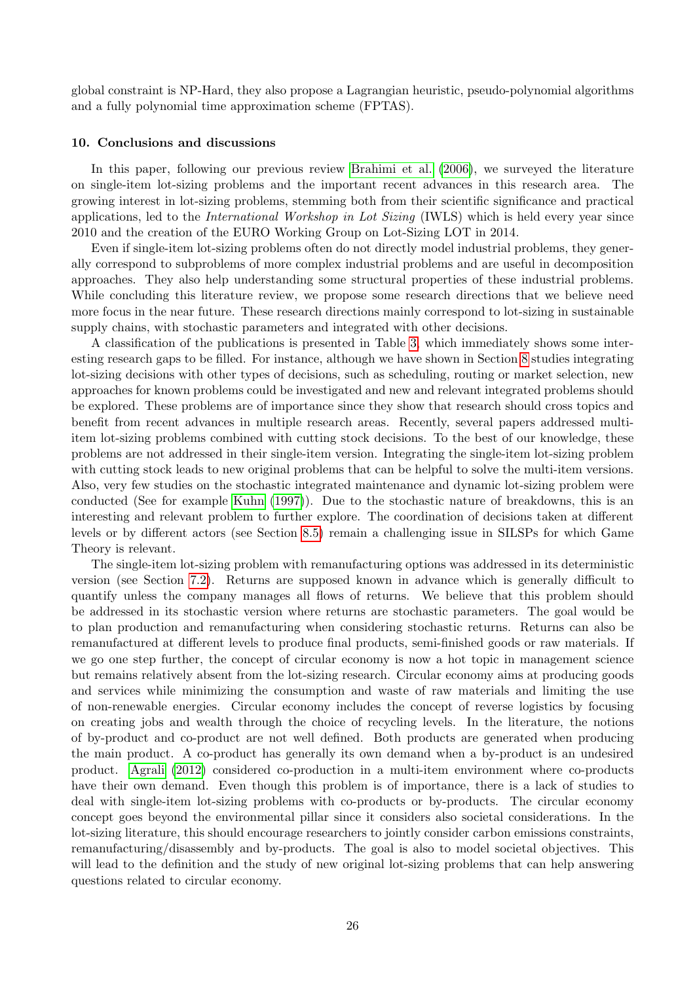global constraint is NP-Hard, they also propose a Lagrangian heuristic, pseudo-polynomial algorithms and a fully polynomial time approximation scheme (FPTAS).

### 10. Conclusions and discussions

In this paper, following our previous review [Brahimi et al.](#page-32-0) [\(2006\)](#page-32-0), we surveyed the literature on single-item lot-sizing problems and the important recent advances in this research area. The growing interest in lot-sizing problems, stemming both from their scientific significance and practical applications, led to the *International Workshop in Lot Sizing* (IWLS) which is held every year since 2010 and the creation of the EURO Working Group on Lot-Sizing LOT in 2014.

Even if single-item lot-sizing problems often do not directly model industrial problems, they generally correspond to subproblems of more complex industrial problems and are useful in decomposition approaches. They also help understanding some structural properties of these industrial problems. While concluding this literature review, we propose some research directions that we believe need more focus in the near future. These research directions mainly correspond to lot-sizing in sustainable supply chains, with stochastic parameters and integrated with other decisions.

A classification of the publications is presented in Table [3,](#page-28-0) which immediately shows some interesting research gaps to be filled. For instance, although we have shown in Section [8](#page-17-0) studies integrating lot-sizing decisions with other types of decisions, such as scheduling, routing or market selection, new approaches for known problems could be investigated and new and relevant integrated problems should be explored. These problems are of importance since they show that research should cross topics and benefit from recent advances in multiple research areas. Recently, several papers addressed multiitem lot-sizing problems combined with cutting stock decisions. To the best of our knowledge, these problems are not addressed in their single-item version. Integrating the single-item lot-sizing problem with cutting stock leads to new original problems that can be helpful to solve the multi-item versions. Also, very few studies on the stochastic integrated maintenance and dynamic lot-sizing problem were conducted (See for example [Kuhn](#page-38-17) [\(1997\)](#page-38-17)). Due to the stochastic nature of breakdowns, this is an interesting and relevant problem to further explore. The coordination of decisions taken at different levels or by different actors (see Section [8.5\)](#page-19-2) remain a challenging issue in SILSPs for which Game Theory is relevant.

The single-item lot-sizing problem with remanufacturing options was addressed in its deterministic version (see Section [7.2\)](#page-16-0). Returns are supposed known in advance which is generally difficult to quantify unless the company manages all flows of returns. We believe that this problem should be addressed in its stochastic version where returns are stochastic parameters. The goal would be to plan production and remanufacturing when considering stochastic returns. Returns can also be remanufactured at different levels to produce final products, semi-finished goods or raw materials. If we go one step further, the concept of circular economy is now a hot topic in management science but remains relatively absent from the lot-sizing research. Circular economy aims at producing goods and services while minimizing the consumption and waste of raw materials and limiting the use of non-renewable energies. Circular economy includes the concept of reverse logistics by focusing on creating jobs and wealth through the choice of recycling levels. In the literature, the notions of by-product and co-product are not well defined. Both products are generated when producing the main product. A co-product has generally its own demand when a by-product is an undesired product. [Agrali](#page-29-16) [\(2012\)](#page-29-16) considered co-production in a multi-item environment where co-products have their own demand. Even though this problem is of importance, there is a lack of studies to deal with single-item lot-sizing problems with co-products or by-products. The circular economy concept goes beyond the environmental pillar since it considers also societal considerations. In the lot-sizing literature, this should encourage researchers to jointly consider carbon emissions constraints, remanufacturing/disassembly and by-products. The goal is also to model societal objectives. This will lead to the definition and the study of new original lot-sizing problems that can help answering questions related to circular economy.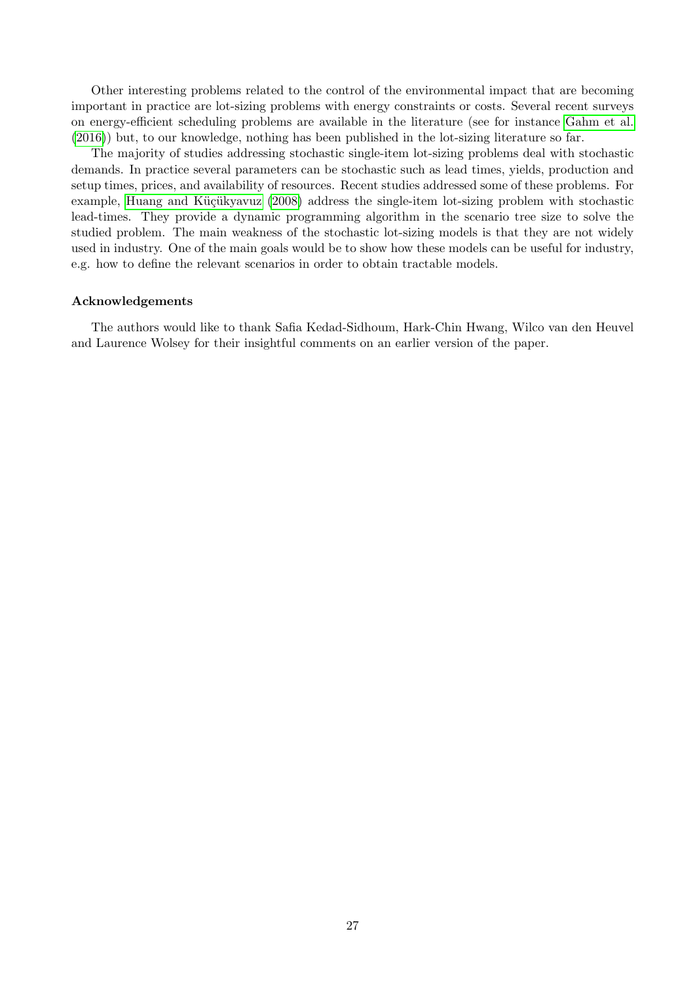Other interesting problems related to the control of the environmental impact that are becoming important in practice are lot-sizing problems with energy constraints or costs. Several recent surveys on energy-efficient scheduling problems are available in the literature (see for instance [Gahm et al.](#page-35-17) [\(2016\)](#page-35-17)) but, to our knowledge, nothing has been published in the lot-sizing literature so far.

The majority of studies addressing stochastic single-item lot-sizing problems deal with stochastic demands. In practice several parameters can be stochastic such as lead times, yields, production and setup times, prices, and availability of resources. Recent studies addressed some of these problems. For example, Huang and Küçükyavuz [\(2008\)](#page-37-17) address the single-item lot-sizing problem with stochastic lead-times. They provide a dynamic programming algorithm in the scenario tree size to solve the studied problem. The main weakness of the stochastic lot-sizing models is that they are not widely used in industry. One of the main goals would be to show how these models can be useful for industry, e.g. how to define the relevant scenarios in order to obtain tractable models.

### Acknowledgements

The authors would like to thank Safia Kedad-Sidhoum, Hark-Chin Hwang, Wilco van den Heuvel and Laurence Wolsey for their insightful comments on an earlier version of the paper.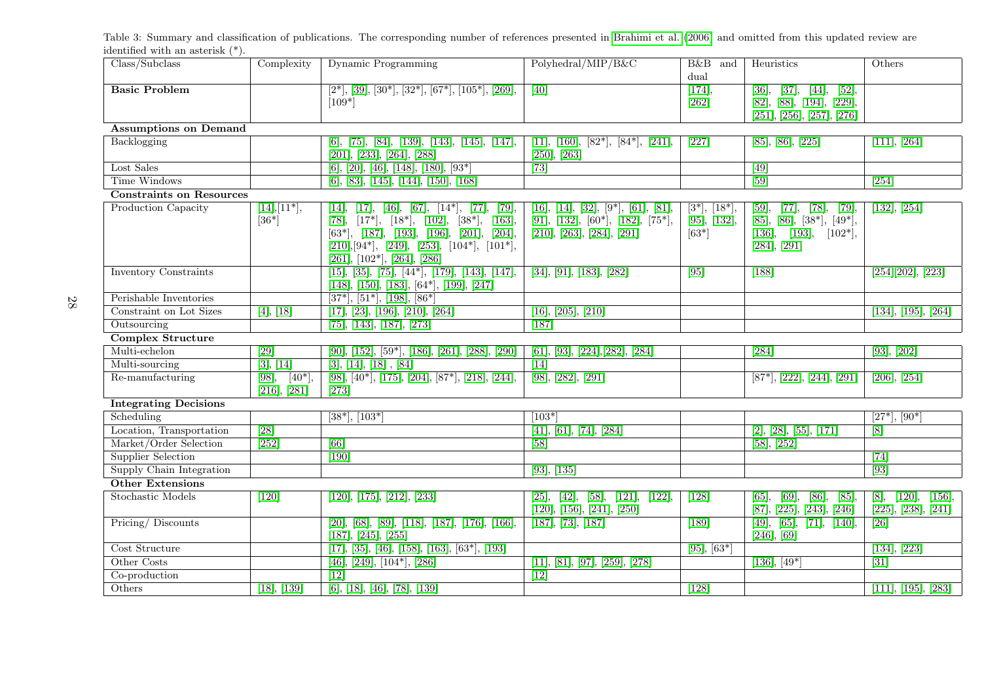<span id="page-28-0"></span>Table 3: Summary and classification of publications. The corresponding number of references presented in [Brahimi](#page-32-16) et al. ([2006\)](#page-32-16) and omitted from this updated review areidentified with an asterisk (\*).

| Class/Subclass                  | Complexity                                      | Dynamic Programming                                                                                                                                                                                                                              | Polyhedral/MIP/B&C                                                                                     | B&B and                                     | Heuristics                                                                                          | Others                                                |  |  |  |
|---------------------------------|-------------------------------------------------|--------------------------------------------------------------------------------------------------------------------------------------------------------------------------------------------------------------------------------------------------|--------------------------------------------------------------------------------------------------------|---------------------------------------------|-----------------------------------------------------------------------------------------------------|-------------------------------------------------------|--|--|--|
|                                 |                                                 |                                                                                                                                                                                                                                                  |                                                                                                        | dual                                        |                                                                                                     |                                                       |  |  |  |
| <b>Basic Problem</b>            |                                                 | $[2^*], [39], [30^*], [32^*], [67^*], [105^*], [269],$                                                                                                                                                                                           | $\boxed{40}$                                                                                           | [174],                                      | $\overline{[37]}$ ,<br>[36],<br>$[44]$ ,<br>[52]                                                    |                                                       |  |  |  |
|                                 |                                                 | $[109*]$                                                                                                                                                                                                                                         |                                                                                                        | $[262]$                                     | [82], [88], [194], [229],                                                                           |                                                       |  |  |  |
|                                 |                                                 |                                                                                                                                                                                                                                                  |                                                                                                        |                                             | [251], [256], [257], [276]                                                                          |                                                       |  |  |  |
| <b>Assumptions on Demand</b>    |                                                 |                                                                                                                                                                                                                                                  |                                                                                                        |                                             |                                                                                                     |                                                       |  |  |  |
| Backlogging                     |                                                 | $[6], [75], [84], [139], [143], [145], [147],$<br>[201], [233], [264], [288]                                                                                                                                                                     | $[11], [160], [82^*], [84^*], [241],$<br>$[250]$ , $[263]$                                             | $\boxed{227}$                               | [85], [86], [225]                                                                                   | [111], [264]                                          |  |  |  |
| Lost Sales                      |                                                 | $[6], [20], [46], [148], [180], [93*]$                                                                                                                                                                                                           | $\boxed{73}$                                                                                           |                                             | $\overline{[49]}$                                                                                   |                                                       |  |  |  |
| <b>Time Windows</b>             |                                                 | $[6]$ , [83], [145], [144], [150], [168]                                                                                                                                                                                                         |                                                                                                        |                                             | $\overline{59}$                                                                                     | $\overline{254}$                                      |  |  |  |
| <b>Constraints on Resources</b> |                                                 |                                                                                                                                                                                                                                                  |                                                                                                        |                                             |                                                                                                     |                                                       |  |  |  |
| Production Capacity             | $[14], [11^*],$<br>$[36*]$                      | $[17], [46], [67], [14^*], [77], [79],$<br>[14],<br>[78], $[17^*]$ , $[18^*]$ , $[102]$ , $[38^*]$ , $[163]$ ,<br>$[63^*], [187], [193], [196], [201], [204],$<br>$[210],[94^*], [249], [253], [104^*], [101^*],$<br>[261], [102*], [264], [286] | [16], [14], [32], [9*], [61], [81],<br>[91], [132], [60*], [182], [75*],<br>[210], [263], [284], [291] | $[3^*], [18^*],$<br>[95], [132],<br>$[63*]$ | [77], [78],<br>[79],<br>[59],<br>[85], [86], [38*], [49*],<br>[136], [193], [102*],<br>[284], [291] | [132], [254]                                          |  |  |  |
| <b>Inventory Constraints</b>    |                                                 | $\overline{[15],}$ $\overline{[35],}$ $\overline{[75],}$ $\overline{[44^*],}$ $\overline{[179],}$ $\overline{[143],}$ $\overline{[147],}$<br>$[148]$ , $[150]$ , $[183]$ , $[64^*]$ , $[199]$ , $[247]$                                          | [34], [91], [183], [282]                                                                               | [95]                                        | $[188]$                                                                                             | [254][202], [223]                                     |  |  |  |
| Perishable Inventories          |                                                 | $[37^*], [51^*], [198], [86^*]$                                                                                                                                                                                                                  |                                                                                                        |                                             |                                                                                                     |                                                       |  |  |  |
| Constraint on Lot Sizes         | [4], [18]                                       | [17], [23], [196], [210], [264]                                                                                                                                                                                                                  | [16], [205], [210]                                                                                     |                                             |                                                                                                     | $\overline{[134], [195], [264]}$                      |  |  |  |
| Outsourcing                     |                                                 | [75], [143], [187], [273]                                                                                                                                                                                                                        | $[187]$                                                                                                |                                             |                                                                                                     |                                                       |  |  |  |
| <b>Complex Structure</b>        |                                                 |                                                                                                                                                                                                                                                  |                                                                                                        |                                             |                                                                                                     |                                                       |  |  |  |
| Multi-echelon                   | $\overline{[29]}$                               | $[90], [152], [59*], [186], [261], [288], [290]$                                                                                                                                                                                                 | [61], [93], [224], [282], [284]                                                                        |                                             | $\boxed{284}$                                                                                       | [93], [202]                                           |  |  |  |
| Multi-sourcing                  | [3], [14]                                       | [3], [14], [18], [84]                                                                                                                                                                                                                            | $\boxed{14}$                                                                                           |                                             |                                                                                                     |                                                       |  |  |  |
| Re-manufacturing                | $\overline{[98]},$<br>$[40^*],$<br>[216], [281] | [98], [40*], [175], [204], [87*], [218], [244],<br>[273]                                                                                                                                                                                         | [98], [282], [291]                                                                                     |                                             | $[87^*], [222], [244], [291]$                                                                       | [206], [254]                                          |  |  |  |
| <b>Integrating Decisions</b>    |                                                 |                                                                                                                                                                                                                                                  |                                                                                                        |                                             |                                                                                                     |                                                       |  |  |  |
| Scheduling                      |                                                 | $\sqrt{38^*}$ , $\sqrt{103^*}$                                                                                                                                                                                                                   | $[103*]$                                                                                               |                                             |                                                                                                     | $\overline{[27^*], [90^*]}$                           |  |  |  |
| Location, Transportation        | $\overline{[28]}$                               |                                                                                                                                                                                                                                                  | [41], [61], [74], [284]                                                                                |                                             | [2], [28], [55], [171]                                                                              | [8]                                                   |  |  |  |
| Market/Order Selection          | $\overline{ 252 }$                              | $\overline{66}$                                                                                                                                                                                                                                  | $[58]$                                                                                                 |                                             | [58], [252]                                                                                         |                                                       |  |  |  |
| Supplier Selection              |                                                 | $[190]$                                                                                                                                                                                                                                          |                                                                                                        |                                             |                                                                                                     | [74]                                                  |  |  |  |
| Supply Chain Integration        |                                                 |                                                                                                                                                                                                                                                  | $\overline{[93]}, \overline{[135]}$                                                                    |                                             |                                                                                                     | $\overline{93}$                                       |  |  |  |
| <b>Other Extensions</b>         |                                                 |                                                                                                                                                                                                                                                  |                                                                                                        |                                             |                                                                                                     |                                                       |  |  |  |
| <b>Stochastic Models</b>        | $[120]$                                         | [120], [175], [212], [233]                                                                                                                                                                                                                       | [121], [122],<br>$[25]$ ,<br>[42],<br>$[58]$ ,<br>[120], [156], [241], [250]                           | $\boxed{128}$                               | $[86]$ ,<br>$[65]$ ,<br>[69],<br>[85],<br>[87], [225], [243], [246]                                 | $[120]$ ,<br>$[156]$ ,<br>[8],<br>[225], [238], [241] |  |  |  |
| Pricing/Discounts               |                                                 | $[20], [68], [89], [118], [187], [176], [166],$<br>[187], [245], [255]                                                                                                                                                                           | [187], [73], [187]                                                                                     | $\boxed{189}$                               | [49], [65], [71], [140],<br>$[246]$ , [69]                                                          | $\overline{26}$                                       |  |  |  |
| Cost Structure                  |                                                 | $[17], [35], [46], [158], [163], [63^*], [193]$                                                                                                                                                                                                  |                                                                                                        | $[95], [63*]$                               |                                                                                                     | [134], [223]                                          |  |  |  |
| Other Costs                     |                                                 | $[46], [249], [104^*], [286]$                                                                                                                                                                                                                    | [11], [81], [97], [259], [278]                                                                         |                                             | $[136], [49*]$                                                                                      | $\overline{31}$                                       |  |  |  |
| Co-production                   |                                                 | $[12]$                                                                                                                                                                                                                                           | $[12]$                                                                                                 |                                             |                                                                                                     |                                                       |  |  |  |
| Others                          | [18], [139]                                     | [6], [18], [46], [78], [139]                                                                                                                                                                                                                     |                                                                                                        | $\boxed{128}$                               |                                                                                                     | [111], [195], [283]                                   |  |  |  |

28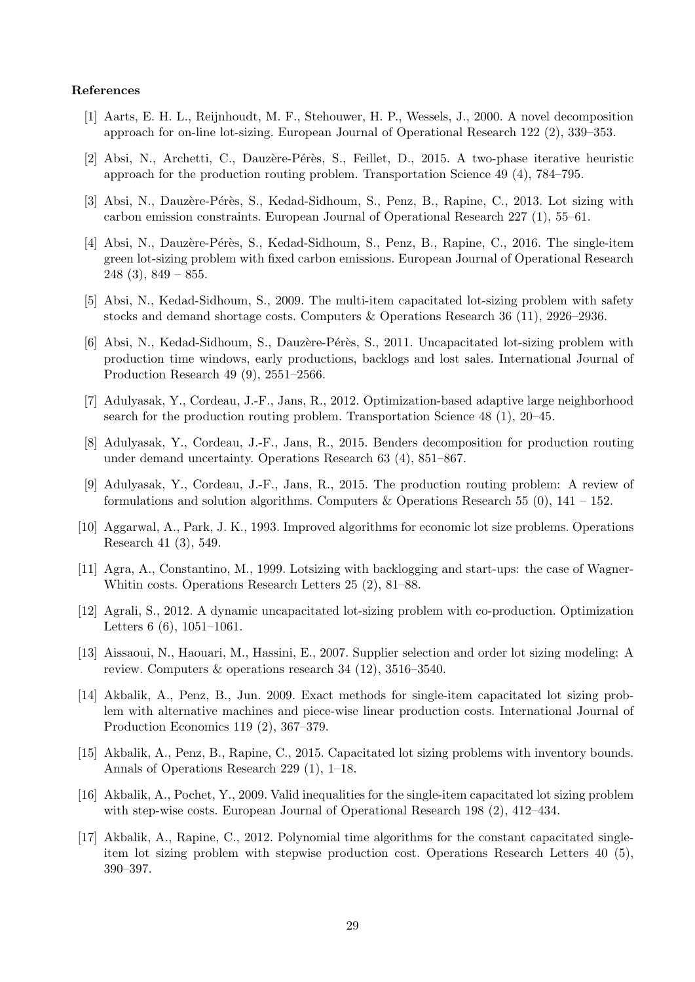### References

- <span id="page-29-27"></span><span id="page-29-26"></span><span id="page-29-25"></span><span id="page-29-24"></span><span id="page-29-23"></span><span id="page-29-22"></span><span id="page-29-21"></span><span id="page-29-20"></span><span id="page-29-19"></span><span id="page-29-18"></span><span id="page-29-17"></span><span id="page-29-13"></span>[1] Aarts, E. H. L., Reijnhoudt, M. F., Stehouwer, H. P., Wessels, J., 2000. A novel decomposition approach for on-line lot-sizing. European Journal of Operational Research 122 (2), 339–353.
- <span id="page-29-10"></span>[2] Absi, N., Archetti, C., Dauzère-Pérès, S., Feillet, D., 2015. A two-phase iterative heuristic approach for the production routing problem. Transportation Science 49 (4), 784–795.
- <span id="page-29-8"></span>[3] Absi, N., Dauzère-Pérès, S., Kedad-Sidhoum, S., Penz, B., Rapine, C., 2013. Lot sizing with carbon emission constraints. European Journal of Operational Research 227 (1), 55–61.
- <span id="page-29-5"></span>[4] Absi, N., Dauzère-Pérès, S., Kedad-Sidhoum, S., Penz, B., Rapine, C., 2016. The single-item green lot-sizing problem with fixed carbon emissions. European Journal of Operational Research  $248$  (3),  $849 - 855$ .
- <span id="page-29-4"></span>[5] Absi, N., Kedad-Sidhoum, S., 2009. The multi-item capacitated lot-sizing problem with safety stocks and demand shortage costs. Computers & Operations Research 36 (11), 2926–2936.
- <span id="page-29-0"></span>[6] Absi, N., Kedad-Sidhoum, S., Dauzère-Pérès, S., 2011. Uncapacitated lot-sizing problem with production time windows, early productions, backlogs and lost sales. International Journal of Production Research 49 (9), 2551–2566.
- <span id="page-29-11"></span>[7] Adulyasak, Y., Cordeau, J.-F., Jans, R., 2012. Optimization-based adaptive large neighborhood search for the production routing problem. Transportation Science 48 (1), 20–45.
- <span id="page-29-12"></span>[8] Adulyasak, Y., Cordeau, J.-F., Jans, R., 2015. Benders decomposition for production routing under demand uncertainty. Operations Research 63 (4), 851–867.
- <span id="page-29-9"></span>[9] Adulyasak, Y., Cordeau, J.-F., Jans, R., 2015. The production routing problem: A review of formulations and solution algorithms. Computers & Operations Research 55 (0),  $141 - 152$ .
- <span id="page-29-14"></span>[10] Aggarwal, A., Park, J. K., 1993. Improved algorithms for economic lot size problems. Operations Research 41 (3), 549.
- <span id="page-29-15"></span>[11] Agra, A., Constantino, M., 1999. Lotsizing with backlogging and start-ups: the case of Wagner-Whitin costs. Operations Research Letters 25 (2), 81–88.
- <span id="page-29-16"></span>[12] Agrali, S., 2012. A dynamic uncapacitated lot-sizing problem with co-production. Optimization Letters 6 (6), 1051–1061.
- <span id="page-29-7"></span>[13] Aissaoui, N., Haouari, M., Hassini, E., 2007. Supplier selection and order lot sizing modeling: A review. Computers & operations research 34 (12), 3516–3540.
- <span id="page-29-1"></span>[14] Akbalik, A., Penz, B., Jun. 2009. Exact methods for single-item capacitated lot sizing problem with alternative machines and piece-wise linear production costs. International Journal of Production Economics 119 (2), 367–379.
- <span id="page-29-3"></span>[15] Akbalik, A., Penz, B., Rapine, C., 2015. Capacitated lot sizing problems with inventory bounds. Annals of Operations Research 229 (1), 1–18.
- <span id="page-29-2"></span>[16] Akbalik, A., Pochet, Y., 2009. Valid inequalities for the single-item capacitated lot sizing problem with step-wise costs. European Journal of Operational Research 198 (2), 412–434.
- <span id="page-29-6"></span>[17] Akbalik, A., Rapine, C., 2012. Polynomial time algorithms for the constant capacitated singleitem lot sizing problem with stepwise production cost. Operations Research Letters 40 (5), 390–397.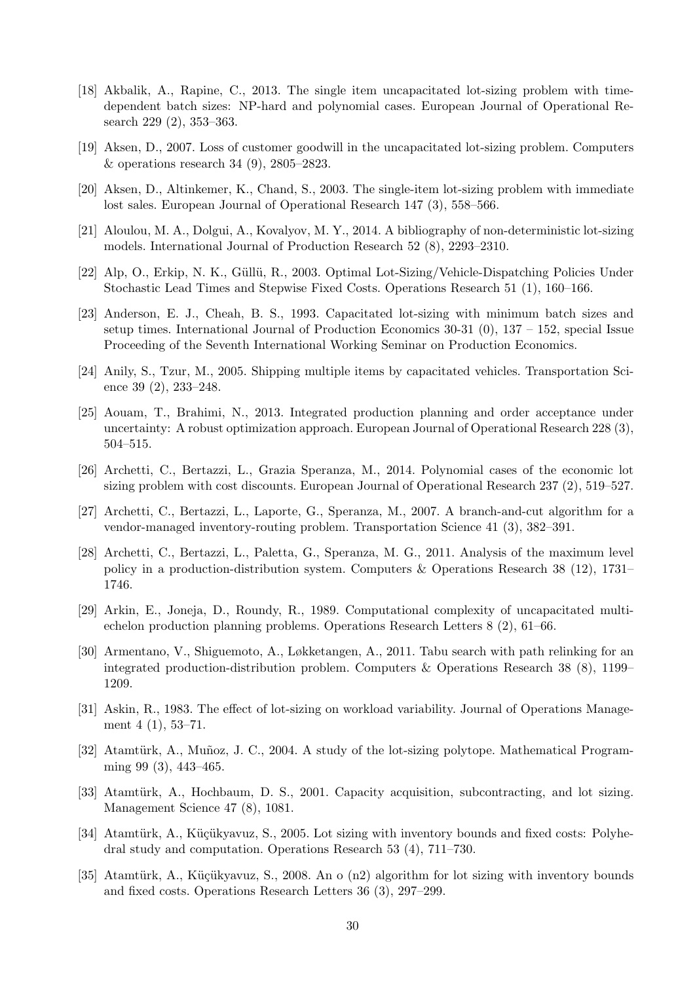- <span id="page-30-28"></span><span id="page-30-27"></span><span id="page-30-26"></span><span id="page-30-25"></span><span id="page-30-24"></span><span id="page-30-23"></span><span id="page-30-22"></span><span id="page-30-21"></span><span id="page-30-20"></span><span id="page-30-19"></span><span id="page-30-18"></span><span id="page-30-0"></span>[18] Akbalik, A., Rapine, C., 2013. The single item uncapacitated lot-sizing problem with timedependent batch sizes: NP-hard and polynomial cases. European Journal of Operational Research 229 (2), 353–363.
- <span id="page-30-2"></span>[19] Aksen, D., 2007. Loss of customer goodwill in the uncapacitated lot-sizing problem. Computers & operations research 34 (9), 2805–2823.
- <span id="page-30-3"></span>[20] Aksen, D., Altinkemer, K., Chand, S., 2003. The single-item lot-sizing problem with immediate lost sales. European Journal of Operational Research 147 (3), 558–566.
- <span id="page-30-14"></span>[21] Aloulou, M. A., Dolgui, A., Kovalyov, M. Y., 2014. A bibliography of non-deterministic lot-sizing models. International Journal of Production Research 52 (8), 2293–2310.
- <span id="page-30-8"></span>[22] Alp, O., Erkip, N. K., G¨ull¨u, R., 2003. Optimal Lot-Sizing/Vehicle-Dispatching Policies Under Stochastic Lead Times and Stepwise Fixed Costs. Operations Research 51 (1), 160–166.
- <span id="page-30-7"></span>[23] Anderson, E. J., Cheah, B. S., 1993. Capacitated lot-sizing with minimum batch sizes and setup times. International Journal of Production Economics 30-31 (0), 137 – 152, special Issue Proceeding of the Seventh International Working Seminar on Production Economics.
- <span id="page-30-10"></span>[24] Anily, S., Tzur, M., 2005. Shipping multiple items by capacitated vehicles. Transportation Science 39 (2), 233–248.
- <span id="page-30-13"></span>[25] Aouam, T., Brahimi, N., 2013. Integrated production planning and order acceptance under uncertainty: A robust optimization approach. European Journal of Operational Research 228 (3), 504–515.
- <span id="page-30-15"></span>[26] Archetti, C., Bertazzi, L., Grazia Speranza, M., 2014. Polynomial cases of the economic lot sizing problem with cost discounts. European Journal of Operational Research 237 (2), 519–527.
- <span id="page-30-11"></span>[27] Archetti, C., Bertazzi, L., Laporte, G., Speranza, M., 2007. A branch-and-cut algorithm for a vendor-managed inventory-routing problem. Transportation Science 41 (3), 382–391.
- <span id="page-30-12"></span>[28] Archetti, C., Bertazzi, L., Paletta, G., Speranza, M. G., 2011. Analysis of the maximum level policy in a production-distribution system. Computers & Operations Research 38 (12), 1731– 1746.
- <span id="page-30-9"></span>[29] Arkin, E., Joneja, D., Roundy, R., 1989. Computational complexity of uncapacitated multiechelon production planning problems. Operations Research Letters 8 (2), 61–66.
- <span id="page-30-1"></span>[30] Armentano, V., Shiguemoto, A., Løkketangen, A., 2011. Tabu search with path relinking for an integrated production-distribution problem. Computers & Operations Research 38 (8), 1199– 1209.
- <span id="page-30-17"></span>[31] Askin, R., 1983. The effect of lot-sizing on workload variability. Journal of Operations Management 4 (1), 53–71.
- <span id="page-30-4"></span>[32] Atamtürk, A., Muñoz, J. C., 2004. A study of the lot-sizing polytope. Mathematical Programming 99 (3), 443–465.
- <span id="page-30-16"></span>[33] Atamtürk, A., Hochbaum, D. S., 2001. Capacity acquisition, subcontracting, and lot sizing. Management Science 47 (8), 1081.
- <span id="page-30-5"></span>[34] Atamtürk, A., Küçükyavuz, S., 2005. Lot sizing with inventory bounds and fixed costs: Polyhedral study and computation. Operations Research 53 (4), 711–730.
- <span id="page-30-6"></span>[35] Atamtürk, A., Küçükyavuz, S., 2008. An o (n2) algorithm for lot sizing with inventory bounds and fixed costs. Operations Research Letters 36 (3), 297–299.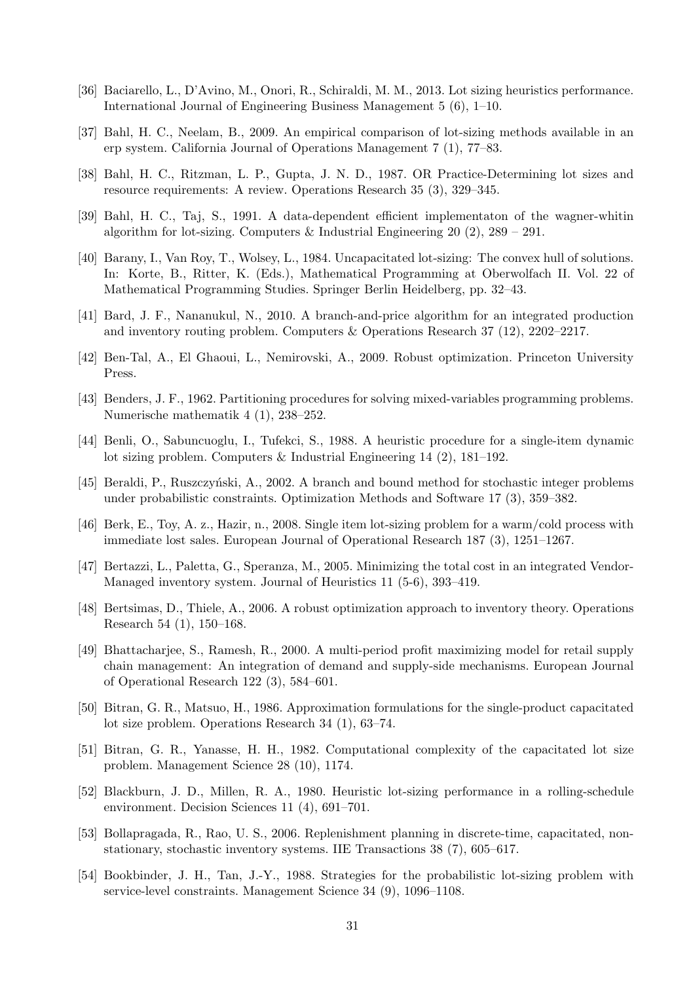- <span id="page-31-28"></span><span id="page-31-27"></span><span id="page-31-26"></span><span id="page-31-25"></span><span id="page-31-24"></span><span id="page-31-23"></span><span id="page-31-22"></span><span id="page-31-21"></span><span id="page-31-20"></span><span id="page-31-19"></span><span id="page-31-4"></span>[36] Baciarello, L., D'Avino, M., Onori, R., Schiraldi, M. M., 2013. Lot sizing heuristics performance. International Journal of Engineering Business Management 5 (6), 1–10.
- <span id="page-31-5"></span>[37] Bahl, H. C., Neelam, B., 2009. An empirical comparison of lot-sizing methods available in an erp system. California Journal of Operations Management 7 (1), 77–83.
- <span id="page-31-0"></span>[38] Bahl, H. C., Ritzman, L. P., Gupta, J. N. D., 1987. OR Practice-Determining lot sizes and resource requirements: A review. Operations Research 35 (3), 329–345.
- <span id="page-31-2"></span>[39] Bahl, H. C., Taj, S., 1991. A data-dependent efficient implementaton of the wagner-whitin algorithm for lot-sizing. Computers & Industrial Engineering  $20$  (2),  $289 - 291$ .
- <span id="page-31-1"></span>[40] Barany, I., Van Roy, T., Wolsey, L., 1984. Uncapacitated lot-sizing: The convex hull of solutions. In: Korte, B., Ritter, K. (Eds.), Mathematical Programming at Oberwolfach II. Vol. 22 of Mathematical Programming Studies. Springer Berlin Heidelberg, pp. 32–43.
- <span id="page-31-10"></span>[41] Bard, J. F., Nananukul, N., 2010. A branch-and-price algorithm for an integrated production and inventory routing problem. Computers & Operations Research 37 (12), 2202–2217.
- <span id="page-31-16"></span>[42] Ben-Tal, A., El Ghaoui, L., Nemirovski, A., 2009. Robust optimization. Princeton University Press.
- <span id="page-31-12"></span>[43] Benders, J. F., 1962. Partitioning procedures for solving mixed-variables programming problems. Numerische mathematik 4 (1), 238–252.
- <span id="page-31-3"></span>[44] Benli, O., Sabuncuoglu, I., Tufekci, S., 1988. A heuristic procedure for a single-item dynamic lot sizing problem. Computers & Industrial Engineering 14 (2), 181–192.
- <span id="page-31-13"></span>[45] Beraldi, P., Ruszczyński, A., 2002. A branch and bound method for stochastic integer problems under probabilistic constraints. Optimization Methods and Software 17 (3), 359–382.
- <span id="page-31-7"></span>[46] Berk, E., Toy, A. z., Hazir, n., 2008. Single item lot-sizing problem for a warm/cold process with immediate lost sales. European Journal of Operational Research 187 (3), 1251–1267.
- <span id="page-31-11"></span>[47] Bertazzi, L., Paletta, G., Speranza, M., 2005. Minimizing the total cost in an integrated Vendor-Managed inventory system. Journal of Heuristics 11 (5-6), 393–419.
- <span id="page-31-17"></span>[48] Bertsimas, D., Thiele, A., 2006. A robust optimization approach to inventory theory. Operations Research 54 (1), 150–168.
- <span id="page-31-18"></span>[49] Bhattacharjee, S., Ramesh, R., 2000. A multi-period profit maximizing model for retail supply chain management: An integration of demand and supply-side mechanisms. European Journal of Operational Research 122 (3), 584–601.
- <span id="page-31-9"></span>[50] Bitran, G. R., Matsuo, H., 1986. Approximation formulations for the single-product capacitated lot size problem. Operations Research 34 (1), 63–74.
- <span id="page-31-8"></span>[51] Bitran, G. R., Yanasse, H. H., 1982. Computational complexity of the capacitated lot size problem. Management Science 28 (10), 1174.
- <span id="page-31-6"></span>[52] Blackburn, J. D., Millen, R. A., 1980. Heuristic lot-sizing performance in a rolling-schedule environment. Decision Sciences 11 (4), 691–701.
- <span id="page-31-14"></span>[53] Bollapragada, R., Rao, U. S., 2006. Replenishment planning in discrete-time, capacitated, nonstationary, stochastic inventory systems. IIE Transactions 38 (7), 605–617.
- <span id="page-31-15"></span>[54] Bookbinder, J. H., Tan, J.-Y., 1988. Strategies for the probabilistic lot-sizing problem with service-level constraints. Management Science 34 (9), 1096–1108.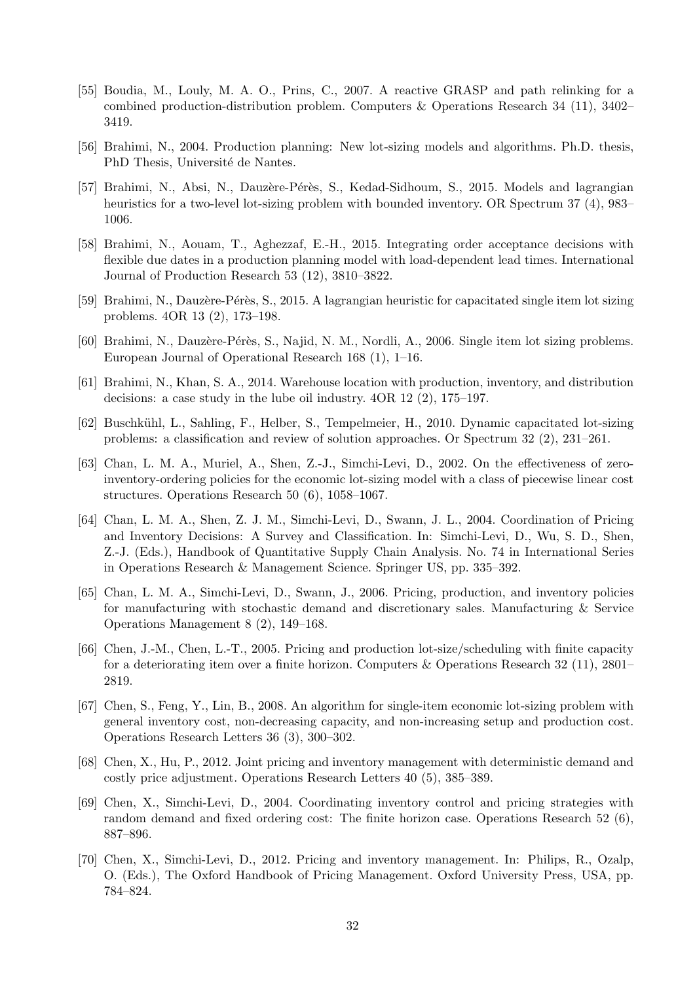- <span id="page-32-25"></span><span id="page-32-24"></span><span id="page-32-23"></span><span id="page-32-22"></span><span id="page-32-21"></span><span id="page-32-20"></span><span id="page-32-19"></span><span id="page-32-18"></span><span id="page-32-17"></span><span id="page-32-16"></span><span id="page-32-7"></span>[55] Boudia, M., Louly, M. A. O., Prins, C., 2007. A reactive GRASP and path relinking for a combined production-distribution problem. Computers & Operations Research 34 (11), 3402– 3419.
- <span id="page-32-3"></span>[56] Brahimi, N., 2004. Production planning: New lot-sizing models and algorithms. Ph.D. thesis, PhD Thesis, Université de Nantes.
- <span id="page-32-4"></span>[57] Brahimi, N., Absi, N., Dauzère-Pérès, S., Kedad-Sidhoum, S., 2015. Models and lagrangian heuristics for a two-level lot-sizing problem with bounded inventory. OR Spectrum 37 (4), 983– 1006.
- <span id="page-32-8"></span>[58] Brahimi, N., Aouam, T., Aghezzaf, E.-H., 2015. Integrating order acceptance decisions with flexible due dates in a production planning model with load-dependent lead times. International Journal of Production Research 53 (12), 3810–3822.
- <span id="page-32-2"></span>[59] Brahimi, N., Dauzère-Pérès, S., 2015. A lagrangian heuristic for capacitated single item lot sizing problems. 4OR 13 (2), 173–198.
- <span id="page-32-0"></span>[60] Brahimi, N., Dauzère-Pérès, S., Najid, N. M., Nordli, A., 2006. Single item lot sizing problems. European Journal of Operational Research 168 (1), 1–16.
- <span id="page-32-6"></span>[61] Brahimi, N., Khan, S. A., 2014. Warehouse location with production, inventory, and distribution decisions: a case study in the lube oil industry. 4OR 12 (2), 175–197.
- <span id="page-32-1"></span>[62] Buschk¨uhl, L., Sahling, F., Helber, S., Tempelmeier, H., 2010. Dynamic capacitated lot-sizing problems: a classification and review of solution approaches. Or Spectrum 32 (2), 231–261.
- <span id="page-32-15"></span>[63] Chan, L. M. A., Muriel, A., Shen, Z.-J., Simchi-Levi, D., 2002. On the effectiveness of zeroinventory-ordering policies for the economic lot-sizing model with a class of piecewise linear cost structures. Operations Research 50 (6), 1058–1067.
- <span id="page-32-11"></span>[64] Chan, L. M. A., Shen, Z. J. M., Simchi-Levi, D., Swann, J. L., 2004. Coordination of Pricing and Inventory Decisions: A Survey and Classification. In: Simchi-Levi, D., Wu, S. D., Shen, Z.-J. (Eds.), Handbook of Quantitative Supply Chain Analysis. No. 74 in International Series in Operations Research & Management Science. Springer US, pp. 335–392.
- <span id="page-32-9"></span>[65] Chan, L. M. A., Simchi-Levi, D., Swann, J., 2006. Pricing, production, and inventory policies for manufacturing with stochastic demand and discretionary sales. Manufacturing & Service Operations Management 8 (2), 149–168.
- <span id="page-32-14"></span>[66] Chen, J.-M., Chen, L.-T., 2005. Pricing and production lot-size/scheduling with finite capacity for a deteriorating item over a finite horizon. Computers & Operations Research 32 (11), 2801– 2819.
- <span id="page-32-5"></span>[67] Chen, S., Feng, Y., Lin, B., 2008. An algorithm for single-item economic lot-sizing problem with general inventory cost, non-decreasing capacity, and non-increasing setup and production cost. Operations Research Letters 36 (3), 300–302.
- <span id="page-32-13"></span>[68] Chen, X., Hu, P., 2012. Joint pricing and inventory management with deterministic demand and costly price adjustment. Operations Research Letters 40 (5), 385–389.
- <span id="page-32-10"></span>[69] Chen, X., Simchi-Levi, D., 2004. Coordinating inventory control and pricing strategies with random demand and fixed ordering cost: The finite horizon case. Operations Research 52 (6), 887–896.
- <span id="page-32-12"></span>[70] Chen, X., Simchi-Levi, D., 2012. Pricing and inventory management. In: Philips, R., Ozalp, O. (Eds.), The Oxford Handbook of Pricing Management. Oxford University Press, USA, pp. 784–824.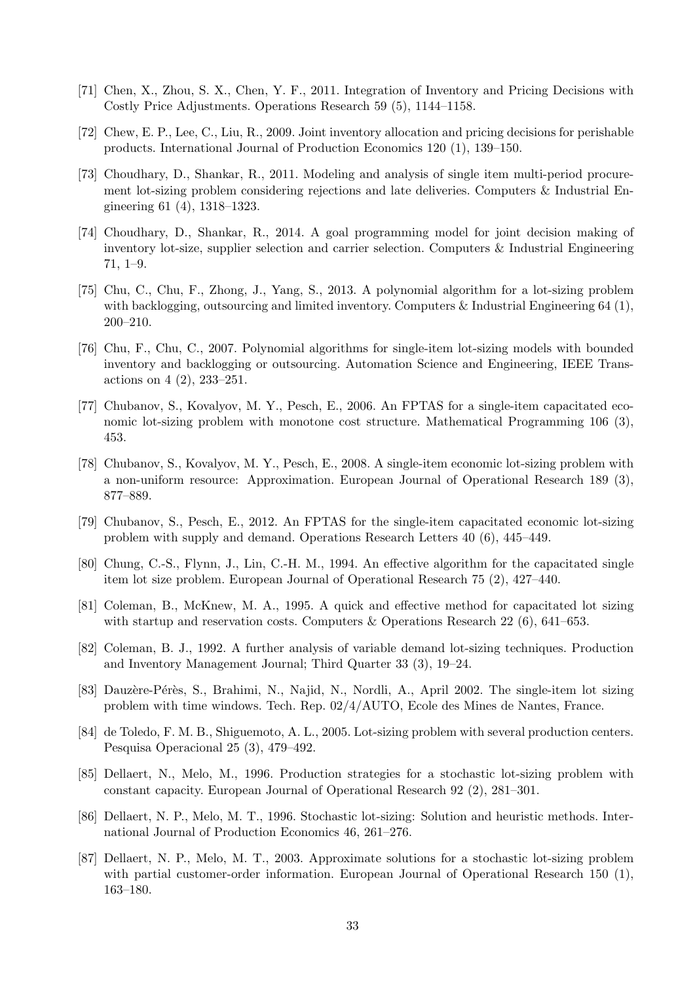- <span id="page-33-30"></span><span id="page-33-29"></span><span id="page-33-28"></span><span id="page-33-27"></span><span id="page-33-26"></span><span id="page-33-25"></span><span id="page-33-24"></span><span id="page-33-23"></span><span id="page-33-22"></span><span id="page-33-21"></span><span id="page-33-20"></span><span id="page-33-19"></span><span id="page-33-18"></span><span id="page-33-17"></span><span id="page-33-15"></span>[71] Chen, X., Zhou, S. X., Chen, Y. F., 2011. Integration of Inventory and Pricing Decisions with Costly Price Adjustments. Operations Research 59 (5), 1144–1158.
- <span id="page-33-11"></span>[72] Chew, E. P., Lee, C., Liu, R., 2009. Joint inventory allocation and pricing decisions for perishable products. International Journal of Production Economics 120 (1), 139–150.
- <span id="page-33-16"></span>[73] Choudhary, D., Shankar, R., 2011. Modeling and analysis of single item multi-period procurement lot-sizing problem considering rejections and late deliveries. Computers & Industrial Engineering 61 (4), 1318–1323.
- <span id="page-33-2"></span>[74] Choudhary, D., Shankar, R., 2014. A goal programming model for joint decision making of inventory lot-size, supplier selection and carrier selection. Computers & Industrial Engineering 71, 1–9.
- <span id="page-33-3"></span>[75] Chu, C., Chu, F., Zhong, J., Yang, S., 2013. A polynomial algorithm for a lot-sizing problem with backlogging, outsourcing and limited inventory. Computers & Industrial Engineering 64 (1), 200–210.
- <span id="page-33-4"></span>[76] Chu, F., Chu, C., 2007. Polynomial algorithms for single-item lot-sizing models with bounded inventory and backlogging or outsourcing. Automation Science and Engineering, IEEE Transactions on 4 (2), 233–251.
- <span id="page-33-7"></span>[77] Chubanov, S., Kovalyov, M. Y., Pesch, E., 2006. An FPTAS for a single-item capacitated economic lot-sizing problem with monotone cost structure. Mathematical Programming 106 (3), 453.
- <span id="page-33-6"></span>[78] Chubanov, S., Kovalyov, M. Y., Pesch, E., 2008. A single-item economic lot-sizing problem with a non-uniform resource: Approximation. European Journal of Operational Research 189 (3), 877–889.
- <span id="page-33-8"></span>[79] Chubanov, S., Pesch, E., 2012. An FPTAS for the single-item capacitated economic lot-sizing problem with supply and demand. Operations Research Letters 40 (6), 445–449.
- <span id="page-33-0"></span>[80] Chung, C.-S., Flynn, J., Lin, C.-H. M., 1994. An effective algorithm for the capacitated single item lot size problem. European Journal of Operational Research 75 (2), 427–440.
- <span id="page-33-9"></span>[81] Coleman, B., McKnew, M. A., 1995. A quick and effective method for capacitated lot sizing with startup and reservation costs. Computers & Operations Research 22 (6), 641–653.
- <span id="page-33-1"></span>[82] Coleman, B. J., 1992. A further analysis of variable demand lot-sizing techniques. Production and Inventory Management Journal; Third Quarter 33 (3), 19–24.
- <span id="page-33-5"></span>[83] Dauzère-Pérès, S., Brahimi, N., Najid, N., Nordli, A., April 2002. The single-item lot sizing problem with time windows. Tech. Rep. 02/4/AUTO, Ecole des Mines de Nantes, France.
- <span id="page-33-10"></span>[84] de Toledo, F. M. B., Shiguemoto, A. L., 2005. Lot-sizing problem with several production centers. Pesquisa Operacional 25 (3), 479–492.
- <span id="page-33-13"></span>[85] Dellaert, N., Melo, M., 1996. Production strategies for a stochastic lot-sizing problem with constant capacity. European Journal of Operational Research 92 (2), 281–301.
- <span id="page-33-14"></span>[86] Dellaert, N. P., Melo, M. T., 1996. Stochastic lot-sizing: Solution and heuristic methods. International Journal of Production Economics 46, 261–276.
- <span id="page-33-12"></span>[87] Dellaert, N. P., Melo, M. T., 2003. Approximate solutions for a stochastic lot-sizing problem with partial customer-order information. European Journal of Operational Research 150 (1), 163–180.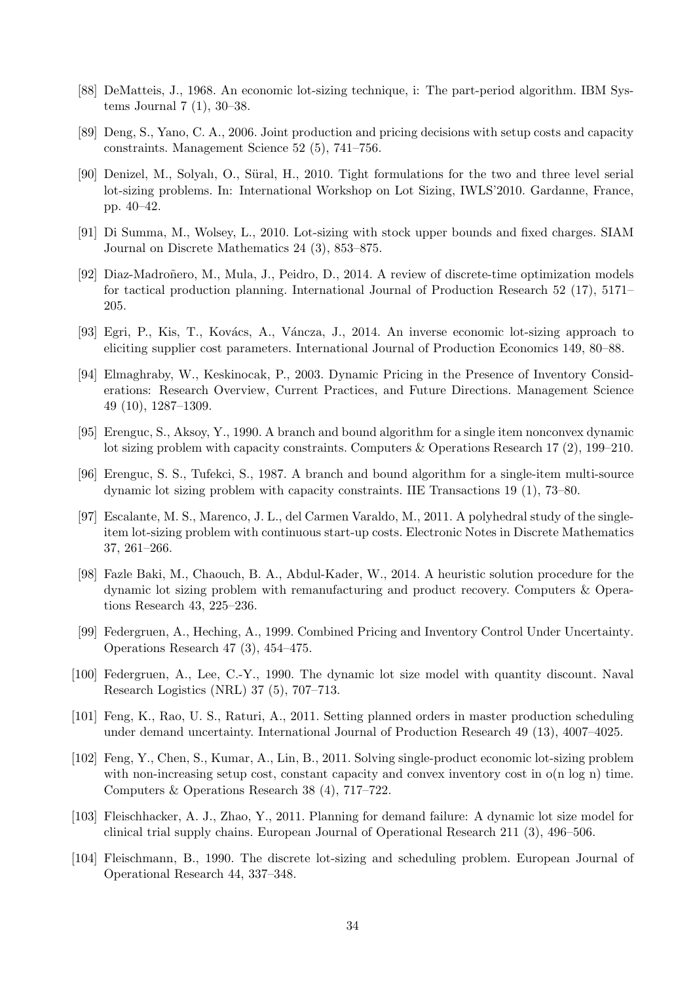- <span id="page-34-25"></span><span id="page-34-24"></span><span id="page-34-23"></span><span id="page-34-22"></span><span id="page-34-21"></span><span id="page-34-20"></span><span id="page-34-19"></span><span id="page-34-18"></span><span id="page-34-17"></span><span id="page-34-5"></span>[88] DeMatteis, J., 1968. An economic lot-sizing technique, i: The part-period algorithm. IBM Systems Journal 7 (1), 30–38.
- <span id="page-34-14"></span>[89] Deng, S., Yano, C. A., 2006. Joint production and pricing decisions with setup costs and capacity constraints. Management Science 52 (5), 741–756.
- <span id="page-34-7"></span>[90] Denizel, M., Solyalı, O., Süral, H., 2010. Tight formulations for the two and three level serial lot-sizing problems. In: International Workshop on Lot Sizing, IWLS'2010. Gardanne, France, pp. 40–42.
- <span id="page-34-3"></span>[91] Di Summa, M., Wolsey, L., 2010. Lot-sizing with stock upper bounds and fixed charges. SIAM Journal on Discrete Mathematics 24 (3), 853–875.
- <span id="page-34-0"></span>[92] Diaz-Madroñero, M., Mula, J., Peidro, D., 2014. A review of discrete-time optimization models for tactical production planning. International Journal of Production Research 52 (17), 5171– 205.
- <span id="page-34-10"></span>[93] Egri, P., Kis, T., Kovács, A., Váncza, J., 2014. An inverse economic lot-sizing approach to eliciting supplier cost parameters. International Journal of Production Economics 149, 80–88.
- <span id="page-34-13"></span>[94] Elmaghraby, W., Keskinocak, P., 2003. Dynamic Pricing in the Presence of Inventory Considerations: Research Overview, Current Practices, and Future Directions. Management Science 49 (10), 1287–1309.
- <span id="page-34-2"></span>[95] Erenguc, S., Aksoy, Y., 1990. A branch and bound algorithm for a single item nonconvex dynamic lot sizing problem with capacity constraints. Computers & Operations Research 17 (2), 199–210.
- <span id="page-34-1"></span>[96] Erenguc, S. S., Tufekci, S., 1987. A branch and bound algorithm for a single-item multi-source dynamic lot sizing problem with capacity constraints. IIE Transactions 19 (1), 73–80.
- <span id="page-34-4"></span>[97] Escalante, M. S., Marenco, J. L., del Carmen Varaldo, M., 2011. A polyhedral study of the singleitem lot-sizing problem with continuous start-up costs. Electronic Notes in Discrete Mathematics 37, 261–266.
- <span id="page-34-8"></span>[98] Fazle Baki, M., Chaouch, B. A., Abdul-Kader, W., 2014. A heuristic solution procedure for the dynamic lot sizing problem with remanufacturing and product recovery. Computers & Operations Research 43, 225–236.
- <span id="page-34-15"></span>[99] Federgruen, A., Heching, A., 1999. Combined Pricing and Inventory Control Under Uncertainty. Operations Research 47 (3), 454–475.
- <span id="page-34-16"></span>[100] Federgruen, A., Lee, C.-Y., 1990. The dynamic lot size model with quantity discount. Naval Research Logistics (NRL) 37 (5), 707–713.
- <span id="page-34-12"></span>[101] Feng, K., Rao, U. S., Raturi, A., 2011. Setting planned orders in master production scheduling under demand uncertainty. International Journal of Production Research 49 (13), 4007–4025.
- <span id="page-34-6"></span>[102] Feng, Y., Chen, S., Kumar, A., Lin, B., 2011. Solving single-product economic lot-sizing problem with non-increasing setup cost, constant capacity and convex inventory cost in  $o(n \log n)$  time. Computers & Operations Research 38 (4), 717–722.
- <span id="page-34-11"></span>[103] Fleischhacker, A. J., Zhao, Y., 2011. Planning for demand failure: A dynamic lot size model for clinical trial supply chains. European Journal of Operational Research 211 (3), 496–506.
- <span id="page-34-9"></span>[104] Fleischmann, B., 1990. The discrete lot-sizing and scheduling problem. European Journal of Operational Research 44, 337–348.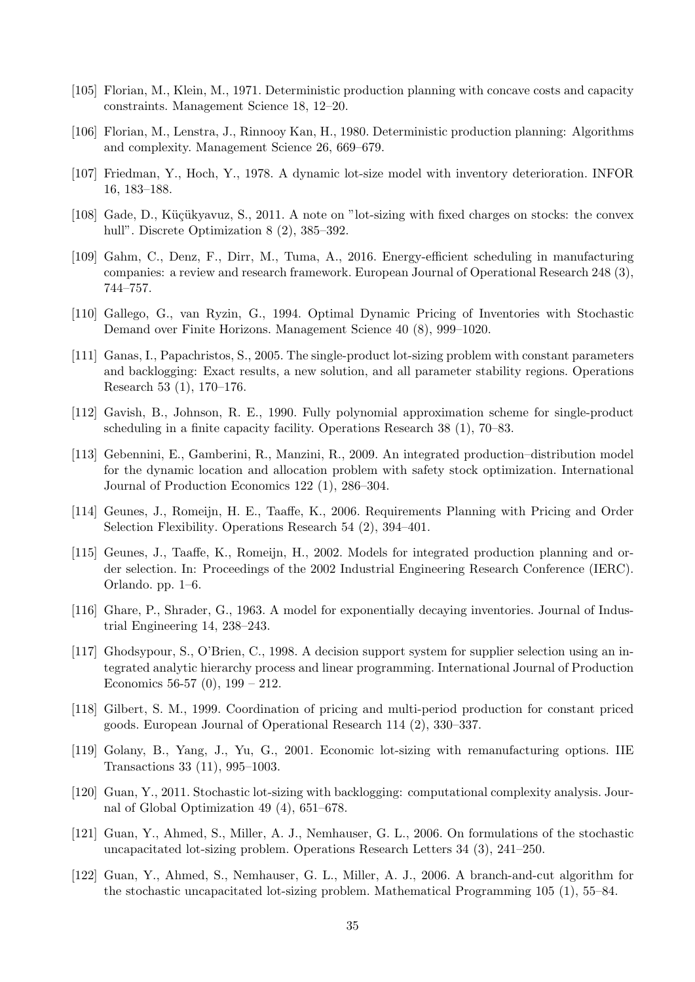- <span id="page-35-22"></span><span id="page-35-21"></span><span id="page-35-20"></span><span id="page-35-19"></span><span id="page-35-18"></span><span id="page-35-16"></span>[105] Florian, M., Klein, M., 1971. Deterministic production planning with concave costs and capacity constraints. Management Science 18, 12–20.
- <span id="page-35-2"></span>[106] Florian, M., Lenstra, J., Rinnooy Kan, H., 1980. Deterministic production planning: Algorithms and complexity. Management Science 26, 669–679.
- <span id="page-35-5"></span>[107] Friedman, Y., Hoch, Y., 1978. A dynamic lot-size model with inventory deterioration. INFOR 16, 183–188.
- <span id="page-35-3"></span>[108] Gade, D., Küçükyavuz, S., 2011. A note on "lot-sizing with fixed charges on stocks: the convex hull". Discrete Optimization 8 (2), 385–392.
- <span id="page-35-17"></span>[109] Gahm, C., Denz, F., Dirr, M., Tuma, A., 2016. Energy-efficient scheduling in manufacturing companies: a review and research framework. European Journal of Operational Research 248 (3), 744–757.
- <span id="page-35-13"></span>[110] Gallego, G., van Ryzin, G., 1994. Optimal Dynamic Pricing of Inventories with Stochastic Demand over Finite Horizons. Management Science 40 (8), 999–1020.
- <span id="page-35-0"></span>[111] Ganas, I., Papachristos, S., 2005. The single-product lot-sizing problem with constant parameters and backlogging: Exact results, a new solution, and all parameter stability regions. Operations Research 53 (1), 170–176.
- <span id="page-35-7"></span>[112] Gavish, B., Johnson, R. E., 1990. Fully polynomial approximation scheme for single-product scheduling in a finite capacity facility. Operations Research 38 (1), 70–83.
- <span id="page-35-12"></span>[113] Gebennini, E., Gamberini, R., Manzini, R., 2009. An integrated production–distribution model for the dynamic location and allocation problem with safety stock optimization. International Journal of Production Economics 122 (1), 286–304.
- <span id="page-35-15"></span>[114] Geunes, J., Romeijn, H. E., Taaffe, K., 2006. Requirements Planning with Pricing and Order Selection Flexibility. Operations Research 54 (2), 394–401.
- <span id="page-35-8"></span>[115] Geunes, J., Taaffe, K., Romeijn, H., 2002. Models for integrated production planning and order selection. In: Proceedings of the 2002 Industrial Engineering Research Conference (IERC). Orlando. pp. 1–6.
- <span id="page-35-4"></span>[116] Ghare, P., Shrader, G., 1963. A model for exponentially decaying inventories. Journal of Industrial Engineering 14, 238–243.
- <span id="page-35-9"></span>[117] Ghodsypour, S., O'Brien, C., 1998. A decision support system for supplier selection using an integrated analytic hierarchy process and linear programming. International Journal of Production Economics 56-57 (0),  $199 - 212$ .
- <span id="page-35-14"></span>[118] Gilbert, S. M., 1999. Coordination of pricing and multi-period production for constant priced goods. European Journal of Operational Research 114 (2), 330–337.
- <span id="page-35-6"></span>[119] Golany, B., Yang, J., Yu, G., 2001. Economic lot-sizing with remanufacturing options. IIE Transactions 33 (11), 995–1003.
- <span id="page-35-1"></span>[120] Guan, Y., 2011. Stochastic lot-sizing with backlogging: computational complexity analysis. Journal of Global Optimization 49 (4), 651–678.
- <span id="page-35-10"></span>[121] Guan, Y., Ahmed, S., Miller, A. J., Nemhauser, G. L., 2006. On formulations of the stochastic uncapacitated lot-sizing problem. Operations Research Letters 34 (3), 241–250.
- <span id="page-35-11"></span>[122] Guan, Y., Ahmed, S., Nemhauser, G. L., Miller, A. J., 2006. A branch-and-cut algorithm for the stochastic uncapacitated lot-sizing problem. Mathematical Programming 105 (1), 55–84.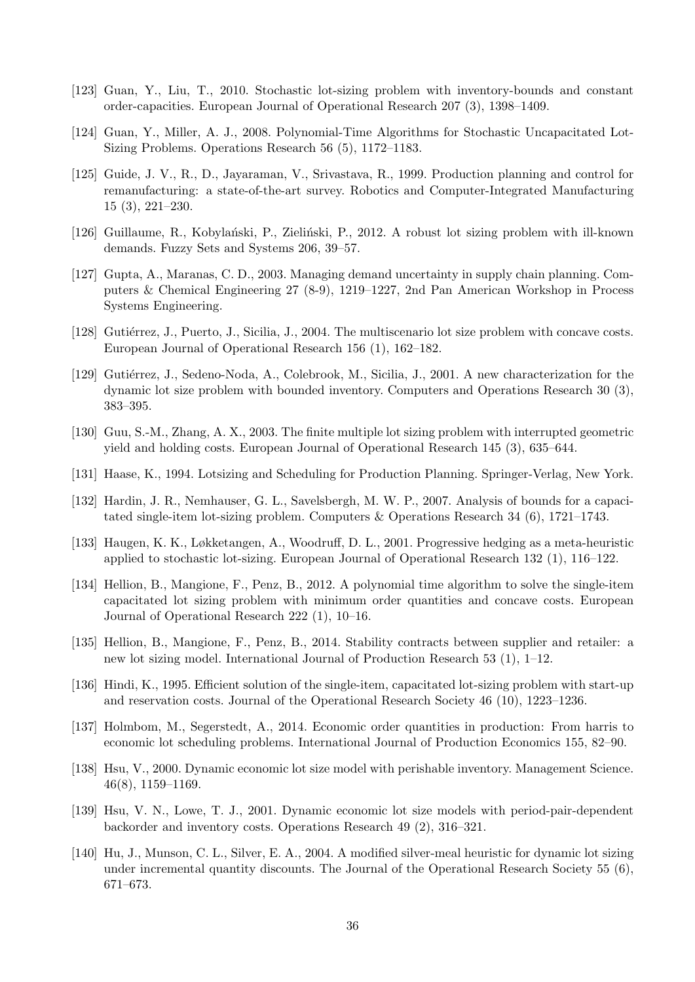- <span id="page-36-24"></span><span id="page-36-23"></span><span id="page-36-22"></span><span id="page-36-21"></span><span id="page-36-20"></span><span id="page-36-19"></span><span id="page-36-18"></span><span id="page-36-14"></span>[123] Guan, Y., Liu, T., 2010. Stochastic lot-sizing problem with inventory-bounds and constant order-capacities. European Journal of Operational Research 207 (3), 1398–1409.
- <span id="page-36-12"></span>[124] Guan, Y., Miller, A. J., 2008. Polynomial-Time Algorithms for Stochastic Uncapacitated Lot-Sizing Problems. Operations Research 56 (5), 1172–1183.
- <span id="page-36-6"></span>[125] Guide, J. V., R., D., Jayaraman, V., Srivastava, R., 1999. Production planning and control for remanufacturing: a state-of-the-art survey. Robotics and Computer-Integrated Manufacturing 15 (3), 221–230.
- <span id="page-36-13"></span>[126] Guillaume, R., Kobylański, P., Zieliński, P., 2012. A robust lot sizing problem with ill-known demands. Fuzzy Sets and Systems 206, 39–57.
- <span id="page-36-8"></span>[127] Gupta, A., Maranas, C. D., 2003. Managing demand uncertainty in supply chain planning. Computers & Chemical Engineering 27 (8-9), 1219–1227, 2nd Pan American Workshop in Process Systems Engineering.
- <span id="page-36-10"></span>[128] Gutiérrez, J., Puerto, J., Sicilia, J., 2004. The multiscenario lot size problem with concave costs. European Journal of Operational Research 156 (1), 162–182.
- <span id="page-36-3"></span>[129] Gutiérrez, J., Sedeno-Noda, A., Colebrook, M., Sicilia, J., 2001. A new characterization for the dynamic lot size problem with bounded inventory. Computers and Operations Research 30 (3), 383–395.
- <span id="page-36-9"></span>[130] Guu, S.-M., Zhang, A. X., 2003. The finite multiple lot sizing problem with interrupted geometric yield and holding costs. European Journal of Operational Research 145 (3), 635–644.
- <span id="page-36-2"></span>[131] Haase, K., 1994. Lotsizing and Scheduling for Production Planning. Springer-Verlag, New York.
- <span id="page-36-1"></span>[132] Hardin, J. R., Nemhauser, G. L., Savelsbergh, M. W. P., 2007. Analysis of bounds for a capacitated single-item lot-sizing problem. Computers & Operations Research 34 (6), 1721–1743.
- <span id="page-36-11"></span>[133] Haugen, K. K., Løkketangen, A., Woodruff, D. L., 2001. Progressive hedging as a meta-heuristic applied to stochastic lot-sizing. European Journal of Operational Research 132 (1), 116–122.
- <span id="page-36-5"></span>[134] Hellion, B., Mangione, F., Penz, B., 2012. A polynomial time algorithm to solve the single-item capacitated lot sizing problem with minimum order quantities and concave costs. European Journal of Operational Research 222 (1), 10–16.
- <span id="page-36-7"></span>[135] Hellion, B., Mangione, F., Penz, B., 2014. Stability contracts between supplier and retailer: a new lot sizing model. International Journal of Production Research 53 (1), 1–12.
- <span id="page-36-17"></span>[136] Hindi, K., 1995. Efficient solution of the single-item, capacitated lot-sizing problem with start-up and reservation costs. Journal of the Operational Research Society 46 (10), 1223–1236.
- <span id="page-36-0"></span>[137] Holmbom, M., Segerstedt, A., 2014. Economic order quantities in production: From harris to economic lot scheduling problems. International Journal of Production Economics 155, 82–90.
- <span id="page-36-4"></span>[138] Hsu, V., 2000. Dynamic economic lot size model with perishable inventory. Management Science. 46(8), 1159–1169.
- <span id="page-36-16"></span>[139] Hsu, V. N., Lowe, T. J., 2001. Dynamic economic lot size models with period-pair-dependent backorder and inventory costs. Operations Research 49 (2), 316–321.
- <span id="page-36-15"></span>[140] Hu, J., Munson, C. L., Silver, E. A., 2004. A modified silver-meal heuristic for dynamic lot sizing under incremental quantity discounts. The Journal of the Operational Research Society 55 (6), 671–673.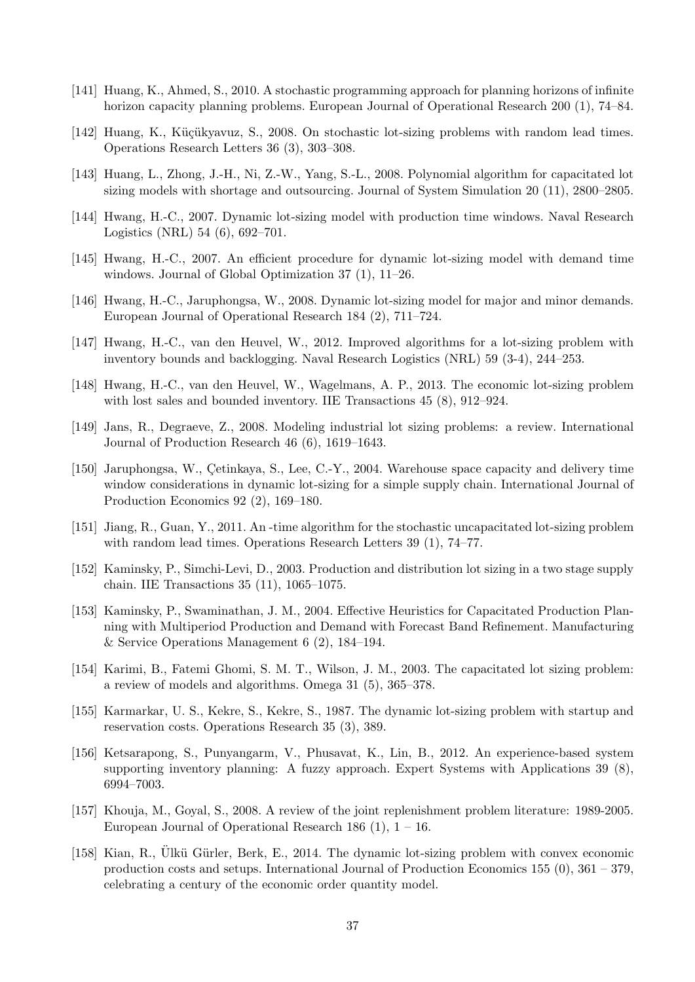- <span id="page-37-26"></span><span id="page-37-25"></span><span id="page-37-24"></span><span id="page-37-23"></span><span id="page-37-22"></span><span id="page-37-21"></span><span id="page-37-20"></span><span id="page-37-19"></span><span id="page-37-18"></span><span id="page-37-11"></span>[141] Huang, K., Ahmed, S., 2010. A stochastic programming approach for planning horizons of infinite horizon capacity planning problems. European Journal of Operational Research 200 (1), 74–84.
- <span id="page-37-17"></span>[142] Huang, K., Küçükyavuz, S., 2008. On stochastic lot-sizing problems with random lead times. Operations Research Letters 36 (3), 303–308.
- <span id="page-37-8"></span>[143] Huang, L., Zhong, J.-H., Ni, Z.-W., Yang, S.-L., 2008. Polynomial algorithm for capacitated lot sizing models with shortage and outsourcing. Journal of System Simulation 20 (11), 2800–2805.
- <span id="page-37-6"></span>[144] Hwang, H.-C., 2007. Dynamic lot-sizing model with production time windows. Naval Research Logistics (NRL) 54 (6), 692–701.
- <span id="page-37-2"></span>[145] Hwang, H.-C., 2007. An efficient procedure for dynamic lot-sizing model with demand time windows. Journal of Global Optimization 37 (1), 11–26.
- <span id="page-37-5"></span>[146] Hwang, H.-C., Jaruphongsa, W., 2008. Dynamic lot-sizing model for major and minor demands. European Journal of Operational Research 184 (2), 711–724.
- <span id="page-37-7"></span>[147] Hwang, H.-C., van den Heuvel, W., 2012. Improved algorithms for a lot-sizing problem with inventory bounds and backlogging. Naval Research Logistics (NRL) 59 (3-4), 244–253.
- <span id="page-37-3"></span>[148] Hwang, H.-C., van den Heuvel, W., Wagelmans, A. P., 2013. The economic lot-sizing problem with lost sales and bounded inventory. IIE Transactions 45 (8), 912–924.
- <span id="page-37-1"></span>[149] Jans, R., Degraeve, Z., 2008. Modeling industrial lot sizing problems: a review. International Journal of Production Research 46 (6), 1619–1643.
- <span id="page-37-4"></span>[150] Jaruphongsa, W., Cetinkaya, S., Lee, C.-Y., 2004. Warehouse space capacity and delivery time window considerations in dynamic lot-sizing for a simple supply chain. International Journal of Production Economics 92 (2), 169–180.
- <span id="page-37-12"></span>[151] Jiang, R., Guan, Y., 2011. An -time algorithm for the stochastic uncapacitated lot-sizing problem with random lead times. Operations Research Letters 39 (1), 74–77.
- <span id="page-37-9"></span>[152] Kaminsky, P., Simchi-Levi, D., 2003. Production and distribution lot sizing in a two stage supply chain. IIE Transactions 35 (11), 1065–1075.
- <span id="page-37-14"></span>[153] Kaminsky, P., Swaminathan, J. M., 2004. Effective Heuristics for Capacitated Production Planning with Multiperiod Production and Demand with Forecast Band Refinement. Manufacturing & Service Operations Management 6 (2), 184–194.
- <span id="page-37-0"></span>[154] Karimi, B., Fatemi Ghomi, S. M. T., Wilson, J. M., 2003. The capacitated lot sizing problem: a review of models and algorithms. Omega 31 (5), 365–378.
- <span id="page-37-16"></span>[155] Karmarkar, U. S., Kekre, S., Kekre, S., 1987. The dynamic lot-sizing problem with startup and reservation costs. Operations Research 35 (3), 389.
- <span id="page-37-13"></span>[156] Ketsarapong, S., Punyangarm, V., Phusavat, K., Lin, B., 2012. An experience-based system supporting inventory planning: A fuzzy approach. Expert Systems with Applications 39 (8), 6994–7003.
- <span id="page-37-10"></span>[157] Khouja, M., Goyal, S., 2008. A review of the joint replenishment problem literature: 1989-2005. European Journal of Operational Research 186  $(1)$ ,  $1 - 16$ .
- <span id="page-37-15"></span>[158] Kian, R., Ülkü Gürler, Berk, E., 2014. The dynamic lot-sizing problem with convex economic production costs and setups. International Journal of Production Economics 155 (0), 361 – 379, celebrating a century of the economic order quantity model.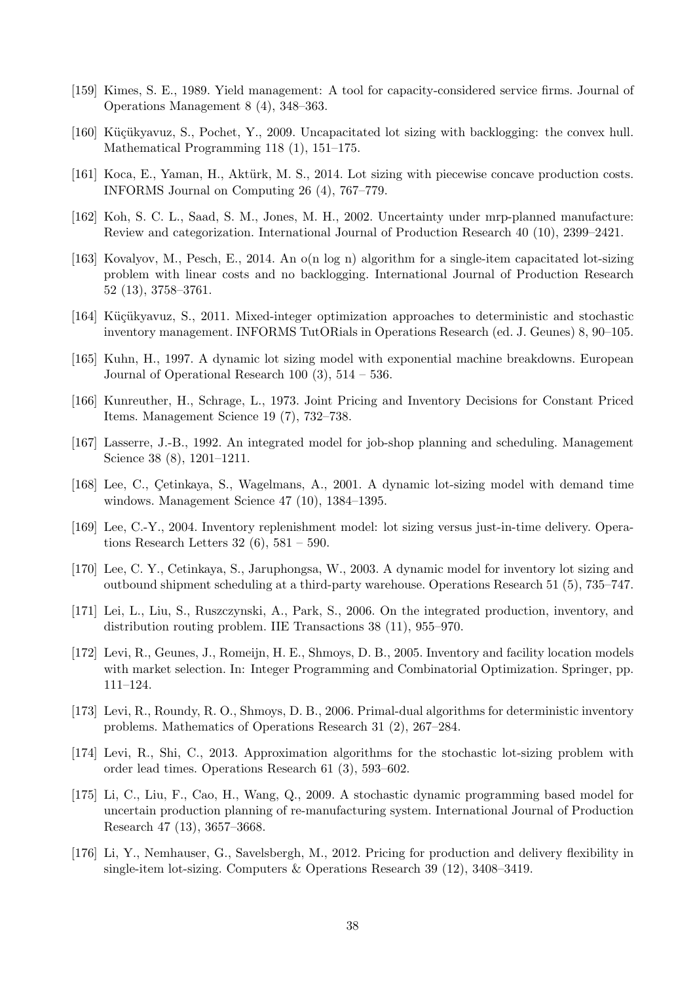- <span id="page-38-25"></span><span id="page-38-24"></span><span id="page-38-23"></span><span id="page-38-22"></span><span id="page-38-21"></span><span id="page-38-20"></span><span id="page-38-19"></span><span id="page-38-18"></span><span id="page-38-13"></span>[159] Kimes, S. E., 1989. Yield management: A tool for capacity-considered service firms. Journal of Operations Management 8 (4), 348–363.
- <span id="page-38-1"></span>[160] Küçükyavuz, S., Pochet, Y., 2009. Uncapacitated lot sizing with backlogging: the convex hull. Mathematical Programming 118 (1), 151–175.
- <span id="page-38-15"></span>[161] Koca, E., Yaman, H., Aktürk, M. S., 2014. Lot sizing with piecewise concave production costs. INFORMS Journal on Computing 26 (4), 767–779.
- <span id="page-38-9"></span>[162] Koh, S. C. L., Saad, S. M., Jones, M. H., 2002. Uncertainty under mrp-planned manufacture: Review and categorization. International Journal of Production Research 40 (10), 2399–2421.
- <span id="page-38-3"></span>[163] Kovalyov, M., Pesch, E., 2014. An o(n log n) algorithm for a single-item capacitated lot-sizing problem with linear costs and no backlogging. International Journal of Production Research 52 (13), 3758–3761.
- <span id="page-38-11"></span>[164] Küçükyavuz, S., 2011. Mixed-integer optimization approaches to deterministic and stochastic inventory management. INFORMS TutORials in Operations Research (ed. J. Geunes) 8, 90–105.
- <span id="page-38-17"></span>[165] Kuhn, H., 1997. A dynamic lot sizing model with exponential machine breakdowns. European Journal of Operational Research 100 (3), 514 – 536.
- <span id="page-38-14"></span>[166] Kunreuther, H., Schrage, L., 1973. Joint Pricing and Inventory Decisions for Constant Priced Items. Management Science 19 (7), 732–738.
- <span id="page-38-6"></span>[167] Lasserre, J.-B., 1992. An integrated model for job-shop planning and scheduling. Management Science 38 (8), 1201–1211.
- <span id="page-38-2"></span>[168] Lee, C., Cetinkaya, S., Wagelmans, A., 2001. A dynamic lot-sizing model with demand time windows. Management Science 47 (10), 1384–1395.
- <span id="page-38-4"></span>[169] Lee, C.-Y., 2004. Inventory replenishment model: lot sizing versus just-in-time delivery. Operations Research Letters  $32(6)$ ,  $581-590$ .
- <span id="page-38-5"></span>[170] Lee, C. Y., Cetinkaya, S., Jaruphongsa, W., 2003. A dynamic model for inventory lot sizing and outbound shipment scheduling at a third-party warehouse. Operations Research 51 (5), 735–747.
- <span id="page-38-7"></span>[171] Lei, L., Liu, S., Ruszczynski, A., Park, S., 2006. On the integrated production, inventory, and distribution routing problem. IIE Transactions 38 (11), 955–970.
- <span id="page-38-8"></span>[172] Levi, R., Geunes, J., Romeijn, H. E., Shmoys, D. B., 2005. Inventory and facility location models with market selection. In: Integer Programming and Combinatorial Optimization. Springer, pp. 111–124.
- <span id="page-38-0"></span>[173] Levi, R., Roundy, R. O., Shmoys, D. B., 2006. Primal-dual algorithms for deterministic inventory problems. Mathematics of Operations Research 31 (2), 267–284.
- <span id="page-38-12"></span>[174] Levi, R., Shi, C., 2013. Approximation algorithms for the stochastic lot-sizing problem with order lead times. Operations Research 61 (3), 593–602.
- <span id="page-38-10"></span>[175] Li, C., Liu, F., Cao, H., Wang, Q., 2009. A stochastic dynamic programming based model for uncertain production planning of re-manufacturing system. International Journal of Production Research 47 (13), 3657–3668.
- <span id="page-38-16"></span>[176] Li, Y., Nemhauser, G., Savelsbergh, M., 2012. Pricing for production and delivery flexibility in single-item lot-sizing. Computers & Operations Research 39 (12), 3408–3419.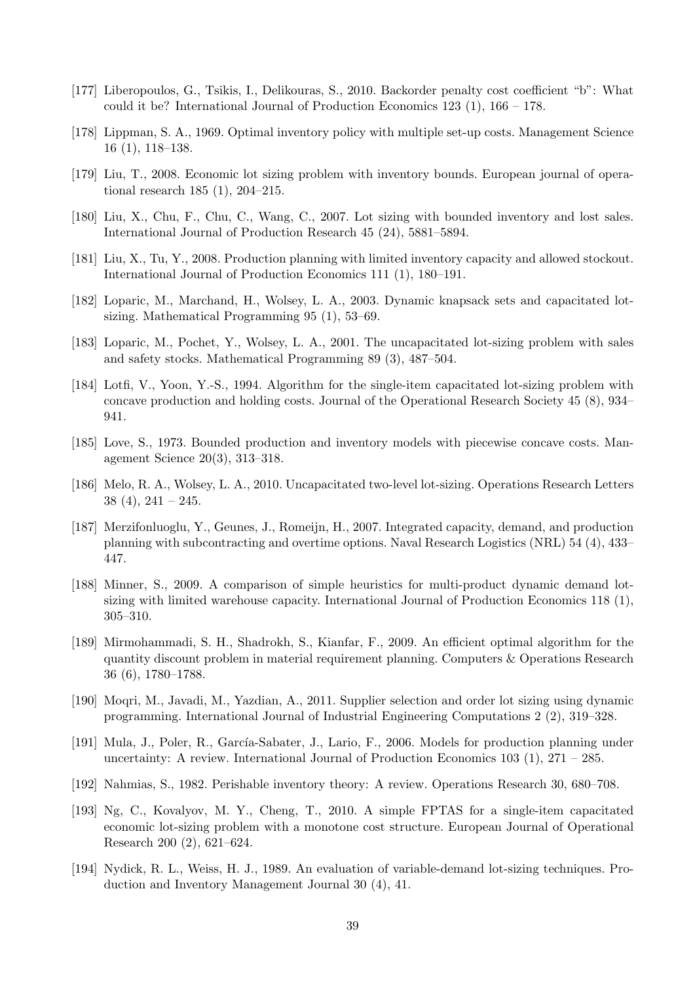- <span id="page-39-28"></span><span id="page-39-27"></span><span id="page-39-26"></span><span id="page-39-25"></span><span id="page-39-24"></span><span id="page-39-23"></span><span id="page-39-22"></span><span id="page-39-21"></span><span id="page-39-20"></span><span id="page-39-19"></span><span id="page-39-18"></span><span id="page-39-6"></span>[177] Liberopoulos, G., Tsikis, I., Delikouras, S., 2010. Backorder penalty cost coefficient "b": What could it be? International Journal of Production Economics  $123(1)$ ,  $166 - 178$ .
- <span id="page-39-12"></span>[178] Lippman, S. A., 1969. Optimal inventory policy with multiple set-up costs. Management Science 16 (1), 118–138.
- <span id="page-39-9"></span>[179] Liu, T., 2008. Economic lot sizing problem with inventory bounds. European journal of operational research 185 (1), 204–215.
- <span id="page-39-4"></span>[180] Liu, X., Chu, F., Chu, C., Wang, C., 2007. Lot sizing with bounded inventory and lost sales. International Journal of Production Research 45 (24), 5881–5894.
- <span id="page-39-5"></span>[181] Liu, X., Tu, Y., 2008. Production planning with limited inventory capacity and allowed stockout. International Journal of Production Economics 111 (1), 180–191.
- <span id="page-39-1"></span>[182] Loparic, M., Marchand, H., Wolsey, L. A., 2003. Dynamic knapsack sets and capacitated lotsizing. Mathematical Programming 95 (1), 53–69.
- <span id="page-39-3"></span>[183] Loparic, M., Pochet, Y., Wolsey, L. A., 2001. The uncapacitated lot-sizing problem with sales and safety stocks. Mathematical Programming 89 (3), 487–504.
- <span id="page-39-0"></span>[184] Lotfi, V., Yoon, Y.-S., 1994. Algorithm for the single-item capacitated lot-sizing problem with concave production and holding costs. Journal of the Operational Research Society 45 (8), 934– 941.
- <span id="page-39-8"></span>[185] Love, S., 1973. Bounded production and inventory models with piecewise concave costs. Management Science 20(3), 313–318.
- <span id="page-39-13"></span>[186] Melo, R. A., Wolsey, L. A., 2010. Uncapacitated two-level lot-sizing. Operations Research Letters  $38(4)$ ,  $241-245$ .
- <span id="page-39-16"></span>[187] Merzifonluoglu, Y., Geunes, J., Romeijn, H., 2007. Integrated capacity, demand, and production planning with subcontracting and overtime options. Naval Research Logistics (NRL) 54 (4), 433– 447.
- <span id="page-39-10"></span>[188] Minner, S., 2009. A comparison of simple heuristics for multi-product dynamic demand lotsizing with limited warehouse capacity. International Journal of Production Economics 118 (1), 305–310.
- <span id="page-39-17"></span>[189] Mirmohammadi, S. H., Shadrokh, S., Kianfar, F., 2009. An efficient optimal algorithm for the quantity discount problem in material requirement planning. Computers & Operations Research 36 (6), 1780–1788.
- <span id="page-39-14"></span>[190] Moqri, M., Javadi, M., Yazdian, A., 2011. Supplier selection and order lot sizing using dynamic programming. International Journal of Industrial Engineering Computations 2 (2), 319–328.
- <span id="page-39-15"></span>[191] Mula, J., Poler, R., García-Sabater, J., Lario, F., 2006. Models for production planning under uncertainty: A review. International Journal of Production Economics  $103$  (1),  $271 - 285$ .
- <span id="page-39-11"></span>[192] Nahmias, S., 1982. Perishable inventory theory: A review. Operations Research 30, 680–708.
- <span id="page-39-7"></span>[193] Ng, C., Kovalyov, M. Y., Cheng, T., 2010. A simple FPTAS for a single-item capacitated economic lot-sizing problem with a monotone cost structure. European Journal of Operational Research 200 (2), 621–624.
- <span id="page-39-2"></span>[194] Nydick, R. L., Weiss, H. J., 1989. An evaluation of variable-demand lot-sizing techniques. Production and Inventory Management Journal 30 (4), 41.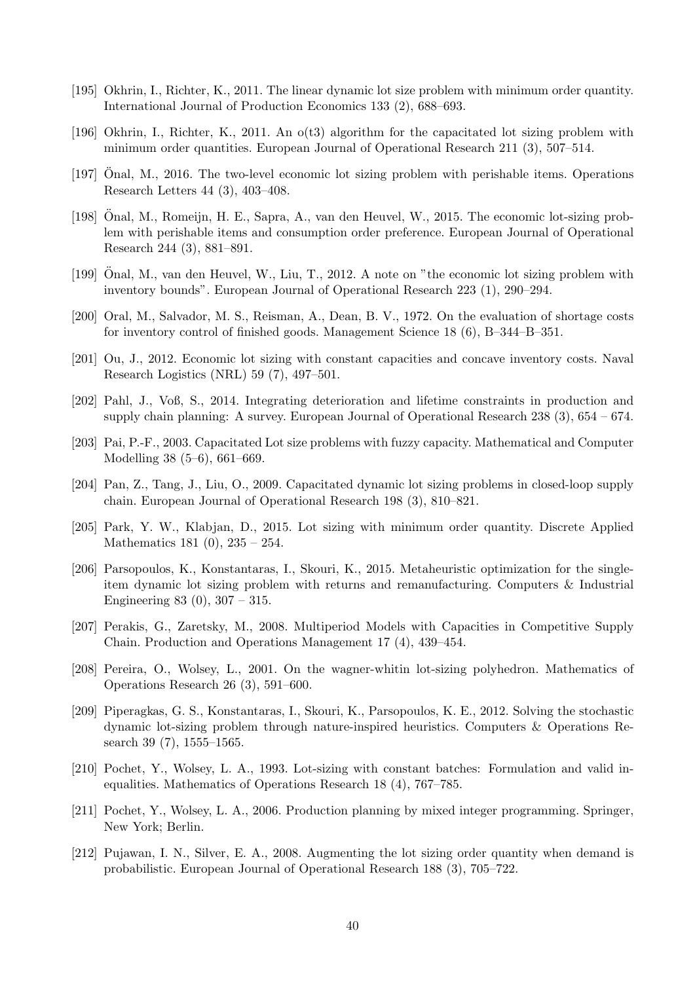- <span id="page-40-28"></span><span id="page-40-27"></span><span id="page-40-26"></span><span id="page-40-25"></span><span id="page-40-24"></span><span id="page-40-23"></span><span id="page-40-22"></span><span id="page-40-21"></span><span id="page-40-20"></span><span id="page-40-19"></span><span id="page-40-18"></span><span id="page-40-10"></span>[195] Okhrin, I., Richter, K., 2011. The linear dynamic lot size problem with minimum order quantity. International Journal of Production Economics 133 (2), 688–693.
- <span id="page-40-11"></span>[196] Okhrin, I., Richter, K., 2011. An o(t3) algorithm for the capacitated lot sizing problem with minimum order quantities. European Journal of Operational Research 211 (3), 507–514.
- <span id="page-40-9"></span>[197] Onal, M., 2016. The two-level economic lot sizing problem with perishable items. Operations Research Letters 44 (3), 403–408.
- <span id="page-40-8"></span>[198] Onal, M., Romeijn, H. E., Sapra, A., van den Heuvel, W., 2015. The economic lot-sizing prob- ¨ lem with perishable items and consumption order preference. European Journal of Operational Research 244 (3), 881–891.
- <span id="page-40-6"></span>[199] Onal, M., van den Heuvel, W., Liu, T., 2012. A note on "the economic lot sizing problem with inventory bounds". European Journal of Operational Research 223 (1), 290–294.
- <span id="page-40-5"></span>[200] Oral, M., Salvador, M. S., Reisman, A., Dean, B. V., 1972. On the evaluation of shortage costs for inventory control of finished goods. Management Science 18 (6), B–344–B–351.
- <span id="page-40-4"></span>[201] Ou, J., 2012. Economic lot sizing with constant capacities and concave inventory costs. Naval Research Logistics (NRL) 59 (7), 497–501.
- <span id="page-40-7"></span>[202] Pahl, J., Voß, S., 2014. Integrating deterioration and lifetime constraints in production and supply chain planning: A survey. European Journal of Operational Research 238  $(3)$ , 654 – 674.
- <span id="page-40-16"></span>[203] Pai, P.-F., 2003. Capacitated Lot size problems with fuzzy capacity. Mathematical and Computer Modelling 38 (5–6), 661–669.
- <span id="page-40-13"></span>[204] Pan, Z., Tang, J., Liu, O., 2009. Capacitated dynamic lot sizing problems in closed-loop supply chain. European Journal of Operational Research 198 (3), 810–821.
- <span id="page-40-12"></span>[205] Park, Y. W., Klabjan, D., 2015. Lot sizing with minimum order quantity. Discrete Applied Mathematics 181 (0), 235 – 254.
- <span id="page-40-3"></span>[206] Parsopoulos, K., Konstantaras, I., Skouri, K., 2015. Metaheuristic optimization for the singleitem dynamic lot sizing problem with returns and remanufacturing. Computers & Industrial Engineering 83 (0), 307 – 315.
- <span id="page-40-17"></span>[207] Perakis, G., Zaretsky, M., 2008. Multiperiod Models with Capacities in Competitive Supply Chain. Production and Operations Management 17 (4), 439–454.
- <span id="page-40-2"></span>[208] Pereira, O., Wolsey, L., 2001. On the wagner-whitin lot-sizing polyhedron. Mathematics of Operations Research 26 (3), 591–600.
- <span id="page-40-14"></span>[209] Piperagkas, G. S., Konstantaras, I., Skouri, K., Parsopoulos, K. E., 2012. Solving the stochastic dynamic lot-sizing problem through nature-inspired heuristics. Computers & Operations Research 39 (7), 1555–1565.
- <span id="page-40-1"></span>[210] Pochet, Y., Wolsey, L. A., 1993. Lot-sizing with constant batches: Formulation and valid inequalities. Mathematics of Operations Research 18 (4), 767–785.
- <span id="page-40-0"></span>[211] Pochet, Y., Wolsey, L. A., 2006. Production planning by mixed integer programming. Springer, New York; Berlin.
- <span id="page-40-15"></span>[212] Pujawan, I. N., Silver, E. A., 2008. Augmenting the lot sizing order quantity when demand is probabilistic. European Journal of Operational Research 188 (3), 705–722.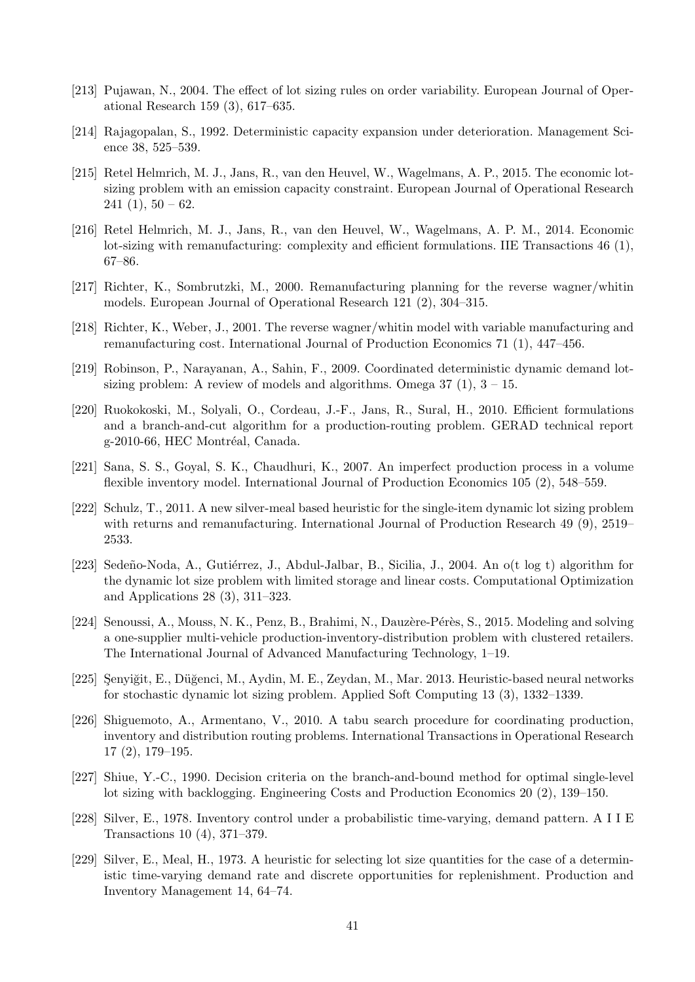- <span id="page-41-21"></span><span id="page-41-20"></span><span id="page-41-19"></span><span id="page-41-18"></span><span id="page-41-17"></span><span id="page-41-16"></span><span id="page-41-15"></span><span id="page-41-14"></span><span id="page-41-12"></span>[213] Pujawan, N., 2004. The effect of lot sizing rules on order variability. European Journal of Operational Research 159 (3), 617–635.
- <span id="page-41-1"></span>[214] Rajagopalan, S., 1992. Deterministic capacity expansion under deterioration. Management Science 38, 525–539.
- <span id="page-41-13"></span>[215] Retel Helmrich, M. J., Jans, R., van den Heuvel, W., Wagelmans, A. P., 2015. The economic lotsizing problem with an emission capacity constraint. European Journal of Operational Research  $241(1), 50-62.$
- <span id="page-41-5"></span>[216] Retel Helmrich, M. J., Jans, R., van den Heuvel, W., Wagelmans, A. P. M., 2014. Economic lot-sizing with remanufacturing: complexity and efficient formulations. IIE Transactions 46 (1), 67–86.
- <span id="page-41-3"></span>[217] Richter, K., Sombrutzki, M., 2000. Remanufacturing planning for the reverse wagner/whitin models. European Journal of Operational Research 121 (2), 304–315.
- <span id="page-41-4"></span>[218] Richter, K., Weber, J., 2001. The reverse wagner/whitin model with variable manufacturing and remanufacturing cost. International Journal of Production Economics 71 (1), 447–456.
- <span id="page-41-2"></span>[219] Robinson, P., Narayanan, A., Sahin, F., 2009. Coordinated deterministic dynamic demand lotsizing problem: A review of models and algorithms. Omega  $37(1)$ ,  $3 - 15$ .
- <span id="page-41-7"></span>[220] Ruokokoski, M., Solyali, O., Cordeau, J.-F., Jans, R., Sural, H., 2010. Efficient formulations and a branch-and-cut algorithm for a production-routing problem. GERAD technical report g-2010-66, HEC Montréal, Canada.
- <span id="page-41-11"></span>[221] Sana, S. S., Goyal, S. K., Chaudhuri, K., 2007. An imperfect production process in a volume flexible inventory model. International Journal of Production Economics 105 (2), 548–559.
- <span id="page-41-6"></span>[222] Schulz, T., 2011. A new silver-meal based heuristic for the single-item dynamic lot sizing problem with returns and remanufacturing. International Journal of Production Research 49 (9), 2519– 2533.
- [223] Sedeño-Noda, A., Gutiérrez, J., Abdul-Jalbar, B., Sicilia, J., 2004. An o(t log t) algorithm for the dynamic lot size problem with limited storage and linear costs. Computational Optimization and Applications 28 (3), 311–323.
- [224] Senoussi, A., Mouss, N. K., Penz, B., Brahimi, N., Dauzère-Pérès, S., 2015. Modeling and solving a one-supplier multi-vehicle production-inventory-distribution problem with clustered retailers. The International Journal of Advanced Manufacturing Technology, 1–19.
- <span id="page-41-10"></span>[225] Senyiğit, E., Düğenci, M., Aydin, M. E., Zeydan, M., Mar. 2013. Heuristic-based neural networks for stochastic dynamic lot sizing problem. Applied Soft Computing 13 (3), 1332–1339.
- <span id="page-41-8"></span>[226] Shiguemoto, A., Armentano, V., 2010. A tabu search procedure for coordinating production, inventory and distribution routing problems. International Transactions in Operational Research 17 (2), 179–195.
- [227] Shiue, Y.-C., 1990. Decision criteria on the branch-and-bound method for optimal single-level lot sizing with backlogging. Engineering Costs and Production Economics 20 (2), 139–150.
- <span id="page-41-9"></span>[228] Silver, E., 1978. Inventory control under a probabilistic time-varying, demand pattern. A I I E Transactions 10 (4), 371–379.
- <span id="page-41-0"></span>[229] Silver, E., Meal, H., 1973. A heuristic for selecting lot size quantities for the case of a deterministic time-varying demand rate and discrete opportunities for replenishment. Production and Inventory Management 14, 64–74.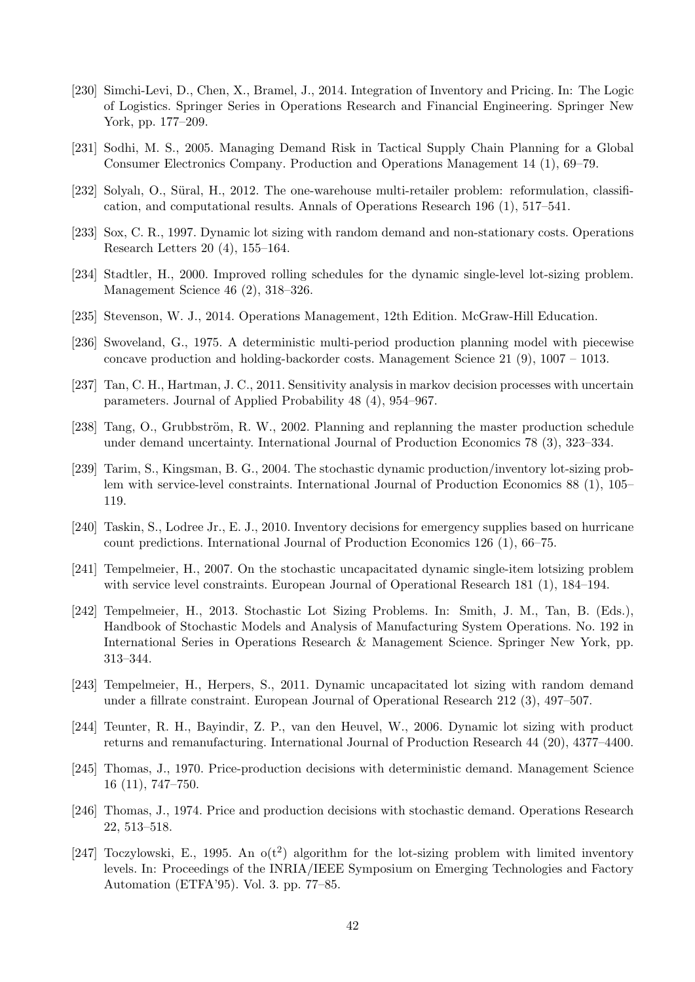- <span id="page-42-25"></span><span id="page-42-24"></span><span id="page-42-23"></span><span id="page-42-22"></span><span id="page-42-21"></span><span id="page-42-20"></span><span id="page-42-19"></span><span id="page-42-18"></span><span id="page-42-14"></span>[230] Simchi-Levi, D., Chen, X., Bramel, J., 2014. Integration of Inventory and Pricing. In: The Logic of Logistics. Springer Series in Operations Research and Financial Engineering. Springer New York, pp. 177–209.
- <span id="page-42-13"></span>[231] Sodhi, M. S., 2005. Managing Demand Risk in Tactical Supply Chain Planning for a Global Consumer Electronics Company. Production and Operations Management 14 (1), 69–79.
- <span id="page-42-3"></span>[232] Solyalı, O., Süral, H., 2012. The one-warehouse multi-retailer problem: reformulation, classification, and computational results. Annals of Operations Research 196 (1), 517–541.
- <span id="page-42-6"></span>[233] Sox, C. R., 1997. Dynamic lot sizing with random demand and non-stationary costs. Operations Research Letters 20 (4), 155–164.
- <span id="page-42-0"></span>[234] Stadtler, H., 2000. Improved rolling schedules for the dynamic single-level lot-sizing problem. Management Science 46 (2), 318–326.
- <span id="page-42-2"></span>[235] Stevenson, W. J., 2014. Operations Management, 12th Edition. McGraw-Hill Education.
- <span id="page-42-17"></span>[236] Swoveland, G., 1975. A deterministic multi-period production planning model with piecewise concave production and holding-backorder costs. Management Science 21 (9), 1007 – 1013.
- <span id="page-42-11"></span>[237] Tan, C. H., Hartman, J. C., 2011. Sensitivity analysis in markov decision processes with uncertain parameters. Journal of Applied Probability 48 (4), 954–967.
- <span id="page-42-7"></span>[238] Tang, O., Grubbström, R. W., 2002. Planning and replanning the master production schedule under demand uncertainty. International Journal of Production Economics 78 (3), 323–334.
- <span id="page-42-8"></span>[239] Tarim, S., Kingsman, B. G., 2004. The stochastic dynamic production/inventory lot-sizing problem with service-level constraints. International Journal of Production Economics 88 (1), 105– 119.
- <span id="page-42-12"></span>[240] Taskin, S., Lodree Jr., E. J., 2010. Inventory decisions for emergency supplies based on hurricane count predictions. International Journal of Production Economics 126 (1), 66–75.
- <span id="page-42-9"></span>[241] Tempelmeier, H., 2007. On the stochastic uncapacitated dynamic single-item lotsizing problem with service level constraints. European Journal of Operational Research 181 (1), 184–194.
- <span id="page-42-5"></span>[242] Tempelmeier, H., 2013. Stochastic Lot Sizing Problems. In: Smith, J. M., Tan, B. (Eds.), Handbook of Stochastic Models and Analysis of Manufacturing System Operations. No. 192 in International Series in Operations Research & Management Science. Springer New York, pp. 313–344.
- <span id="page-42-10"></span>[243] Tempelmeier, H., Herpers, S., 2011. Dynamic uncapacitated lot sizing with random demand under a fillrate constraint. European Journal of Operational Research 212 (3), 497–507.
- <span id="page-42-4"></span>[244] Teunter, R. H., Bayindir, Z. P., van den Heuvel, W., 2006. Dynamic lot sizing with product returns and remanufacturing. International Journal of Production Research 44 (20), 4377–4400.
- <span id="page-42-15"></span>[245] Thomas, J., 1970. Price-production decisions with deterministic demand. Management Science 16 (11), 747–750.
- <span id="page-42-16"></span>[246] Thomas, J., 1974. Price and production decisions with stochastic demand. Operations Research 22, 513–518.
- <span id="page-42-1"></span>[247] Toczylowski, E., 1995. An  $o(t^2)$  algorithm for the lot-sizing problem with limited inventory levels. In: Proceedings of the INRIA/IEEE Symposium on Emerging Technologies and Factory Automation (ETFA'95). Vol. 3. pp. 77–85.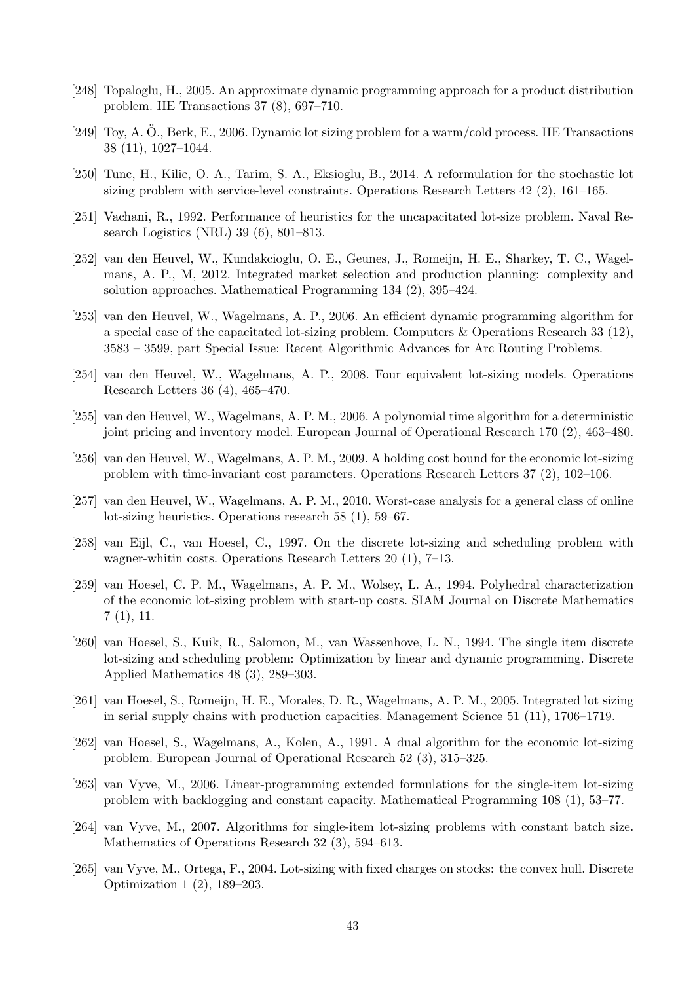- <span id="page-43-31"></span><span id="page-43-30"></span><span id="page-43-29"></span><span id="page-43-28"></span><span id="page-43-27"></span><span id="page-43-26"></span><span id="page-43-25"></span><span id="page-43-24"></span><span id="page-43-23"></span><span id="page-43-22"></span><span id="page-43-21"></span><span id="page-43-20"></span><span id="page-43-19"></span><span id="page-43-18"></span><span id="page-43-14"></span>[248] Topaloglu, H., 2005. An approximate dynamic programming approach for a product distribution problem. IIE Transactions 37 (8), 697–710.
- <span id="page-43-17"></span> $[249]$  Toy, A. O., Berk, E., 2006. Dynamic lot sizing problem for a warm/cold process. IIE Transactions 38 (11), 1027–1044.
- <span id="page-43-13"></span>[250] Tunc, H., Kilic, O. A., Tarim, S. A., Eksioglu, B., 2014. A reformulation for the stochastic lot sizing problem with service-level constraints. Operations Research Letters 42 (2), 161–165.
- <span id="page-43-4"></span>[251] Vachani, R., 1992. Performance of heuristics for the uncapacitated lot-size problem. Naval Research Logistics (NRL) 39 (6), 801–813.
- <span id="page-43-12"></span>[252] van den Heuvel, W., Kundakcioglu, O. E., Geunes, J., Romeijn, H. E., Sharkey, T. C., Wagelmans, A. P., M, 2012. Integrated market selection and production planning: complexity and solution approaches. Mathematical Programming 134 (2), 395–424.
- <span id="page-43-7"></span>[253] van den Heuvel, W., Wagelmans, A. P., 2006. An efficient dynamic programming algorithm for a special case of the capacitated lot-sizing problem. Computers & Operations Research 33 (12), 3583 – 3599, part Special Issue: Recent Algorithmic Advances for Arc Routing Problems.
- <span id="page-43-6"></span>[254] van den Heuvel, W., Wagelmans, A. P., 2008. Four equivalent lot-sizing models. Operations Research Letters 36 (4), 465–470.
- <span id="page-43-15"></span>[255] van den Heuvel, W., Wagelmans, A. P. M., 2006. A polynomial time algorithm for a deterministic joint pricing and inventory model. European Journal of Operational Research 170 (2), 463–480.
- <span id="page-43-2"></span>[256] van den Heuvel, W., Wagelmans, A. P. M., 2009. A holding cost bound for the economic lot-sizing problem with time-invariant cost parameters. Operations Research Letters 37 (2), 102–106.
- <span id="page-43-3"></span>[257] van den Heuvel, W., Wagelmans, A. P. M., 2010. Worst-case analysis for a general class of online lot-sizing heuristics. Operations research 58 (1), 59–67.
- <span id="page-43-11"></span>[258] van Eijl, C., van Hoesel, C., 1997. On the discrete lot-sizing and scheduling problem with wagner-whitin costs. Operations Research Letters 20 (1), 7–13.
- <span id="page-43-16"></span>[259] van Hoesel, C. P. M., Wagelmans, A. P. M., Wolsey, L. A., 1994. Polyhedral characterization of the economic lot-sizing problem with start-up costs. SIAM Journal on Discrete Mathematics 7 (1), 11.
- <span id="page-43-10"></span>[260] van Hoesel, S., Kuik, R., Salomon, M., van Wassenhove, L. N., 1994. The single item discrete lot-sizing and scheduling problem: Optimization by linear and dynamic programming. Discrete Applied Mathematics 48 (3), 289–303.
- <span id="page-43-9"></span>[261] van Hoesel, S., Romeijn, H. E., Morales, D. R., Wagelmans, A. P. M., 2005. Integrated lot sizing in serial supply chains with production capacities. Management Science 51 (11), 1706–1719.
- <span id="page-43-0"></span>[262] van Hoesel, S., Wagelmans, A., Kolen, A., 1991. A dual algorithm for the economic lot-sizing problem. European Journal of Operational Research 52 (3), 315–325.
- <span id="page-43-1"></span>[263] van Vyve, M., 2006. Linear-programming extended formulations for the single-item lot-sizing problem with backlogging and constant capacity. Mathematical Programming 108 (1), 53–77.
- <span id="page-43-5"></span>[264] van Vyve, M., 2007. Algorithms for single-item lot-sizing problems with constant batch size. Mathematics of Operations Research 32 (3), 594–613.
- <span id="page-43-8"></span>[265] van Vyve, M., Ortega, F., 2004. Lot-sizing with fixed charges on stocks: the convex hull. Discrete Optimization 1 (2), 189–203.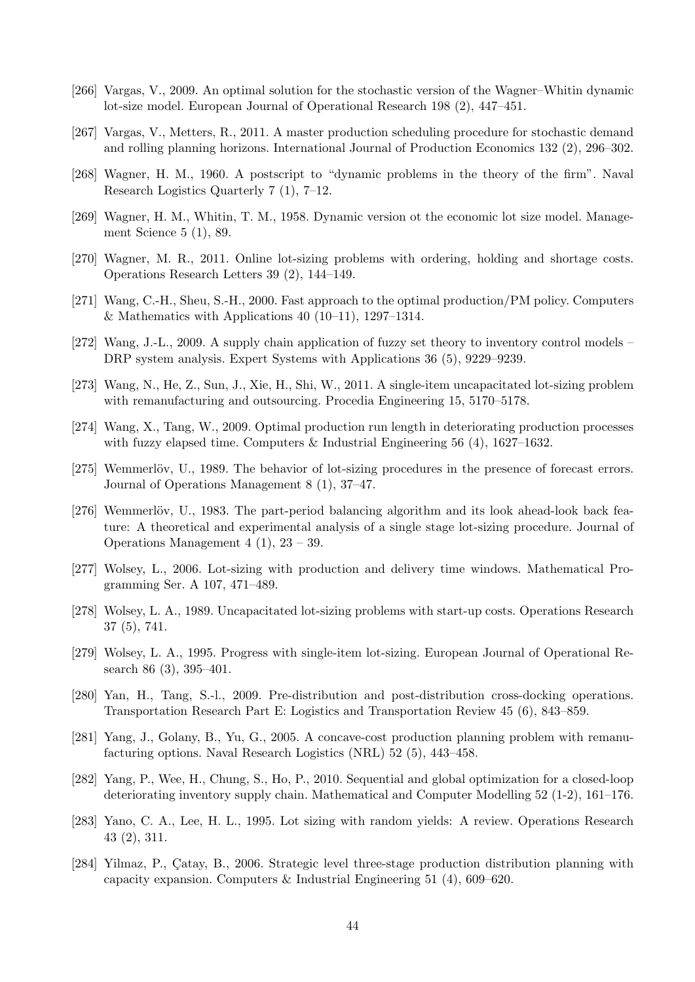- <span id="page-44-25"></span><span id="page-44-24"></span><span id="page-44-23"></span><span id="page-44-22"></span><span id="page-44-21"></span><span id="page-44-20"></span><span id="page-44-19"></span><span id="page-44-18"></span><span id="page-44-11"></span>[266] Vargas, V., 2009. An optimal solution for the stochastic version of the Wagner–Whitin dynamic lot-size model. European Journal of Operational Research 198 (2), 447–451.
- <span id="page-44-10"></span>[267] Vargas, V., Metters, R., 2011. A master production scheduling procedure for stochastic demand and rolling planning horizons. International Journal of Production Economics 132 (2), 296–302.
- <span id="page-44-17"></span>[268] Wagner, H. M., 1960. A postscript to "dynamic problems in the theory of the firm". Naval Research Logistics Quarterly 7 (1), 7–12.
- <span id="page-44-0"></span>[269] Wagner, H. M., Whitin, T. M., 1958. Dynamic version ot the economic lot size model. Management Science 5 (1), 89.
- <span id="page-44-13"></span>[270] Wagner, M. R., 2011. Online lot-sizing problems with ordering, holding and shortage costs. Operations Research Letters 39 (2), 144–149.
- <span id="page-44-12"></span>[271] Wang, C.-H., Sheu, S.-H., 2000. Fast approach to the optimal production/PM policy. Computers & Mathematics with Applications 40 (10–11), 1297–1314.
- <span id="page-44-15"></span>[272] Wang, J.-L., 2009. A supply chain application of fuzzy set theory to inventory control models – DRP system analysis. Expert Systems with Applications 36 (5), 9229–9239.
- <span id="page-44-5"></span>[273] Wang, N., He, Z., Sun, J., Xie, H., Shi, W., 2011. A single-item uncapacitated lot-sizing problem with remanufacturing and outsourcing. Procedia Engineering 15, 5170–5178.
- <span id="page-44-14"></span>[274] Wang, X., Tang, W., 2009. Optimal production run length in deteriorating production processes with fuzzy elapsed time. Computers  $\&$  Industrial Engineering 56 (4), 1627–1632.
- <span id="page-44-8"></span>[275] Wemmerlöv, U., 1989. The behavior of lot-sizing procedures in the presence of forecast errors. Journal of Operations Management 8 (1), 37–47.
- <span id="page-44-3"></span>[276] Wemmerlöv, U., 1983. The part-period balancing algorithm and its look ahead-look back feature: A theoretical and experimental analysis of a single stage lot-sizing procedure. Journal of Operations Management 4 (1), 23 – 39.
- <span id="page-44-4"></span>[277] Wolsey, L., 2006. Lot-sizing with production and delivery time windows. Mathematical Programming Ser. A 107, 471–489.
- <span id="page-44-2"></span>[278] Wolsey, L. A., 1989. Uncapacitated lot-sizing problems with start-up costs. Operations Research 37 (5), 741.
- <span id="page-44-1"></span>[279] Wolsey, L. A., 1995. Progress with single-item lot-sizing. European Journal of Operational Research 86 (3), 395–401.
- <span id="page-44-16"></span>[280] Yan, H., Tang, S.-l., 2009. Pre-distribution and post-distribution cross-docking operations. Transportation Research Part E: Logistics and Transportation Review 45 (6), 843–859.
- <span id="page-44-7"></span>[281] Yang, J., Golany, B., Yu, G., 2005. A concave-cost production planning problem with remanufacturing options. Naval Research Logistics (NRL) 52 (5), 443–458.
- [282] Yang, P., Wee, H., Chung, S., Ho, P., 2010. Sequential and global optimization for a closed-loop deteriorating inventory supply chain. Mathematical and Computer Modelling 52 (1-2), 161–176.
- <span id="page-44-9"></span>[283] Yano, C. A., Lee, H. L., 1995. Lot sizing with random yields: A review. Operations Research 43 (2), 311.
- <span id="page-44-6"></span>[284] Yilmaz, P., Catay, B., 2006. Strategic level three-stage production distribution planning with capacity expansion. Computers & Industrial Engineering 51 (4), 609–620.